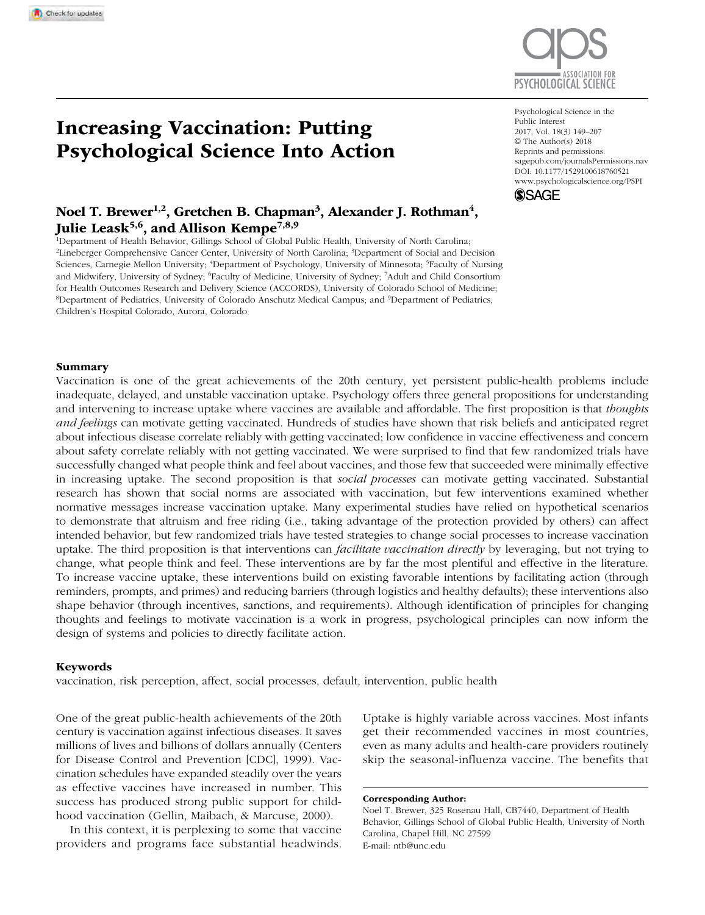# Increasing Vaccination: Putting Psychological Science Into Action

# Noel T. Brewer<sup>1,2</sup>, Gretchen B. Chapman<sup>3</sup>, Alexander J. Rothman<sup>4</sup>, Julie Leask<sup>5,6</sup>, and Allison Kempe<sup>7,8,9</sup>

<sup>1</sup>Department of Health Behavior, Gillings School of Global Public Health, University of North Carolina; <sup>2</sup>Lineberger Comprehensive Cancer Center, University of North Carolina; <sup>3</sup>Department of Social and Decision Sciences, Carnegie Mellon University; <sup>4</sup>Department of Psychology, University of Minnesota; <sup>5</sup>Faculty of Nursing and Midwifery, University of Sydney; <sup>6</sup>Faculty of Medicine, University of Sydney; <sup>7</sup>Adult and Child Consortium for Health Outcomes Research and Delivery Science (ACCORDS), University of Colorado School of Medicine; 8 Department of Pediatrics, University of Colorado Anschutz Medical Campus; and 9 Department of Pediatrics, Children's Hospital Colorado, Aurora, Colorado

#### Summary

Vaccination is one of the great achievements of the 20th century, yet persistent public-health problems include inadequate, delayed, and unstable vaccination uptake. Psychology offers three general propositions for understanding and intervening to increase uptake where vaccines are available and affordable. The first proposition is that *thoughts and feelings* can motivate getting vaccinated. Hundreds of studies have shown that risk beliefs and anticipated regret about infectious disease correlate reliably with getting vaccinated; low confidence in vaccine effectiveness and concern about safety correlate reliably with not getting vaccinated. We were surprised to find that few randomized trials have successfully changed what people think and feel about vaccines, and those few that succeeded were minimally effective in increasing uptake. The second proposition is that *social processes* can motivate getting vaccinated. Substantial research has shown that social norms are associated with vaccination, but few interventions examined whether normative messages increase vaccination uptake. Many experimental studies have relied on hypothetical scenarios to demonstrate that altruism and free riding (i.e., taking advantage of the protection provided by others) can affect intended behavior, but few randomized trials have tested strategies to change social processes to increase vaccination uptake. The third proposition is that interventions can *facilitate vaccination directly* by leveraging, but not trying to change, what people think and feel. These interventions are by far the most plentiful and effective in the literature. To increase vaccine uptake, these interventions build on existing favorable intentions by facilitating action (through reminders, prompts, and primes) and reducing barriers (through logistics and healthy defaults); these interventions also shape behavior (through incentives, sanctions, and requirements). Although identification of principles for changing thoughts and feelings to motivate vaccination is a work in progress, psychological principles can now inform the design of systems and policies to directly facilitate action.

### Keywords

vaccination, risk perception, affect, social processes, default, intervention, public health

One of the great public-health achievements of the 20th century is vaccination against infectious diseases. It saves millions of lives and billions of dollars annually (Centers for Disease Control and Prevention [CDC], 1999). Vaccination schedules have expanded steadily over the years as effective vaccines have increased in number. This success has produced strong public support for childhood vaccination (Gellin, Maibach, & Marcuse, 2000).

In this context, it is perplexing to some that vaccine providers and programs face substantial headwinds.

Uptake is highly variable across vaccines. Most infants get their recommended vaccines in most countries, even as many adults and health-care providers routinely skip the seasonal-influenza vaccine. The benefits that

Noel T. Brewer, 325 Rosenau Hall, CB7440, Department of Health Behavior, Gillings School of Global Public Health, University of North Carolina, Chapel Hill, NC 27599 E-mail: [ntb@unc.edu](mailto:ntb@unc.edu)



https://doi.org/10.1177/1529100618760521 DOI: 10.1177/1529100618760521 Psychological Science in the Public Interest 2017, Vol. 18(3) 149–207 © The Author(s) 2018 Reprints and permissions: [sagepub.com/journalsPermissions.nav](https://sagepub.com/journalsPermissions.nav) [www.psychologicalscience.org/PSPI](http://www.psychologicalscience.org/PSPI)



Corresponding Author: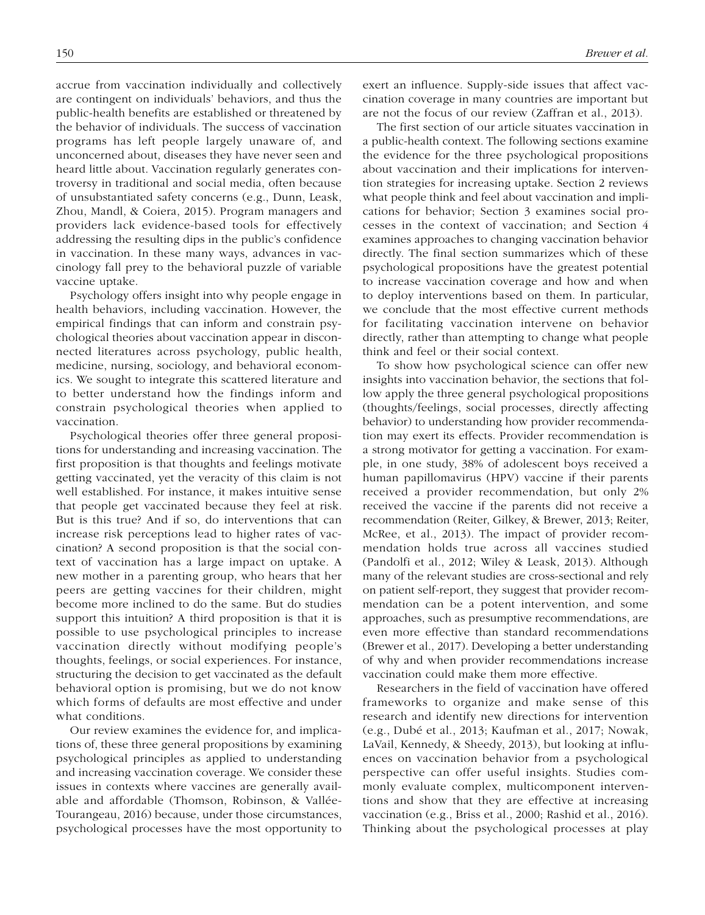accrue from vaccination individually and collectively are contingent on individuals' behaviors, and thus the public-health benefits are established or threatened by the behavior of individuals. The success of vaccination programs has left people largely unaware of, and unconcerned about, diseases they have never seen and heard little about. Vaccination regularly generates controversy in traditional and social media, often because of unsubstantiated safety concerns (e.g., Dunn, Leask, Zhou, Mandl, & Coiera, 2015). Program managers and providers lack evidence-based tools for effectively addressing the resulting dips in the public's confidence in vaccination. In these many ways, advances in vaccinology fall prey to the behavioral puzzle of variable vaccine uptake.

Psychology offers insight into why people engage in health behaviors, including vaccination. However, the empirical findings that can inform and constrain psychological theories about vaccination appear in disconnected literatures across psychology, public health, medicine, nursing, sociology, and behavioral economics. We sought to integrate this scattered literature and to better understand how the findings inform and constrain psychological theories when applied to vaccination.

Psychological theories offer three general propositions for understanding and increasing vaccination. The first proposition is that thoughts and feelings motivate getting vaccinated, yet the veracity of this claim is not well established. For instance, it makes intuitive sense that people get vaccinated because they feel at risk. But is this true? And if so, do interventions that can increase risk perceptions lead to higher rates of vaccination? A second proposition is that the social context of vaccination has a large impact on uptake. A new mother in a parenting group, who hears that her peers are getting vaccines for their children, might become more inclined to do the same. But do studies support this intuition? A third proposition is that it is possible to use psychological principles to increase vaccination directly without modifying people's thoughts, feelings, or social experiences. For instance, structuring the decision to get vaccinated as the default behavioral option is promising, but we do not know which forms of defaults are most effective and under what conditions.

Our review examines the evidence for, and implications of, these three general propositions by examining psychological principles as applied to understanding and increasing vaccination coverage. We consider these issues in contexts where vaccines are generally available and affordable (Thomson, Robinson, & Vallée-Tourangeau, 2016) because, under those circumstances, psychological processes have the most opportunity to exert an influence. Supply-side issues that affect vaccination coverage in many countries are important but are not the focus of our review (Zaffran et al., 2013).

The first section of our article situates vaccination in a public-health context. The following sections examine the evidence for the three psychological propositions about vaccination and their implications for intervention strategies for increasing uptake. Section 2 reviews what people think and feel about vaccination and implications for behavior; Section 3 examines social processes in the context of vaccination; and Section 4 examines approaches to changing vaccination behavior directly. The final section summarizes which of these psychological propositions have the greatest potential to increase vaccination coverage and how and when to deploy interventions based on them. In particular, we conclude that the most effective current methods for facilitating vaccination intervene on behavior directly, rather than attempting to change what people think and feel or their social context.

To show how psychological science can offer new insights into vaccination behavior, the sections that follow apply the three general psychological propositions (thoughts/feelings, social processes, directly affecting behavior) to understanding how provider recommendation may exert its effects. Provider recommendation is a strong motivator for getting a vaccination. For example, in one study, 38% of adolescent boys received a human papillomavirus (HPV) vaccine if their parents received a provider recommendation, but only 2% received the vaccine if the parents did not receive a recommendation (Reiter, Gilkey, & Brewer, 2013; Reiter, McRee, et al., 2013). The impact of provider recommendation holds true across all vaccines studied (Pandolfi et al., 2012; Wiley & Leask, 2013). Although many of the relevant studies are cross-sectional and rely on patient self-report, they suggest that provider recommendation can be a potent intervention, and some approaches, such as presumptive recommendations, are even more effective than standard recommendations (Brewer et al., 2017). Developing a better understanding of why and when provider recommendations increase vaccination could make them more effective.

Researchers in the field of vaccination have offered frameworks to organize and make sense of this research and identify new directions for intervention (e.g., Dubé et al., 2013; Kaufman et al., 2017; Nowak, LaVail, Kennedy, & Sheedy, 2013), but looking at influences on vaccination behavior from a psychological perspective can offer useful insights. Studies commonly evaluate complex, multicomponent interventions and show that they are effective at increasing vaccination (e.g., Briss et al., 2000; Rashid et al., 2016). Thinking about the psychological processes at play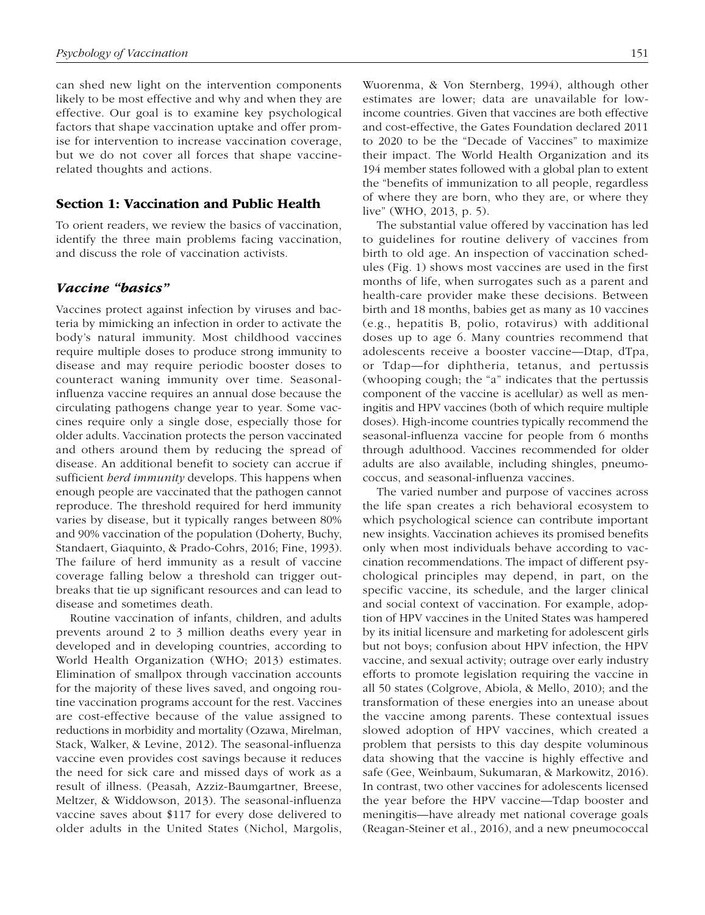can shed new light on the intervention components likely to be most effective and why and when they are effective. Our goal is to examine key psychological factors that shape vaccination uptake and offer promise for intervention to increase vaccination coverage, but we do not cover all forces that shape vaccinerelated thoughts and actions.

### Section 1: Vaccination and Public Health

To orient readers, we review the basics of vaccination, identify the three main problems facing vaccination, and discuss the role of vaccination activists.

# *Vaccine "basics"*

Vaccines protect against infection by viruses and bacteria by mimicking an infection in order to activate the body's natural immunity. Most childhood vaccines require multiple doses to produce strong immunity to disease and may require periodic booster doses to counteract waning immunity over time. Seasonalinfluenza vaccine requires an annual dose because the circulating pathogens change year to year. Some vaccines require only a single dose, especially those for older adults. Vaccination protects the person vaccinated and others around them by reducing the spread of disease. An additional benefit to society can accrue if sufficient *herd immunity* develops. This happens when enough people are vaccinated that the pathogen cannot reproduce. The threshold required for herd immunity varies by disease, but it typically ranges between 80% and 90% vaccination of the population (Doherty, Buchy, Standaert, Giaquinto, & Prado-Cohrs, 2016; Fine, 1993). The failure of herd immunity as a result of vaccine coverage falling below a threshold can trigger outbreaks that tie up significant resources and can lead to disease and sometimes death.

Routine vaccination of infants, children, and adults prevents around 2 to 3 million deaths every year in developed and in developing countries, according to World Health Organization (WHO; 2013) estimates. Elimination of smallpox through vaccination accounts for the majority of these lives saved, and ongoing routine vaccination programs account for the rest. Vaccines are cost-effective because of the value assigned to reductions in morbidity and mortality (Ozawa, Mirelman, Stack, Walker, & Levine, 2012). The seasonal-influenza vaccine even provides cost savings because it reduces the need for sick care and missed days of work as a result of illness. (Peasah, Azziz-Baumgartner, Breese, Meltzer, & Widdowson, 2013). The seasonal-influenza vaccine saves about \$117 for every dose delivered to older adults in the United States (Nichol, Margolis,

Wuorenma, & Von Sternberg, 1994), although other estimates are lower; data are unavailable for lowincome countries. Given that vaccines are both effective and cost-effective, the Gates Foundation declared 2011 to 2020 to be the "Decade of Vaccines" to maximize their impact. The World Health Organization and its 194 member states followed with a global plan to extent the "benefits of immunization to all people, regardless of where they are born, who they are, or where they live" (WHO, 2013, p. 5).

The substantial value offered by vaccination has led to guidelines for routine delivery of vaccines from birth to old age. An inspection of vaccination schedules (Fig. 1) shows most vaccines are used in the first months of life, when surrogates such as a parent and health-care provider make these decisions. Between birth and 18 months, babies get as many as 10 vaccines (e.g., hepatitis B, polio, rotavirus) with additional doses up to age 6. Many countries recommend that adolescents receive a booster vaccine—Dtap, dTpa, or Tdap—for diphtheria, tetanus, and pertussis (whooping cough; the "a" indicates that the pertussis component of the vaccine is acellular) as well as meningitis and HPV vaccines (both of which require multiple doses). High-income countries typically recommend the seasonal-influenza vaccine for people from 6 months through adulthood. Vaccines recommended for older adults are also available, including shingles, pneumococcus, and seasonal-influenza vaccines.

The varied number and purpose of vaccines across the life span creates a rich behavioral ecosystem to which psychological science can contribute important new insights. Vaccination achieves its promised benefits only when most individuals behave according to vaccination recommendations. The impact of different psychological principles may depend, in part, on the specific vaccine, its schedule, and the larger clinical and social context of vaccination. For example, adoption of HPV vaccines in the United States was hampered by its initial licensure and marketing for adolescent girls but not boys; confusion about HPV infection, the HPV vaccine, and sexual activity; outrage over early industry efforts to promote legislation requiring the vaccine in all 50 states (Colgrove, Abiola, & Mello, 2010); and the transformation of these energies into an unease about the vaccine among parents. These contextual issues slowed adoption of HPV vaccines, which created a problem that persists to this day despite voluminous data showing that the vaccine is highly effective and safe (Gee, Weinbaum, Sukumaran, & Markowitz, 2016). In contrast, two other vaccines for adolescents licensed the year before the HPV vaccine—Tdap booster and meningitis—have already met national coverage goals (Reagan-Steiner et al., 2016), and a new pneumococcal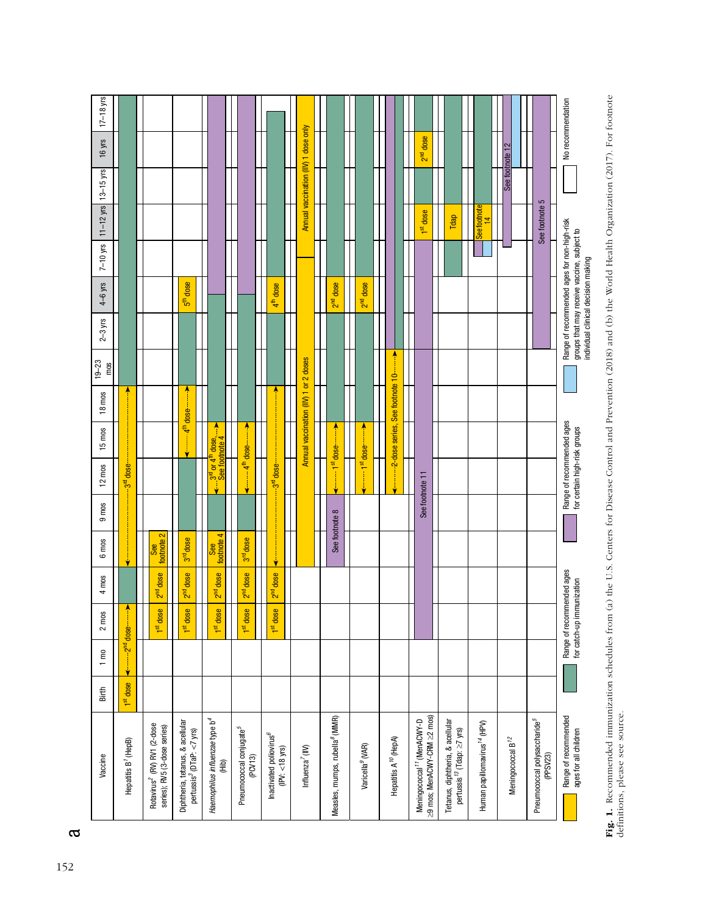| Vaccine                                                                    | Birth                | $1 \text{ m0}$ | $2 \text{ m}$ os                                       | 4 mos      | 6 mos                               | $9 \text{ m}$ os | $12 \text{ m}$ os                                         | 15 mos            | 18 mos                                | $19 - 23$<br>mos | $2-3$ yrs                                                                                                                         | $4-6$ yrs  | $7-10$ yrs   11-12 yrs   13-15 yrs |                                      | 16 yrs            | $17-18$ yrs |
|----------------------------------------------------------------------------|----------------------|----------------|--------------------------------------------------------|------------|-------------------------------------|------------------|-----------------------------------------------------------|-------------------|---------------------------------------|------------------|-----------------------------------------------------------------------------------------------------------------------------------|------------|------------------------------------|--------------------------------------|-------------------|-------------|
| Hepatitis B <sup>7</sup> (HepB)                                            | 1 <sup>st</sup> dose |                | Ą<br>$-2nd$ dose $-$                                   |            |                                     |                  | -3 <sup>rd</sup> dose-                                    |                   | ٨                                     |                  |                                                                                                                                   |            |                                    |                                      |                   |             |
|                                                                            |                      |                |                                                        |            |                                     |                  |                                                           |                   |                                       |                  |                                                                                                                                   |            |                                    |                                      |                   |             |
| Rotavirus <sup>2</sup> (RV) RV1 (2-dose<br>series); RV5 (3-dose series)    |                      |                | 1 <sup>st</sup> dose                                   | $2nd$ dose | footnote <sub>2</sub><br><b>See</b> |                  |                                                           |                   |                                       |                  |                                                                                                                                   |            |                                    |                                      |                   |             |
|                                                                            |                      |                | 1 <sup>st</sup> dose                                   | $2nd$ dose | 3 <sup>rd</sup> dose                |                  |                                                           | $-4th$ dose-<br>ý |                                       |                  |                                                                                                                                   | $5th$ dose |                                    |                                      |                   |             |
| Diphtheria, tetanus, & acellular<br>pertussis <sup>3</sup> (DTaP: <7 yrs)  |                      |                |                                                        |            |                                     |                  |                                                           |                   | Ą                                     |                  |                                                                                                                                   |            |                                    |                                      |                   |             |
|                                                                            |                      |                |                                                        |            |                                     |                  |                                                           |                   |                                       |                  |                                                                                                                                   |            |                                    |                                      |                   |             |
| Haemophilus influenzae type b <sup>4</sup><br>(Hib)                        |                      |                | 1 <sup>st</sup> dose                                   | $2nd$ dose | footnote 4<br><b>See</b>            |                  | See footnote 4<br>$3rd$ or $4tl$<br>Ý                     | Ą<br>dose,        |                                       |                  |                                                                                                                                   |            |                                    |                                      |                   |             |
| Pneumococcal conjugate <sup>5</sup><br>(PCV13)                             |                      |                | 1 <sup>st</sup> dose                                   | $2nd$ dose | 3 <sup>rd</sup> dose                |                  | $-4^{\text{th}}$ dose--                                   | Ą                 |                                       |                  |                                                                                                                                   |            |                                    |                                      |                   |             |
|                                                                            |                      |                |                                                        |            |                                     |                  |                                                           |                   |                                       |                  |                                                                                                                                   |            |                                    |                                      |                   |             |
| Inactivated poliovirus $^6$<br>$(IPV: < 18$ yrs)                           |                      |                | 1 <sup>st</sup> dose                                   | $2nd$ dose | Ý                                   |                  | -3 <sup>rd</sup> dose-                                    |                   |                                       |                  |                                                                                                                                   | $4th$ dose |                                    |                                      |                   |             |
|                                                                            |                      |                |                                                        |            |                                     |                  |                                                           |                   |                                       |                  |                                                                                                                                   |            |                                    |                                      |                   |             |
| Influenza <sup>7</sup> (IIV)                                               |                      |                |                                                        |            |                                     |                  |                                                           |                   | Annual vaccination (IIV) 1 or 2 doses |                  |                                                                                                                                   |            |                                    | Annual vaccination (IIV) 1 dose only |                   |             |
|                                                                            |                      |                |                                                        |            |                                     |                  |                                                           |                   |                                       |                  |                                                                                                                                   |            |                                    |                                      |                   |             |
| Measles, mumps, rubella <sup>8</sup> (MMR)                                 |                      |                |                                                        |            | See footnote 8                      |                  | $-1st$ dose-<br>Ŵ                                         | ⇡                 |                                       |                  |                                                                                                                                   | $2nd$ dose |                                    |                                      |                   |             |
|                                                                            |                      |                |                                                        |            |                                     |                  |                                                           |                   |                                       |                  |                                                                                                                                   |            |                                    |                                      |                   |             |
| Varicella <sup>9</sup> (VAR)                                               |                      |                |                                                        |            |                                     |                  | <b>1st</b> dose-                                          | î                 |                                       |                  |                                                                                                                                   | $2nd$ dose |                                    |                                      |                   |             |
|                                                                            |                      |                |                                                        |            |                                     |                  |                                                           |                   |                                       |                  |                                                                                                                                   |            |                                    |                                      |                   |             |
| Hepatitis A <sup>10</sup> (HepA)                                           |                      |                |                                                        |            |                                     |                  |                                                           |                   | -2-dose series, See footnote 10-      | Ą                |                                                                                                                                   |            |                                    |                                      |                   |             |
|                                                                            |                      |                |                                                        |            |                                     |                  |                                                           |                   |                                       |                  |                                                                                                                                   |            |                                    |                                      |                   |             |
| ≥9 mos; MenACWY-CRM ≥2 mos)<br>Meningococcal <sup>11</sup> (MenACWY-D      |                      |                |                                                        |            |                                     | See footnote 11  |                                                           |                   |                                       |                  |                                                                                                                                   |            | 1st dose                           |                                      | $2nd$ dose        |             |
| Tetanus, diphtheria, & acellular<br>pertussis <sup>13</sup> (Tdap: ≥7 yrs) |                      |                |                                                        |            |                                     |                  |                                                           |                   |                                       |                  |                                                                                                                                   |            | Tdap                               |                                      |                   |             |
| Human papillomavirus <sup>14</sup> (HPV)                                   |                      |                |                                                        |            |                                     |                  |                                                           |                   |                                       |                  |                                                                                                                                   |            | See footnote <br> -<br>  14        |                                      |                   |             |
| Meningococcal B $^{12}$                                                    |                      |                |                                                        |            |                                     |                  |                                                           |                   |                                       |                  |                                                                                                                                   |            |                                    | See footnote 12                      |                   |             |
|                                                                            |                      |                |                                                        |            |                                     |                  |                                                           |                   |                                       |                  |                                                                                                                                   |            |                                    |                                      |                   |             |
| Pneumococcal polysaccharide <sup>5</sup><br>(PPSV23)                       |                      |                |                                                        |            |                                     |                  |                                                           |                   |                                       |                  |                                                                                                                                   |            | See footnote 5                     |                                      |                   |             |
| Range of recommended<br>ages for all children                              |                      |                | Range of recommended ages<br>for catch-up immunization |            |                                     |                  | Range of recommended ages<br>for certain high-risk groups |                   |                                       |                  | Range of recommended ages for non-high-risk<br>groups that may receive vaccine, subject to<br>individual clinical decision making |            |                                    |                                      | No recommendation |             |

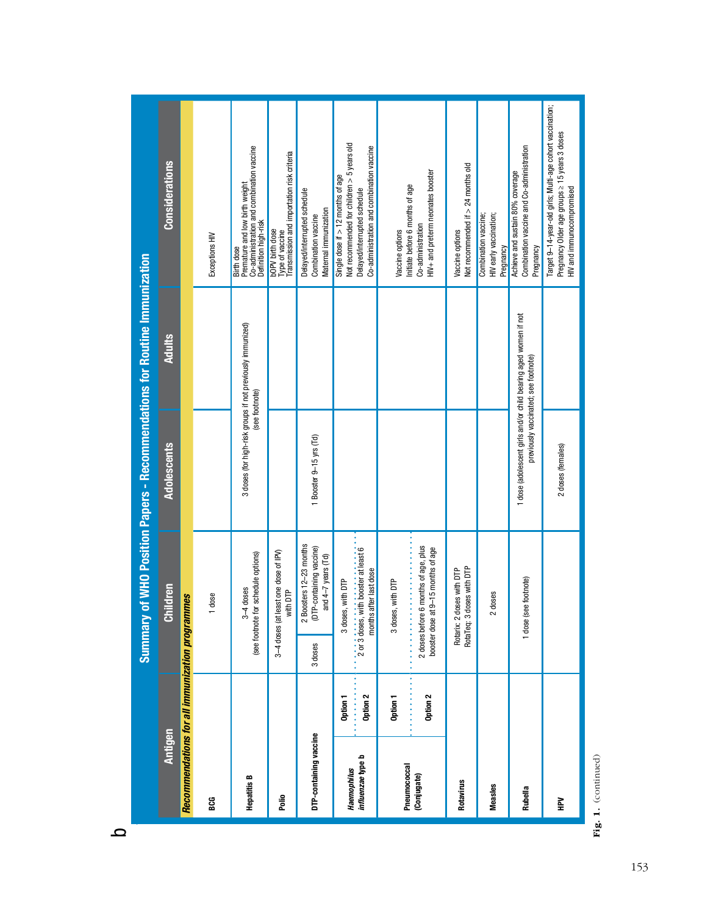| <b>Considerations</b> |                                                 |                                                    |                                                                                                                                                                                                                                |                                                                                                            |                                                                                                                  |                                                                                                    |                                                                                                                                        |                                                                            |                                                                                                                                              |                                                                      |                                                                               | Target 9-14-year-old girls; Multi-age cohort vaccination;<br>Pregnancy Older age groups ≥ 15 years 3 doses<br>HIV and immunocompromised                                                                                 |
|-----------------------|-------------------------------------------------|----------------------------------------------------|--------------------------------------------------------------------------------------------------------------------------------------------------------------------------------------------------------------------------------|------------------------------------------------------------------------------------------------------------|------------------------------------------------------------------------------------------------------------------|----------------------------------------------------------------------------------------------------|----------------------------------------------------------------------------------------------------------------------------------------|----------------------------------------------------------------------------|----------------------------------------------------------------------------------------------------------------------------------------------|----------------------------------------------------------------------|-------------------------------------------------------------------------------|-------------------------------------------------------------------------------------------------------------------------------------------------------------------------------------------------------------------------|
| <b>Adults</b>         |                                                 |                                                    |                                                                                                                                                                                                                                |                                                                                                            |                                                                                                                  |                                                                                                    |                                                                                                                                        |                                                                            |                                                                                                                                              |                                                                      |                                                                               |                                                                                                                                                                                                                         |
| <b>Adolescents</b>    |                                                 |                                                    |                                                                                                                                                                                                                                | 1 Booster 9-15 yrs (Td)                                                                                    |                                                                                                                  |                                                                                                    |                                                                                                                                        |                                                                            |                                                                                                                                              |                                                                      |                                                                               | 2 doses (females)                                                                                                                                                                                                       |
| Children              | 1 dose                                          | (see footnote for schedule options)<br>$3-4$ doses | 3-4 doses (at least one dose of IPV)<br>with DTP                                                                                                                                                                               | 2 Boosters 12-23 months<br>(DTP-containing vaccine)<br>and 4-7 years (Td)                                  | 3 doses, with DTP                                                                                                | months after last dose                                                                             | 3 doses, with DTP                                                                                                                      | 2 doses before 6 months of age, plus<br>booster dose at 9-15 months of age | 3 doses with DTP<br>Rotarix: 2 doses with DTP<br>RotaTeq:                                                                                    | 2 doses                                                              | 1 dose (see footnote)                                                         |                                                                                                                                                                                                                         |
| Antigen               |                                                 |                                                    |                                                                                                                                                                                                                                |                                                                                                            | Option 1                                                                                                         | Option 2                                                                                           | Option 1                                                                                                                               | Option 2                                                                   |                                                                                                                                              |                                                                      |                                                                               |                                                                                                                                                                                                                         |
|                       | Recommendations for all immunization programmes | Exceptions HIV<br>BCG                              | Co-administration and combination vaccine<br>Premature and low birth weight<br>Definition high-risk<br><b>Birth dose</b><br>3 doses (for high-risk groups if not previously immunized)<br>(see footnote)<br><b>Hepatitis B</b> | Transmission and importation risk criteria<br>b <sub>OPV</sub> birth dose<br>Type of vaccine<br>aio<br>Roj | Delayed/interrupted schedule<br>Matemal immunization<br>Combination vaccine<br>3 doses<br>DTP-containing vaccine | Not recommended for children $>$ 5 years old<br>Single dose if $> 12$ months of age<br>Haemophilus | Co-administration and combination vaccine<br>Delayed/interrupted schedule<br>cor 3 doses, with booster at least 6<br>influenzae type b | Vaccine options                                                            | HIV+ and preterm neonates booster<br>Initiate before 6 months of age<br>Co-administration<br>:<br>:<br>:<br>:<br>Pneumococcal<br>(Conjugate) | Not recommended if $> 24$ months old<br>Vaccine options<br>Rotavirus | Combination vaccine;<br>HIV early vaccination;<br>Pregnancy<br><b>Measles</b> | Combination vaccine and Co-administration<br>Achieve and sustain 80% coverage<br>Pregnancy<br>1 dose (adolescent girls and/or child bearing aged women if not<br>previously vaccinated; see footnote)<br><b>Rubella</b> |

Fig. 1. (continued) Fig. 1. (continued)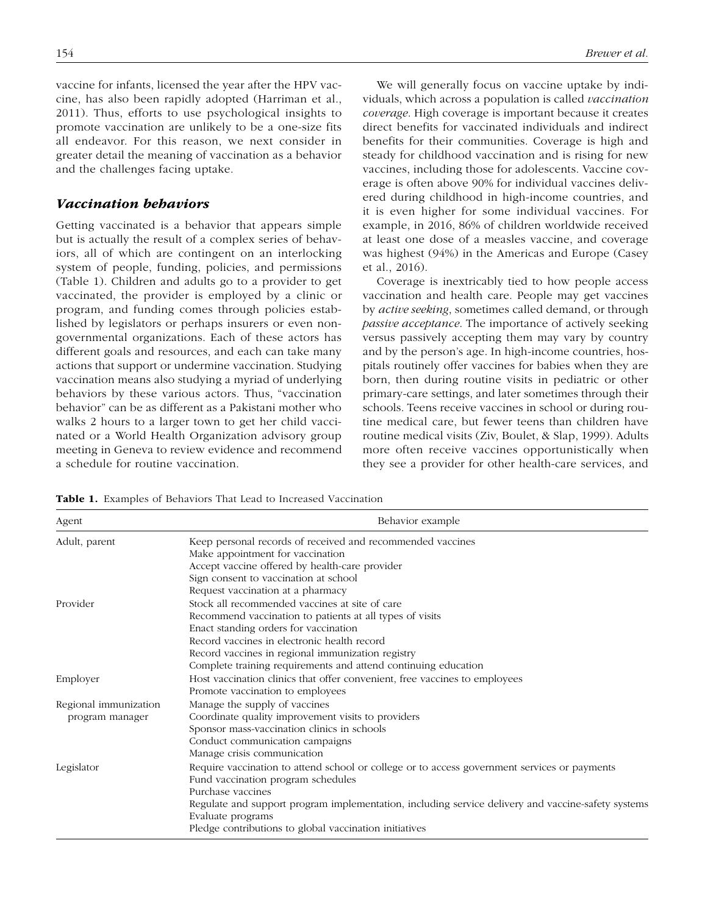vaccine for infants, licensed the year after the HPV vaccine, has also been rapidly adopted (Harriman et al., 2011). Thus, efforts to use psychological insights to promote vaccination are unlikely to be a one-size fits all endeavor. For this reason, we next consider in greater detail the meaning of vaccination as a behavior and the challenges facing uptake.

### *Vaccination behaviors*

Getting vaccinated is a behavior that appears simple but is actually the result of a complex series of behaviors, all of which are contingent on an interlocking system of people, funding, policies, and permissions (Table 1). Children and adults go to a provider to get vaccinated, the provider is employed by a clinic or program, and funding comes through policies established by legislators or perhaps insurers or even nongovernmental organizations. Each of these actors has different goals and resources, and each can take many actions that support or undermine vaccination. Studying vaccination means also studying a myriad of underlying behaviors by these various actors. Thus, "vaccination behavior" can be as different as a Pakistani mother who walks 2 hours to a larger town to get her child vaccinated or a World Health Organization advisory group meeting in Geneva to review evidence and recommend a schedule for routine vaccination.

We will generally focus on vaccine uptake by individuals, which across a population is called *vaccination coverage*. High coverage is important because it creates direct benefits for vaccinated individuals and indirect benefits for their communities. Coverage is high and steady for childhood vaccination and is rising for new vaccines, including those for adolescents. Vaccine coverage is often above 90% for individual vaccines delivered during childhood in high-income countries, and it is even higher for some individual vaccines. For example, in 2016, 86% of children worldwide received at least one dose of a measles vaccine, and coverage was highest (94%) in the Americas and Europe (Casey et al., 2016).

Coverage is inextricably tied to how people access vaccination and health care. People may get vaccines by *active seeking*, sometimes called demand, or through *passive acceptance*. The importance of actively seeking versus passively accepting them may vary by country and by the person's age. In high-income countries, hospitals routinely offer vaccines for babies when they are born, then during routine visits in pediatric or other primary-care settings, and later sometimes through their schools. Teens receive vaccines in school or during routine medical care, but fewer teens than children have routine medical visits (Ziv, Boulet, & Slap, 1999). Adults more often receive vaccines opportunistically when they see a provider for other health-care services, and

|  |  | Table 1. Examples of Behaviors That Lead to Increased Vaccination |  |
|--|--|-------------------------------------------------------------------|--|
|  |  |                                                                   |  |

| Agent                 | Behavior example                                                                                   |
|-----------------------|----------------------------------------------------------------------------------------------------|
| Adult, parent         | Keep personal records of received and recommended vaccines                                         |
|                       | Make appointment for vaccination                                                                   |
|                       | Accept vaccine offered by health-care provider                                                     |
|                       | Sign consent to vaccination at school                                                              |
|                       | Request vaccination at a pharmacy                                                                  |
| Provider              | Stock all recommended vaccines at site of care                                                     |
|                       | Recommend vaccination to patients at all types of visits                                           |
|                       | Enact standing orders for vaccination                                                              |
|                       | Record vaccines in electronic health record                                                        |
|                       | Record vaccines in regional immunization registry                                                  |
|                       | Complete training requirements and attend continuing education                                     |
| Employer              | Host vaccination clinics that offer convenient, free vaccines to employees                         |
|                       | Promote vaccination to employees                                                                   |
| Regional immunization | Manage the supply of vaccines                                                                      |
| program manager       | Coordinate quality improvement visits to providers                                                 |
|                       | Sponsor mass-vaccination clinics in schools                                                        |
|                       | Conduct communication campaigns                                                                    |
|                       | Manage crisis communication                                                                        |
| Legislator            | Require vaccination to attend school or college or to access government services or payments       |
|                       | Fund vaccination program schedules                                                                 |
|                       | Purchase vaccines                                                                                  |
|                       | Regulate and support program implementation, including service delivery and vaccine-safety systems |
|                       | Evaluate programs                                                                                  |
|                       | Pledge contributions to global vaccination initiatives                                             |
|                       |                                                                                                    |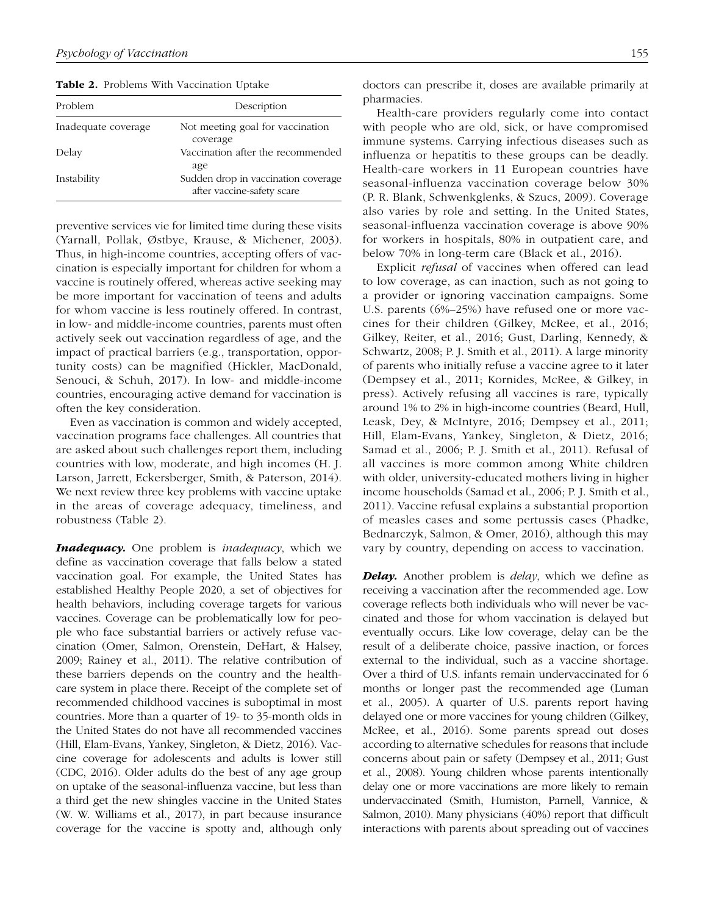Table 2. Problems With Vaccination Uptake

| Problem             | Description                                                       |
|---------------------|-------------------------------------------------------------------|
| Inadequate coverage | Not meeting goal for vaccination<br>coverage                      |
| Delay               | Vaccination after the recommended<br>age                          |
| Instability         | Sudden drop in vaccination coverage<br>after vaccine-safety scare |

preventive services vie for limited time during these visits (Yarnall, Pollak, Østbye, Krause, & Michener, 2003). Thus, in high-income countries, accepting offers of vaccination is especially important for children for whom a vaccine is routinely offered, whereas active seeking may be more important for vaccination of teens and adults for whom vaccine is less routinely offered. In contrast, in low- and middle-income countries, parents must often actively seek out vaccination regardless of age, and the impact of practical barriers (e.g., transportation, opportunity costs) can be magnified (Hickler, MacDonald, Senouci, & Schuh, 2017). In low- and middle-income countries, encouraging active demand for vaccination is often the key consideration.

Even as vaccination is common and widely accepted, vaccination programs face challenges. All countries that are asked about such challenges report them, including countries with low, moderate, and high incomes (H. J. Larson, Jarrett, Eckersberger, Smith, & Paterson, 2014). We next review three key problems with vaccine uptake in the areas of coverage adequacy, timeliness, and robustness (Table 2).

*Inadequacy.* One problem is *inadequacy*, which we define as vaccination coverage that falls below a stated vaccination goal. For example, the United States has established Healthy People 2020, a set of objectives for health behaviors, including coverage targets for various vaccines. Coverage can be problematically low for people who face substantial barriers or actively refuse vaccination (Omer, Salmon, Orenstein, DeHart, & Halsey, 2009; Rainey et al., 2011). The relative contribution of these barriers depends on the country and the healthcare system in place there. Receipt of the complete set of recommended childhood vaccines is suboptimal in most countries. More than a quarter of 19- to 35-month olds in the United States do not have all recommended vaccines (Hill, Elam-Evans, Yankey, Singleton, & Dietz, 2016). Vaccine coverage for adolescents and adults is lower still (CDC, 2016). Older adults do the best of any age group on uptake of the seasonal-influenza vaccine, but less than a third get the new shingles vaccine in the United States (W. W. Williams et al., 2017), in part because insurance coverage for the vaccine is spotty and, although only doctors can prescribe it, doses are available primarily at pharmacies.

Health-care providers regularly come into contact with people who are old, sick, or have compromised immune systems. Carrying infectious diseases such as influenza or hepatitis to these groups can be deadly. Health-care workers in 11 European countries have seasonal-influenza vaccination coverage below 30% (P. R. Blank, Schwenkglenks, & Szucs, 2009). Coverage also varies by role and setting. In the United States, seasonal-influenza vaccination coverage is above 90% for workers in hospitals, 80% in outpatient care, and below 70% in long-term care (Black et al., 2016).

Explicit *refusal* of vaccines when offered can lead to low coverage, as can inaction, such as not going to a provider or ignoring vaccination campaigns. Some U.S. parents (6%–25%) have refused one or more vaccines for their children (Gilkey, McRee, et al., 2016; Gilkey, Reiter, et al., 2016; Gust, Darling, Kennedy, & Schwartz, 2008; P. J. Smith et al., 2011). A large minority of parents who initially refuse a vaccine agree to it later (Dempsey et al., 2011; Kornides, McRee, & Gilkey, in press). Actively refusing all vaccines is rare, typically around 1% to 2% in high-income countries (Beard, Hull, Leask, Dey, & McIntyre, 2016; Dempsey et al., 2011; Hill, Elam-Evans, Yankey, Singleton, & Dietz, 2016; Samad et al., 2006; P. J. Smith et al., 2011). Refusal of all vaccines is more common among White children with older, university-educated mothers living in higher income households (Samad et al., 2006; P. J. Smith et al., 2011). Vaccine refusal explains a substantial proportion of measles cases and some pertussis cases (Phadke, Bednarczyk, Salmon, & Omer, 2016), although this may vary by country, depending on access to vaccination.

*Delay.* Another problem is *delay*, which we define as receiving a vaccination after the recommended age. Low coverage reflects both individuals who will never be vaccinated and those for whom vaccination is delayed but eventually occurs. Like low coverage, delay can be the result of a deliberate choice, passive inaction, or forces external to the individual, such as a vaccine shortage. Over a third of U.S. infants remain undervaccinated for 6 months or longer past the recommended age (Luman et al., 2005). A quarter of U.S. parents report having delayed one or more vaccines for young children (Gilkey, McRee, et al., 2016). Some parents spread out doses according to alternative schedules for reasons that include concerns about pain or safety (Dempsey et al., 2011; Gust et al., 2008). Young children whose parents intentionally delay one or more vaccinations are more likely to remain undervaccinated (Smith, Humiston, Parnell, Vannice, & Salmon, 2010). Many physicians (40%) report that difficult interactions with parents about spreading out of vaccines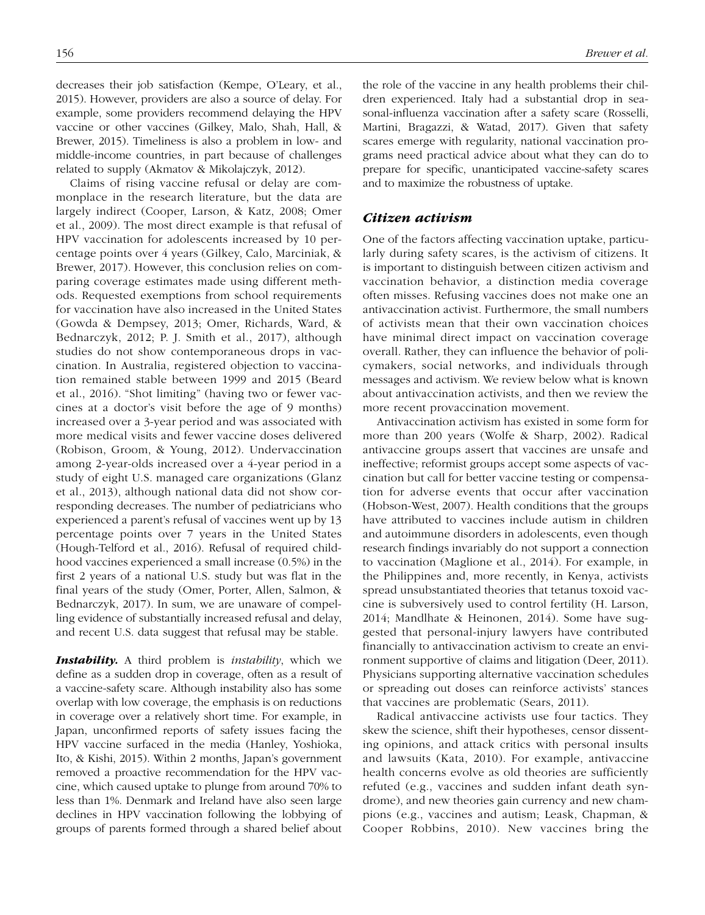decreases their job satisfaction (Kempe, O'Leary, et al., 2015). However, providers are also a source of delay. For example, some providers recommend delaying the HPV vaccine or other vaccines (Gilkey, Malo, Shah, Hall, & Brewer, 2015). Timeliness is also a problem in low- and middle-income countries, in part because of challenges related to supply (Akmatov & Mikolajczyk, 2012).

Claims of rising vaccine refusal or delay are commonplace in the research literature, but the data are largely indirect (Cooper, Larson, & Katz, 2008; Omer et al., 2009). The most direct example is that refusal of HPV vaccination for adolescents increased by 10 percentage points over 4 years (Gilkey, Calo, Marciniak, & Brewer, 2017). However, this conclusion relies on comparing coverage estimates made using different methods. Requested exemptions from school requirements for vaccination have also increased in the United States (Gowda & Dempsey, 2013; Omer, Richards, Ward, & Bednarczyk, 2012; P. J. Smith et al., 2017), although studies do not show contemporaneous drops in vaccination. In Australia, registered objection to vaccination remained stable between 1999 and 2015 (Beard et al., 2016). "Shot limiting" (having two or fewer vaccines at a doctor's visit before the age of 9 months) increased over a 3-year period and was associated with more medical visits and fewer vaccine doses delivered (Robison, Groom, & Young, 2012). Undervaccination among 2-year-olds increased over a 4-year period in a study of eight U.S. managed care organizations (Glanz et al., 2013), although national data did not show corresponding decreases. The number of pediatricians who experienced a parent's refusal of vaccines went up by 13 percentage points over 7 years in the United States (Hough-Telford et al., 2016). Refusal of required childhood vaccines experienced a small increase (0.5%) in the first 2 years of a national U.S. study but was flat in the final years of the study (Omer, Porter, Allen, Salmon, & Bednarczyk, 2017). In sum, we are unaware of compelling evidence of substantially increased refusal and delay, and recent U.S. data suggest that refusal may be stable.

*Instability.* A third problem is *instability*, which we define as a sudden drop in coverage, often as a result of a vaccine-safety scare. Although instability also has some overlap with low coverage, the emphasis is on reductions in coverage over a relatively short time. For example, in Japan, unconfirmed reports of safety issues facing the HPV vaccine surfaced in the media (Hanley, Yoshioka, Ito, & Kishi, 2015). Within 2 months, Japan's government removed a proactive recommendation for the HPV vaccine, which caused uptake to plunge from around 70% to less than 1%. Denmark and Ireland have also seen large declines in HPV vaccination following the lobbying of groups of parents formed through a shared belief about the role of the vaccine in any health problems their children experienced. Italy had a substantial drop in seasonal-influenza vaccination after a safety scare (Rosselli, Martini, Bragazzi, & Watad, 2017). Given that safety scares emerge with regularity, national vaccination programs need practical advice about what they can do to prepare for specific, unanticipated vaccine-safety scares and to maximize the robustness of uptake.

# *Citizen activism*

One of the factors affecting vaccination uptake, particularly during safety scares, is the activism of citizens. It is important to distinguish between citizen activism and vaccination behavior, a distinction media coverage often misses. Refusing vaccines does not make one an antivaccination activist. Furthermore, the small numbers of activists mean that their own vaccination choices have minimal direct impact on vaccination coverage overall. Rather, they can influence the behavior of policymakers, social networks, and individuals through messages and activism. We review below what is known about antivaccination activists, and then we review the more recent provaccination movement.

Antivaccination activism has existed in some form for more than 200 years (Wolfe & Sharp, 2002). Radical antivaccine groups assert that vaccines are unsafe and ineffective; reformist groups accept some aspects of vaccination but call for better vaccine testing or compensation for adverse events that occur after vaccination (Hobson-West, 2007). Health conditions that the groups have attributed to vaccines include autism in children and autoimmune disorders in adolescents, even though research findings invariably do not support a connection to vaccination (Maglione et al., 2014). For example, in the Philippines and, more recently, in Kenya, activists spread unsubstantiated theories that tetanus toxoid vaccine is subversively used to control fertility (H. Larson, 2014; Mandlhate & Heinonen, 2014). Some have suggested that personal-injury lawyers have contributed financially to antivaccination activism to create an environment supportive of claims and litigation (Deer, 2011). Physicians supporting alternative vaccination schedules or spreading out doses can reinforce activists' stances that vaccines are problematic (Sears, 2011).

Radical antivaccine activists use four tactics. They skew the science, shift their hypotheses, censor dissenting opinions, and attack critics with personal insults and lawsuits (Kata, 2010). For example, antivaccine health concerns evolve as old theories are sufficiently refuted (e.g., vaccines and sudden infant death syndrome), and new theories gain currency and new champions (e.g., vaccines and autism; Leask, Chapman, & Cooper Robbins, 2010). New vaccines bring the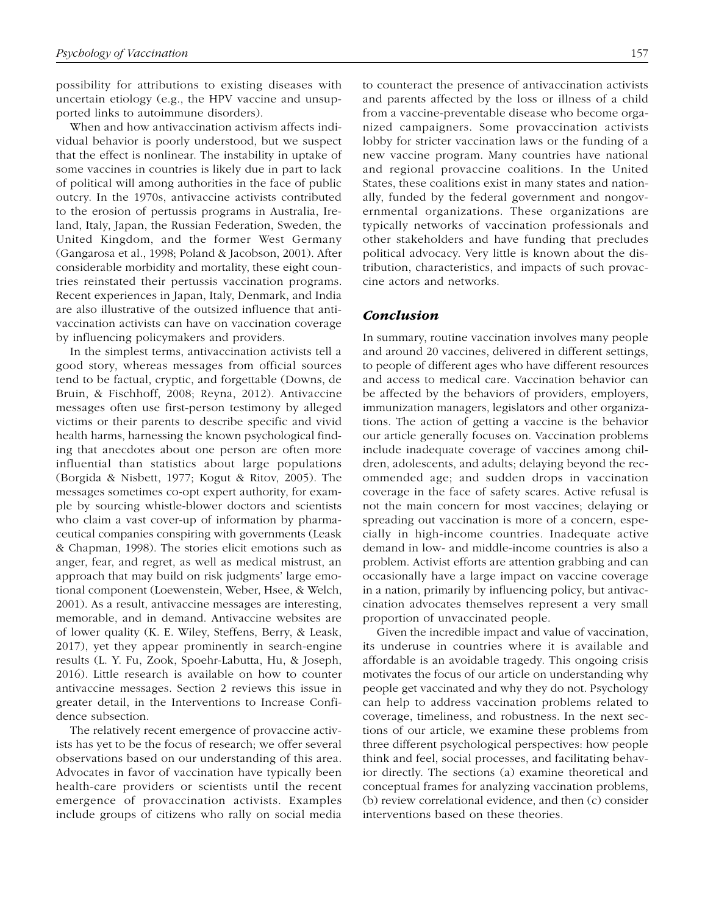possibility for attributions to existing diseases with uncertain etiology (e.g., the HPV vaccine and unsupported links to autoimmune disorders).

When and how antivaccination activism affects individual behavior is poorly understood, but we suspect that the effect is nonlinear. The instability in uptake of some vaccines in countries is likely due in part to lack of political will among authorities in the face of public outcry. In the 1970s, antivaccine activists contributed to the erosion of pertussis programs in Australia, Ireland, Italy, Japan, the Russian Federation, Sweden, the United Kingdom, and the former West Germany (Gangarosa et al., 1998; Poland & Jacobson, 2001). After considerable morbidity and mortality, these eight countries reinstated their pertussis vaccination programs. Recent experiences in Japan, Italy, Denmark, and India are also illustrative of the outsized influence that antivaccination activists can have on vaccination coverage by influencing policymakers and providers.

In the simplest terms, antivaccination activists tell a good story, whereas messages from official sources tend to be factual, cryptic, and forgettable (Downs, de Bruin, & Fischhoff, 2008; Reyna, 2012). Antivaccine messages often use first-person testimony by alleged victims or their parents to describe specific and vivid health harms, harnessing the known psychological finding that anecdotes about one person are often more influential than statistics about large populations (Borgida & Nisbett, 1977; Kogut & Ritov, 2005). The messages sometimes co-opt expert authority, for example by sourcing whistle-blower doctors and scientists who claim a vast cover-up of information by pharmaceutical companies conspiring with governments (Leask & Chapman, 1998). The stories elicit emotions such as anger, fear, and regret, as well as medical mistrust, an approach that may build on risk judgments' large emotional component (Loewenstein, Weber, Hsee, & Welch, 2001). As a result, antivaccine messages are interesting, memorable, and in demand. Antivaccine websites are of lower quality (K. E. Wiley, Steffens, Berry, & Leask, 2017), yet they appear prominently in search-engine results (L. Y. Fu, Zook, Spoehr-Labutta, Hu, & Joseph, 2016). Little research is available on how to counter antivaccine messages. Section 2 reviews this issue in greater detail, in the Interventions to Increase Confidence subsection.

The relatively recent emergence of provaccine activists has yet to be the focus of research; we offer several observations based on our understanding of this area. Advocates in favor of vaccination have typically been health-care providers or scientists until the recent emergence of provaccination activists. Examples include groups of citizens who rally on social media to counteract the presence of antivaccination activists and parents affected by the loss or illness of a child from a vaccine-preventable disease who become organized campaigners. Some provaccination activists lobby for stricter vaccination laws or the funding of a new vaccine program. Many countries have national and regional provaccine coalitions. In the United States, these coalitions exist in many states and nationally, funded by the federal government and nongovernmental organizations. These organizations are typically networks of vaccination professionals and other stakeholders and have funding that precludes political advocacy. Very little is known about the distribution, characteristics, and impacts of such provaccine actors and networks.

# *Conclusion*

In summary, routine vaccination involves many people and around 20 vaccines, delivered in different settings, to people of different ages who have different resources and access to medical care. Vaccination behavior can be affected by the behaviors of providers, employers, immunization managers, legislators and other organizations. The action of getting a vaccine is the behavior our article generally focuses on. Vaccination problems include inadequate coverage of vaccines among children, adolescents, and adults; delaying beyond the recommended age; and sudden drops in vaccination coverage in the face of safety scares. Active refusal is not the main concern for most vaccines; delaying or spreading out vaccination is more of a concern, especially in high-income countries. Inadequate active demand in low- and middle-income countries is also a problem. Activist efforts are attention grabbing and can occasionally have a large impact on vaccine coverage in a nation, primarily by influencing policy, but antivaccination advocates themselves represent a very small proportion of unvaccinated people.

Given the incredible impact and value of vaccination, its underuse in countries where it is available and affordable is an avoidable tragedy. This ongoing crisis motivates the focus of our article on understanding why people get vaccinated and why they do not. Psychology can help to address vaccination problems related to coverage, timeliness, and robustness. In the next sections of our article, we examine these problems from three different psychological perspectives: how people think and feel, social processes, and facilitating behavior directly. The sections (a) examine theoretical and conceptual frames for analyzing vaccination problems, (b) review correlational evidence, and then (c) consider interventions based on these theories.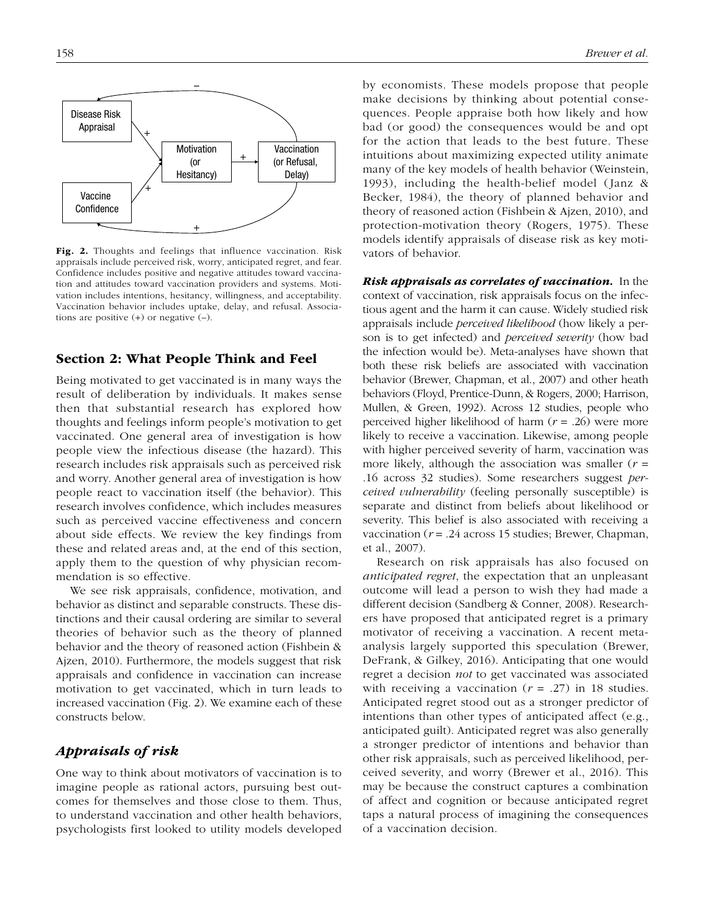

Fig. 2. Thoughts and feelings that influence vaccination. Risk appraisals include perceived risk, worry, anticipated regret, and fear. Confidence includes positive and negative attitudes toward vaccination and attitudes toward vaccination providers and systems. Motivation includes intentions, hesitancy, willingness, and acceptability. Vaccination behavior includes uptake, delay, and refusal. Associations are positive  $(+)$  or negative  $(-)$ .

## Section 2: What People Think and Feel

Being motivated to get vaccinated is in many ways the result of deliberation by individuals. It makes sense then that substantial research has explored how thoughts and feelings inform people's motivation to get vaccinated. One general area of investigation is how people view the infectious disease (the hazard). This research includes risk appraisals such as perceived risk and worry. Another general area of investigation is how people react to vaccination itself (the behavior). This research involves confidence, which includes measures such as perceived vaccine effectiveness and concern about side effects. We review the key findings from these and related areas and, at the end of this section, apply them to the question of why physician recommendation is so effective.

We see risk appraisals, confidence, motivation, and behavior as distinct and separable constructs. These distinctions and their causal ordering are similar to several theories of behavior such as the theory of planned behavior and the theory of reasoned action (Fishbein & Ajzen, 2010). Furthermore, the models suggest that risk appraisals and confidence in vaccination can increase motivation to get vaccinated, which in turn leads to increased vaccination (Fig. 2). We examine each of these constructs below.

# *Appraisals of risk*

One way to think about motivators of vaccination is to imagine people as rational actors, pursuing best outcomes for themselves and those close to them. Thus, to understand vaccination and other health behaviors, psychologists first looked to utility models developed by economists. These models propose that people make decisions by thinking about potential consequences. People appraise both how likely and how bad (or good) the consequences would be and opt for the action that leads to the best future. These intuitions about maximizing expected utility animate many of the key models of health behavior (Weinstein, 1993), including the health-belief model (Janz & Becker, 1984), the theory of planned behavior and theory of reasoned action (Fishbein & Ajzen, 2010), and protection-motivation theory (Rogers, 1975). These models identify appraisals of disease risk as key motivators of behavior.

*Risk appraisals as correlates of vaccination.* In the context of vaccination, risk appraisals focus on the infectious agent and the harm it can cause. Widely studied risk appraisals include *perceived likelihood* (how likely a person is to get infected) and *perceived severity* (how bad the infection would be). Meta-analyses have shown that both these risk beliefs are associated with vaccination behavior (Brewer, Chapman, et al., 2007) and other heath behaviors (Floyd, Prentice-Dunn, & Rogers, 2000; Harrison, Mullen, & Green, 1992). Across 12 studies, people who perceived higher likelihood of harm (*r* = .26) were more likely to receive a vaccination. Likewise, among people with higher perceived severity of harm, vaccination was more likely, although the association was smaller (*r* = .16 across 32 studies). Some researchers suggest *perceived vulnerability* (feeling personally susceptible) is separate and distinct from beliefs about likelihood or severity. This belief is also associated with receiving a vaccination (*r* = .24 across 15 studies; Brewer, Chapman, et al., 2007).

Research on risk appraisals has also focused on *anticipated regret*, the expectation that an unpleasant outcome will lead a person to wish they had made a different decision (Sandberg & Conner, 2008). Researchers have proposed that anticipated regret is a primary motivator of receiving a vaccination. A recent metaanalysis largely supported this speculation (Brewer, DeFrank, & Gilkey, 2016). Anticipating that one would regret a decision *not* to get vaccinated was associated with receiving a vaccination  $(r = .27)$  in 18 studies. Anticipated regret stood out as a stronger predictor of intentions than other types of anticipated affect (e.g., anticipated guilt). Anticipated regret was also generally a stronger predictor of intentions and behavior than other risk appraisals, such as perceived likelihood, perceived severity, and worry (Brewer et al., 2016). This may be because the construct captures a combination of affect and cognition or because anticipated regret taps a natural process of imagining the consequences of a vaccination decision.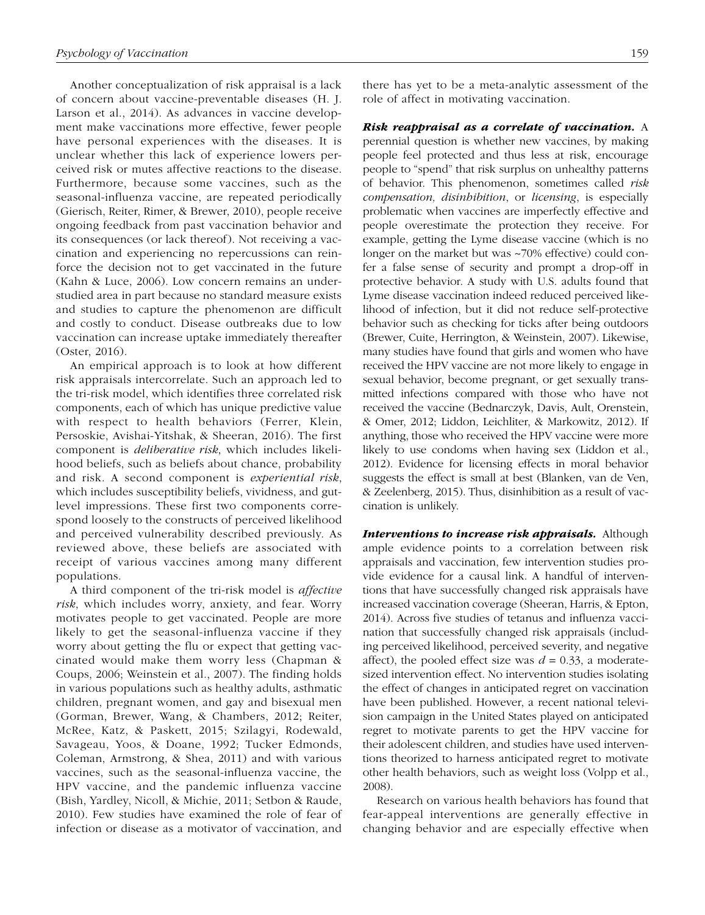Another conceptualization of risk appraisal is a lack of concern about vaccine-preventable diseases (H. J. Larson et al., 2014). As advances in vaccine development make vaccinations more effective, fewer people have personal experiences with the diseases. It is unclear whether this lack of experience lowers perceived risk or mutes affective reactions to the disease. Furthermore, because some vaccines, such as the seasonal-influenza vaccine, are repeated periodically (Gierisch, Reiter, Rimer, & Brewer, 2010), people receive ongoing feedback from past vaccination behavior and its consequences (or lack thereof). Not receiving a vaccination and experiencing no repercussions can reinforce the decision not to get vaccinated in the future (Kahn & Luce, 2006). Low concern remains an understudied area in part because no standard measure exists and studies to capture the phenomenon are difficult and costly to conduct. Disease outbreaks due to low vaccination can increase uptake immediately thereafter (Oster, 2016).

An empirical approach is to look at how different risk appraisals intercorrelate. Such an approach led to the tri-risk model, which identifies three correlated risk components, each of which has unique predictive value with respect to health behaviors (Ferrer, Klein, Persoskie, Avishai-Yitshak, & Sheeran, 2016). The first component is *deliberative risk*, which includes likelihood beliefs, such as beliefs about chance, probability and risk. A second component is *experiential risk*, which includes susceptibility beliefs, vividness, and gutlevel impressions. These first two components correspond loosely to the constructs of perceived likelihood and perceived vulnerability described previously. As reviewed above, these beliefs are associated with receipt of various vaccines among many different populations.

A third component of the tri-risk model is *affective risk*, which includes worry, anxiety, and fear. Worry motivates people to get vaccinated. People are more likely to get the seasonal-influenza vaccine if they worry about getting the flu or expect that getting vaccinated would make them worry less (Chapman & Coups, 2006; Weinstein et al., 2007). The finding holds in various populations such as healthy adults, asthmatic children, pregnant women, and gay and bisexual men (Gorman, Brewer, Wang, & Chambers, 2012; Reiter, McRee, Katz, & Paskett, 2015; Szilagyi, Rodewald, Savageau, Yoos, & Doane, 1992; Tucker Edmonds, Coleman, Armstrong, & Shea, 2011) and with various vaccines, such as the seasonal-influenza vaccine, the HPV vaccine, and the pandemic influenza vaccine (Bish, Yardley, Nicoll, & Michie, 2011; Setbon & Raude, 2010). Few studies have examined the role of fear of infection or disease as a motivator of vaccination, and there has yet to be a meta-analytic assessment of the role of affect in motivating vaccination.

*Risk reappraisal as a correlate of vaccination.* A perennial question is whether new vaccines, by making people feel protected and thus less at risk, encourage people to "spend" that risk surplus on unhealthy patterns of behavior. This phenomenon, sometimes called *risk compensation, disinhibition*, or *licensing*, is especially problematic when vaccines are imperfectly effective and people overestimate the protection they receive. For example, getting the Lyme disease vaccine (which is no longer on the market but was ~70% effective) could confer a false sense of security and prompt a drop-off in protective behavior. A study with U.S. adults found that Lyme disease vaccination indeed reduced perceived likelihood of infection, but it did not reduce self-protective behavior such as checking for ticks after being outdoors (Brewer, Cuite, Herrington, & Weinstein, 2007). Likewise, many studies have found that girls and women who have received the HPV vaccine are not more likely to engage in sexual behavior, become pregnant, or get sexually transmitted infections compared with those who have not received the vaccine (Bednarczyk, Davis, Ault, Orenstein, & Omer, 2012; Liddon, Leichliter, & Markowitz, 2012). If anything, those who received the HPV vaccine were more likely to use condoms when having sex (Liddon et al., 2012). Evidence for licensing effects in moral behavior suggests the effect is small at best (Blanken, van de Ven, & Zeelenberg, 2015). Thus, disinhibition as a result of vaccination is unlikely.

*Interventions to increase risk appraisals.* Although ample evidence points to a correlation between risk appraisals and vaccination, few intervention studies provide evidence for a causal link. A handful of interventions that have successfully changed risk appraisals have increased vaccination coverage (Sheeran, Harris, & Epton, 2014). Across five studies of tetanus and influenza vaccination that successfully changed risk appraisals (including perceived likelihood, perceived severity, and negative affect), the pooled effect size was  $d = 0.33$ , a moderatesized intervention effect. No intervention studies isolating the effect of changes in anticipated regret on vaccination have been published. However, a recent national television campaign in the United States played on anticipated regret to motivate parents to get the HPV vaccine for their adolescent children, and studies have used interventions theorized to harness anticipated regret to motivate other health behaviors, such as weight loss (Volpp et al., 2008).

Research on various health behaviors has found that fear-appeal interventions are generally effective in changing behavior and are especially effective when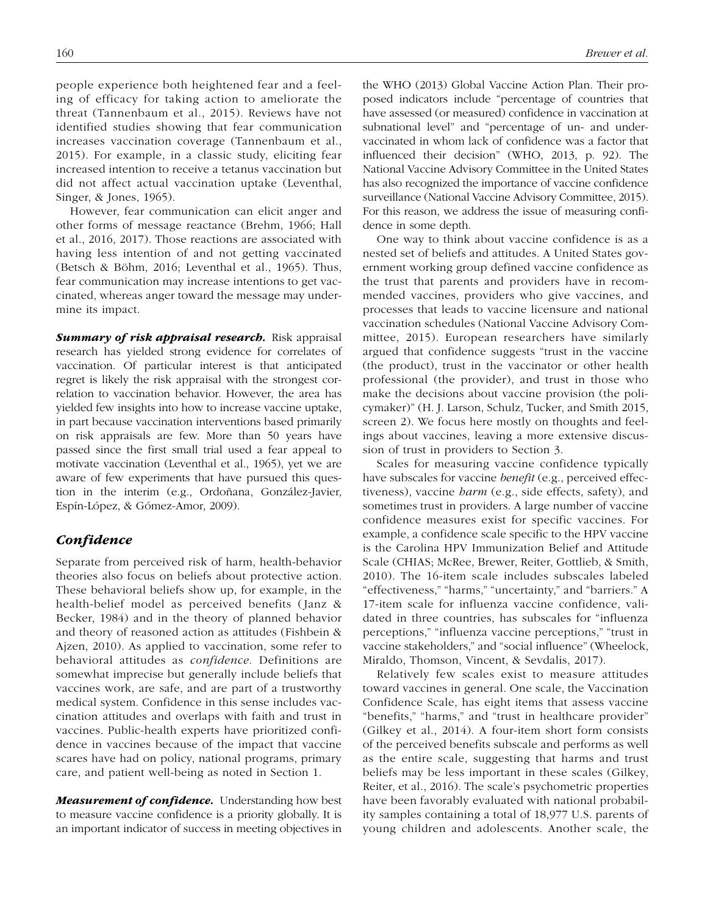people experience both heightened fear and a feeling of efficacy for taking action to ameliorate the threat (Tannenbaum et al., 2015). Reviews have not identified studies showing that fear communication increases vaccination coverage (Tannenbaum et al., 2015). For example, in a classic study, eliciting fear increased intention to receive a tetanus vaccination but did not affect actual vaccination uptake (Leventhal, Singer, & Jones, 1965).

However, fear communication can elicit anger and other forms of message reactance (Brehm, 1966; Hall et al., 2016, 2017). Those reactions are associated with having less intention of and not getting vaccinated (Betsch & Böhm, 2016; Leventhal et al., 1965). Thus, fear communication may increase intentions to get vaccinated, whereas anger toward the message may undermine its impact.

*Summary of risk appraisal research.* Risk appraisal research has yielded strong evidence for correlates of vaccination. Of particular interest is that anticipated regret is likely the risk appraisal with the strongest correlation to vaccination behavior. However, the area has yielded few insights into how to increase vaccine uptake, in part because vaccination interventions based primarily on risk appraisals are few. More than 50 years have passed since the first small trial used a fear appeal to motivate vaccination (Leventhal et al., 1965), yet we are aware of few experiments that have pursued this question in the interim (e.g., Ordoñana, González-Javier, Espín-López, & Gómez-Amor, 2009).

# *Confidence*

Separate from perceived risk of harm, health-behavior theories also focus on beliefs about protective action. These behavioral beliefs show up, for example, in the health-belief model as perceived benefits (Janz & Becker, 1984) and in the theory of planned behavior and theory of reasoned action as attitudes (Fishbein & Ajzen, 2010). As applied to vaccination, some refer to behavioral attitudes as *confidence.* Definitions are somewhat imprecise but generally include beliefs that vaccines work, are safe, and are part of a trustworthy medical system. Confidence in this sense includes vaccination attitudes and overlaps with faith and trust in vaccines. Public-health experts have prioritized confidence in vaccines because of the impact that vaccine scares have had on policy, national programs, primary care, and patient well-being as noted in Section 1.

*Measurement of confidence.* Understanding how best to measure vaccine confidence is a priority globally. It is an important indicator of success in meeting objectives in the WHO (2013) Global Vaccine Action Plan. Their proposed indicators include "percentage of countries that have assessed (or measured) confidence in vaccination at subnational level" and "percentage of un- and undervaccinated in whom lack of confidence was a factor that influenced their decision" (WHO, 2013, p. 92). The National Vaccine Advisory Committee in the United States has also recognized the importance of vaccine confidence surveillance (National Vaccine Advisory Committee, 2015). For this reason, we address the issue of measuring confidence in some depth.

One way to think about vaccine confidence is as a nested set of beliefs and attitudes. A United States government working group defined vaccine confidence as the trust that parents and providers have in recommended vaccines, providers who give vaccines, and processes that leads to vaccine licensure and national vaccination schedules (National Vaccine Advisory Committee, 2015). European researchers have similarly argued that confidence suggests "trust in the vaccine (the product), trust in the vaccinator or other health professional (the provider), and trust in those who make the decisions about vaccine provision (the policymaker)" (H. J. Larson, Schulz, Tucker, and Smith 2015, screen 2). We focus here mostly on thoughts and feelings about vaccines, leaving a more extensive discussion of trust in providers to Section 3.

Scales for measuring vaccine confidence typically have subscales for vaccine *benefit* (e.g., perceived effectiveness), vaccine *harm* (e.g., side effects, safety), and sometimes trust in providers. A large number of vaccine confidence measures exist for specific vaccines. For example, a confidence scale specific to the HPV vaccine is the Carolina HPV Immunization Belief and Attitude Scale (CHIAS; McRee, Brewer, Reiter, Gottlieb, & Smith, 2010). The 16-item scale includes subscales labeled "effectiveness," "harms," "uncertainty," and "barriers." A 17-item scale for influenza vaccine confidence, validated in three countries, has subscales for "influenza perceptions," "influenza vaccine perceptions," "trust in vaccine stakeholders," and "social influence" (Wheelock, Miraldo, Thomson, Vincent, & Sevdalis, 2017).

Relatively few scales exist to measure attitudes toward vaccines in general. One scale, the Vaccination Confidence Scale, has eight items that assess vaccine "benefits," "harms," and "trust in healthcare provider" (Gilkey et al., 2014). A four-item short form consists of the perceived benefits subscale and performs as well as the entire scale, suggesting that harms and trust beliefs may be less important in these scales (Gilkey, Reiter, et al., 2016). The scale's psychometric properties have been favorably evaluated with national probability samples containing a total of 18,977 U.S. parents of young children and adolescents. Another scale, the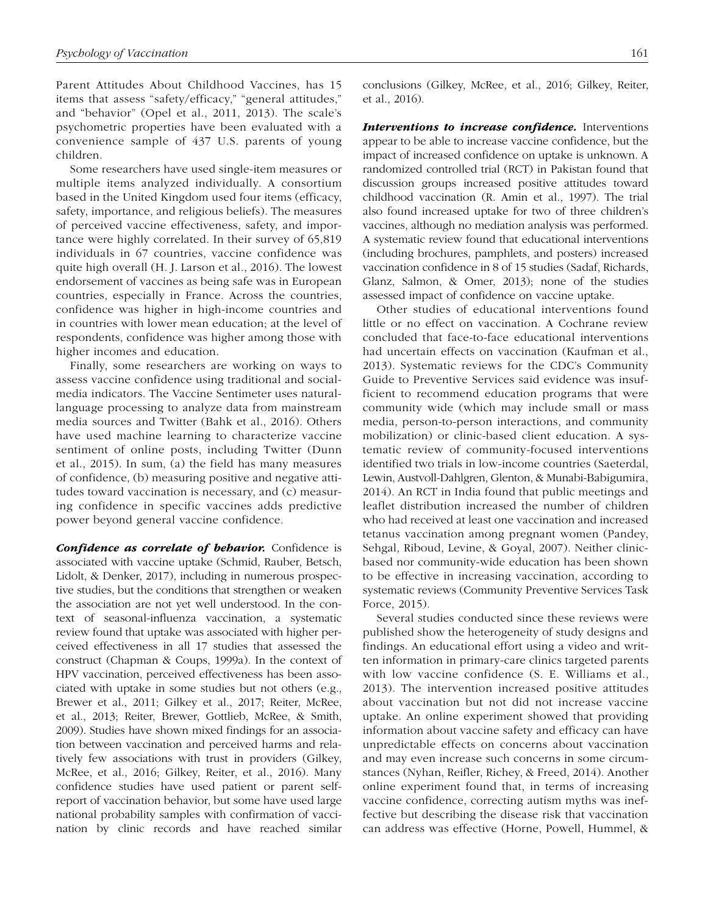Parent Attitudes about Childhood Vaccines, has 15 items that assess "safety/efficacy," "general attitudes," and "behavior" (Opel et al., 2011, 2013). The scale's psychometric properties have been evaluated with a convenience sample of 437 U.S. parents of young children.

Some researchers have used single-item measures or multiple items analyzed individually. A consortium based in the United Kingdom used four items (efficacy, safety, importance, and religious beliefs). The measures of perceived vaccine effectiveness, safety, and importance were highly correlated. In their survey of 65,819 individuals in 67 countries, vaccine confidence was quite high overall (H. J. Larson et al., 2016). The lowest endorsement of vaccines as being safe was in European countries, especially in France. Across the countries, confidence was higher in high-income countries and in countries with lower mean education; at the level of respondents, confidence was higher among those with higher incomes and education.

Finally, some researchers are working on ways to assess vaccine confidence using traditional and socialmedia indicators. The Vaccine Sentimeter uses naturallanguage processing to analyze data from mainstream media sources and Twitter (Bahk et al., 2016). Others have used machine learning to characterize vaccine sentiment of online posts, including Twitter (Dunn et al., 2015). In sum, (a) the field has many measures of confidence, (b) measuring positive and negative attitudes toward vaccination is necessary, and (c) measuring confidence in specific vaccines adds predictive power beyond general vaccine confidence.

*Confidence as correlate of behavior.* Confidence is associated with vaccine uptake (Schmid, Rauber, Betsch, Lidolt, & Denker, 2017), including in numerous prospective studies, but the conditions that strengthen or weaken the association are not yet well understood. In the context of seasonal-influenza vaccination, a systematic review found that uptake was associated with higher perceived effectiveness in all 17 studies that assessed the construct (Chapman & Coups, 1999a). In the context of HPV vaccination, perceived effectiveness has been associated with uptake in some studies but not others (e.g., Brewer et al., 2011; Gilkey et al., 2017; Reiter, McRee, et al., 2013; Reiter, Brewer, Gottlieb, McRee, & Smith, 2009). Studies have shown mixed findings for an association between vaccination and perceived harms and relatively few associations with trust in providers (Gilkey, McRee, et al., 2016; Gilkey, Reiter, et al., 2016). Many confidence studies have used patient or parent selfreport of vaccination behavior, but some have used large national probability samples with confirmation of vaccination by clinic records and have reached similar conclusions (Gilkey, McRee, et al., 2016; Gilkey, Reiter, et al., 2016).

*Interventions to increase confidence.* Interventions appear to be able to increase vaccine confidence, but the impact of increased confidence on uptake is unknown. A randomized controlled trial (RCT) in Pakistan found that discussion groups increased positive attitudes toward childhood vaccination (R. Amin et al., 1997). The trial also found increased uptake for two of three children's vaccines, although no mediation analysis was performed. A systematic review found that educational interventions (including brochures, pamphlets, and posters) increased vaccination confidence in 8 of 15 studies (Sadaf, Richards, Glanz, Salmon, & Omer, 2013); none of the studies assessed impact of confidence on vaccine uptake.

Other studies of educational interventions found little or no effect on vaccination. A Cochrane review concluded that face-to-face educational interventions had uncertain effects on vaccination (Kaufman et al., 2013). Systematic reviews for the CDC's Community Guide to Preventive Services said evidence was insufficient to recommend education programs that were community wide (which may include small or mass media, person-to-person interactions, and community mobilization) or clinic-based client education. A systematic review of community-focused interventions identified two trials in low-income countries (Saeterdal, Lewin, Austvoll-Dahlgren, Glenton, & Munabi-Babigumira, 2014). An RCT in India found that public meetings and leaflet distribution increased the number of children who had received at least one vaccination and increased tetanus vaccination among pregnant women (Pandey, Sehgal, Riboud, Levine, & Goyal, 2007). Neither clinicbased nor community-wide education has been shown to be effective in increasing vaccination, according to systematic reviews (Community Preventive Services Task Force, 2015).

Several studies conducted since these reviews were published show the heterogeneity of study designs and findings. An educational effort using a video and written information in primary-care clinics targeted parents with low vaccine confidence (S. E. Williams et al., 2013). The intervention increased positive attitudes about vaccination but not did not increase vaccine uptake. An online experiment showed that providing information about vaccine safety and efficacy can have unpredictable effects on concerns about vaccination and may even increase such concerns in some circumstances (Nyhan, Reifler, Richey, & Freed, 2014). Another online experiment found that, in terms of increasing vaccine confidence, correcting autism myths was ineffective but describing the disease risk that vaccination can address was effective (Horne, Powell, Hummel, &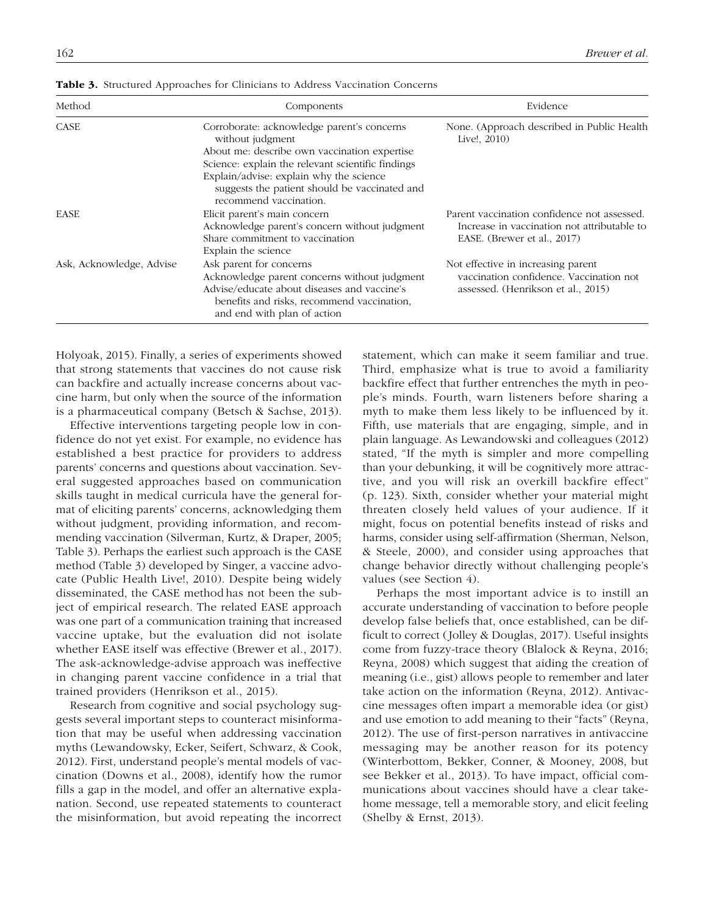| Method                   | Components                                                                                                                                                                                          | Evidence                                                                                                                  |
|--------------------------|-----------------------------------------------------------------------------------------------------------------------------------------------------------------------------------------------------|---------------------------------------------------------------------------------------------------------------------------|
| CASE                     | Corroborate: acknowledge parent's concerns<br>without judgment                                                                                                                                      | None. (Approach described in Public Health<br>Live!, 2010)                                                                |
|                          | About me: describe own vaccination expertise                                                                                                                                                        |                                                                                                                           |
|                          | Science: explain the relevant scientific findings<br>Explain/advise: explain why the science<br>suggests the patient should be vaccinated and<br>recommend vaccination.                             |                                                                                                                           |
| <b>EASE</b>              | Elicit parent's main concern<br>Acknowledge parent's concern without judgment<br>Share commitment to vaccination<br>Explain the science                                                             | Parent vaccination confidence not assessed.<br>Increase in vaccination not attributable to<br>EASE. (Brewer et al., 2017) |
| Ask, Acknowledge, Advise | Ask parent for concerns<br>Acknowledge parent concerns without judgment<br>Advise/educate about diseases and vaccine's<br>benefits and risks, recommend vaccination,<br>and end with plan of action | Not effective in increasing parent<br>vaccination confidence. Vaccination not<br>assessed. (Henrikson et al., 2015)       |

Table 3. Structured Approaches for Clinicians to Address Vaccination Concerns

Holyoak, 2015). Finally, a series of experiments showed that strong statements that vaccines do not cause risk can backfire and actually increase concerns about vaccine harm, but only when the source of the information is a pharmaceutical company (Betsch & Sachse, 2013).

Effective interventions targeting people low in confidence do not yet exist. For example, no evidence has established a best practice for providers to address parents' concerns and questions about vaccination. Several suggested approaches based on communication skills taught in medical curricula have the general format of eliciting parents' concerns, acknowledging them without judgment, providing information, and recommending vaccination (Silverman, Kurtz, & Draper, 2005; Table 3). Perhaps the earliest such approach is the CASE method (Table 3) developed by Singer, a vaccine advocate (Public Health Live!, 2010). Despite being widely disseminated, the CASE method has not been the subject of empirical research. The related EASE approach was one part of a communication training that increased vaccine uptake, but the evaluation did not isolate whether EASE itself was effective (Brewer et al., 2017). The ask-acknowledge-advise approach was ineffective in changing parent vaccine confidence in a trial that trained providers (Henrikson et al., 2015).

Research from cognitive and social psychology suggests several important steps to counteract misinformation that may be useful when addressing vaccination myths (Lewandowsky, Ecker, Seifert, Schwarz, & Cook, 2012). First, understand people's mental models of vaccination (Downs et al., 2008), identify how the rumor fills a gap in the model, and offer an alternative explanation. Second, use repeated statements to counteract the misinformation, but avoid repeating the incorrect statement, which can make it seem familiar and true. Third, emphasize what is true to avoid a familiarity backfire effect that further entrenches the myth in people's minds. Fourth, warn listeners before sharing a myth to make them less likely to be influenced by it. Fifth, use materials that are engaging, simple, and in plain language. As Lewandowski and colleagues (2012) stated, "If the myth is simpler and more compelling than your debunking, it will be cognitively more attractive, and you will risk an overkill backfire effect" (p. 123). Sixth, consider whether your material might threaten closely held values of your audience. If it might, focus on potential benefits instead of risks and harms, consider using self-affirmation (Sherman, Nelson, & Steele, 2000), and consider using approaches that change behavior directly without challenging people's values (see Section 4).

Perhaps the most important advice is to instill an accurate understanding of vaccination to before people develop false beliefs that, once established, can be difficult to correct (Jolley & Douglas, 2017). Useful insights come from fuzzy-trace theory (Blalock & Reyna, 2016; Reyna, 2008) which suggest that aiding the creation of meaning (i.e., gist) allows people to remember and later take action on the information (Reyna, 2012). Antivaccine messages often impart a memorable idea (or gist) and use emotion to add meaning to their "facts" (Reyna, 2012). The use of first-person narratives in antivaccine messaging may be another reason for its potency (Winterbottom, Bekker, Conner, & Mooney, 2008, but see Bekker et al., 2013). To have impact, official communications about vaccines should have a clear takehome message, tell a memorable story, and elicit feeling (Shelby & Ernst, 2013).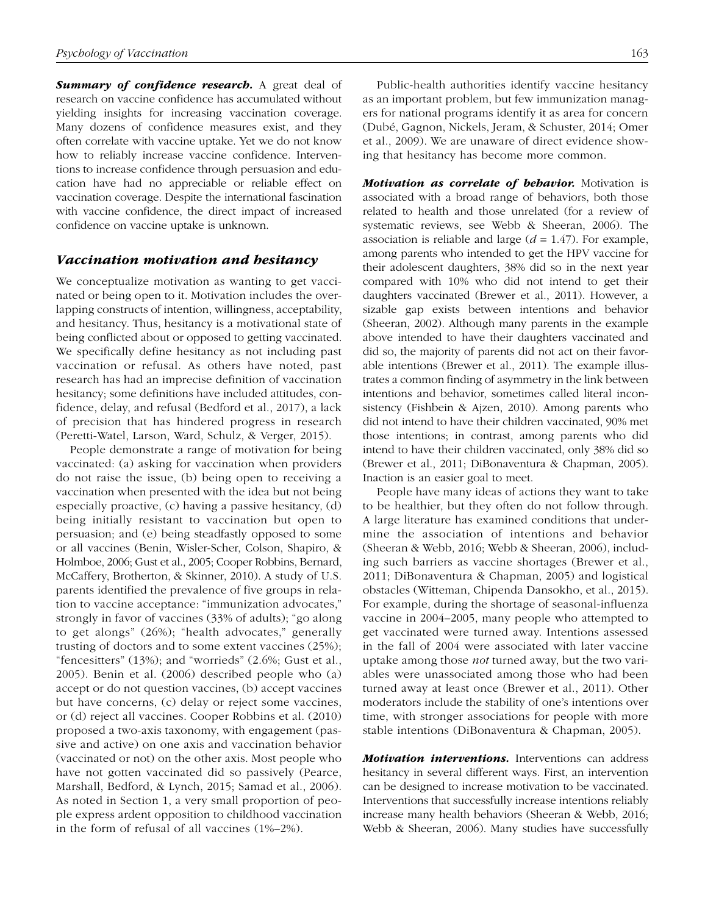*Summary of confidence research.* A great deal of research on vaccine confidence has accumulated without yielding insights for increasing vaccination coverage. Many dozens of confidence measures exist, and they often correlate with vaccine uptake. Yet we do not know how to reliably increase vaccine confidence. Interventions to increase confidence through persuasion and education have had no appreciable or reliable effect on vaccination coverage. Despite the international fascination with vaccine confidence, the direct impact of increased confidence on vaccine uptake is unknown.

#### *Vaccination motivation and hesitancy*

We conceptualize motivation as wanting to get vaccinated or being open to it. Motivation includes the overlapping constructs of intention, willingness, acceptability, and hesitancy. Thus, hesitancy is a motivational state of being conflicted about or opposed to getting vaccinated. We specifically define hesitancy as not including past vaccination or refusal. As others have noted, past research has had an imprecise definition of vaccination hesitancy; some definitions have included attitudes, confidence, delay, and refusal (Bedford et al., 2017), a lack of precision that has hindered progress in research (Peretti-Watel, Larson, Ward, Schulz, & Verger, 2015).

People demonstrate a range of motivation for being vaccinated: (a) asking for vaccination when providers do not raise the issue, (b) being open to receiving a vaccination when presented with the idea but not being especially proactive, (c) having a passive hesitancy, (d) being initially resistant to vaccination but open to persuasion; and (e) being steadfastly opposed to some or all vaccines (Benin, Wisler-Scher, Colson, Shapiro, & Holmboe, 2006; Gust et al., 2005; Cooper Robbins, Bernard, McCaffery, Brotherton, & Skinner, 2010). A study of U.S. parents identified the prevalence of five groups in relation to vaccine acceptance: "immunization advocates," strongly in favor of vaccines (33% of adults); "go along to get alongs" (26%); "health advocates," generally trusting of doctors and to some extent vaccines (25%); "fencesitters" (13%); and "worrieds" (2.6%; Gust et al., 2005). Benin et al. (2006) described people who (a) accept or do not question vaccines, (b) accept vaccines but have concerns, (c) delay or reject some vaccines, or (d) reject all vaccines. Cooper Robbins et al. (2010) proposed a two-axis taxonomy, with engagement (passive and active) on one axis and vaccination behavior (vaccinated or not) on the other axis. Most people who have not gotten vaccinated did so passively (Pearce, Marshall, Bedford, & Lynch, 2015; Samad et al., 2006). As noted in Section 1, a very small proportion of people express ardent opposition to childhood vaccination in the form of refusal of all vaccines (1%–2%).

Public-health authorities identify vaccine hesitancy as an important problem, but few immunization managers for national programs identify it as area for concern (Dubé, Gagnon, Nickels, Jeram, & Schuster, 2014; Omer et al., 2009). We are unaware of direct evidence showing that hesitancy has become more common.

*Motivation as correlate of behavior.* Motivation is associated with a broad range of behaviors, both those related to health and those unrelated (for a review of systematic reviews, see Webb & Sheeran, 2006). The association is reliable and large (*d* = 1.47). For example, among parents who intended to get the HPV vaccine for their adolescent daughters, 38% did so in the next year compared with 10% who did not intend to get their daughters vaccinated (Brewer et al., 2011). However, a sizable gap exists between intentions and behavior (Sheeran, 2002). Although many parents in the example above intended to have their daughters vaccinated and did so, the majority of parents did not act on their favorable intentions (Brewer et al., 2011). The example illustrates a common finding of asymmetry in the link between intentions and behavior, sometimes called literal inconsistency (Fishbein & Ajzen, 2010). Among parents who did not intend to have their children vaccinated, 90% met those intentions; in contrast, among parents who did intend to have their children vaccinated, only 38% did so (Brewer et al., 2011; DiBonaventura & Chapman, 2005). Inaction is an easier goal to meet.

People have many ideas of actions they want to take to be healthier, but they often do not follow through. A large literature has examined conditions that undermine the association of intentions and behavior (Sheeran & Webb, 2016; Webb & Sheeran, 2006), including such barriers as vaccine shortages (Brewer et al., 2011; DiBonaventura & Chapman, 2005) and logistical obstacles (Witteman, Chipenda Dansokho, et al., 2015). For example, during the shortage of seasonal-influenza vaccine in 2004–2005, many people who attempted to get vaccinated were turned away. Intentions assessed in the fall of 2004 were associated with later vaccine uptake among those *not* turned away, but the two variables were unassociated among those who had been turned away at least once (Brewer et al., 2011). Other moderators include the stability of one's intentions over time, with stronger associations for people with more stable intentions (DiBonaventura & Chapman, 2005).

*Motivation interventions.* Interventions can address hesitancy in several different ways. First, an intervention can be designed to increase motivation to be vaccinated. Interventions that successfully increase intentions reliably increase many health behaviors (Sheeran & Webb, 2016; Webb & Sheeran, 2006). Many studies have successfully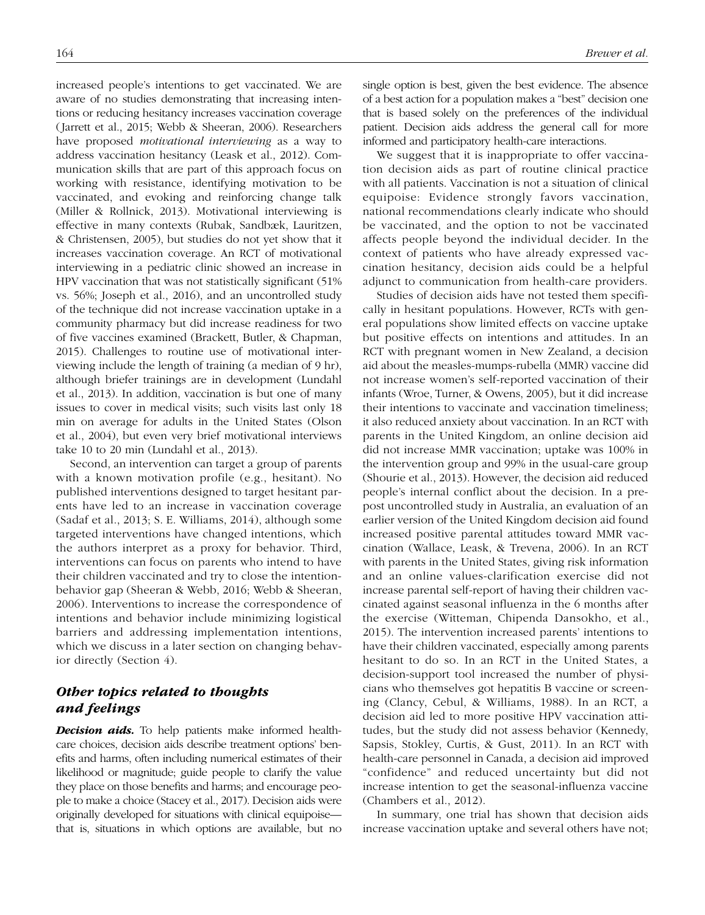increased people's intentions to get vaccinated. We are aware of no studies demonstrating that increasing intentions or reducing hesitancy increases vaccination coverage (Jarrett et al., 2015; Webb & Sheeran, 2006). Researchers have proposed *motivational interviewing* as a way to address vaccination hesitancy (Leask et al., 2012). Communication skills that are part of this approach focus on working with resistance, identifying motivation to be vaccinated, and evoking and reinforcing change talk (Miller & Rollnick, 2013). Motivational interviewing is effective in many contexts (Rubak, Sandbæk, Lauritzen, & Christensen, 2005), but studies do not yet show that it increases vaccination coverage. An RCT of motivational interviewing in a pediatric clinic showed an increase in HPV vaccination that was not statistically significant (51% vs. 56%; Joseph et al., 2016), and an uncontrolled study of the technique did not increase vaccination uptake in a community pharmacy but did increase readiness for two of five vaccines examined (Brackett, Butler, & Chapman, 2015). Challenges to routine use of motivational interviewing include the length of training (a median of 9 hr), although briefer trainings are in development (Lundahl et al., 2013). In addition, vaccination is but one of many issues to cover in medical visits; such visits last only 18 min on average for adults in the United States (Olson et al., 2004), but even very brief motivational interviews take 10 to 20 min (Lundahl et al., 2013).

Second, an intervention can target a group of parents with a known motivation profile (e.g., hesitant). No published interventions designed to target hesitant parents have led to an increase in vaccination coverage (Sadaf et al., 2013; S. E. Williams, 2014), although some targeted interventions have changed intentions, which the authors interpret as a proxy for behavior. Third, interventions can focus on parents who intend to have their children vaccinated and try to close the intentionbehavior gap (Sheeran & Webb, 2016; Webb & Sheeran, 2006). Interventions to increase the correspondence of intentions and behavior include minimizing logistical barriers and addressing implementation intentions, which we discuss in a later section on changing behavior directly (Section 4).

# *Other topics related to thoughts and feelings*

*Decision aids.* To help patients make informed healthcare choices, decision aids describe treatment options' benefits and harms, often including numerical estimates of their likelihood or magnitude; guide people to clarify the value they place on those benefits and harms; and encourage people to make a choice (Stacey et al., 2017). Decision aids were originally developed for situations with clinical equipoise that is, situations in which options are available, but no single option is best, given the best evidence. The absence of a best action for a population makes a "best" decision one that is based solely on the preferences of the individual patient. Decision aids address the general call for more informed and participatory health-care interactions.

We suggest that it is inappropriate to offer vaccination decision aids as part of routine clinical practice with all patients. Vaccination is not a situation of clinical equipoise: Evidence strongly favors vaccination, national recommendations clearly indicate who should be vaccinated, and the option to not be vaccinated affects people beyond the individual decider. In the context of patients who have already expressed vaccination hesitancy, decision aids could be a helpful adjunct to communication from health-care providers.

Studies of decision aids have not tested them specifically in hesitant populations. However, RCTs with general populations show limited effects on vaccine uptake but positive effects on intentions and attitudes. In an RCT with pregnant women in New Zealand, a decision aid about the measles-mumps-rubella (MMR) vaccine did not increase women's self-reported vaccination of their infants (Wroe, Turner, & Owens, 2005), but it did increase their intentions to vaccinate and vaccination timeliness; it also reduced anxiety about vaccination. In an RCT with parents in the United Kingdom, an online decision aid did not increase MMR vaccination; uptake was 100% in the intervention group and 99% in the usual-care group (Shourie et al., 2013). However, the decision aid reduced people's internal conflict about the decision. In a prepost uncontrolled study in Australia, an evaluation of an earlier version of the United Kingdom decision aid found increased positive parental attitudes toward MMR vaccination (Wallace, Leask, & Trevena, 2006). In an RCT with parents in the United States, giving risk information and an online values-clarification exercise did not increase parental self-report of having their children vaccinated against seasonal influenza in the 6 months after the exercise (Witteman, Chipenda Dansokho, et al., 2015). The intervention increased parents' intentions to have their children vaccinated, especially among parents hesitant to do so. In an RCT in the United States, a decision-support tool increased the number of physicians who themselves got hepatitis B vaccine or screening (Clancy, Cebul, & Williams, 1988). In an RCT, a decision aid led to more positive HPV vaccination attitudes, but the study did not assess behavior (Kennedy, Sapsis, Stokley, Curtis, & Gust, 2011). In an RCT with health-care personnel in Canada, a decision aid improved "confidence" and reduced uncertainty but did not increase intention to get the seasonal-influenza vaccine (Chambers et al., 2012).

In summary, one trial has shown that decision aids increase vaccination uptake and several others have not;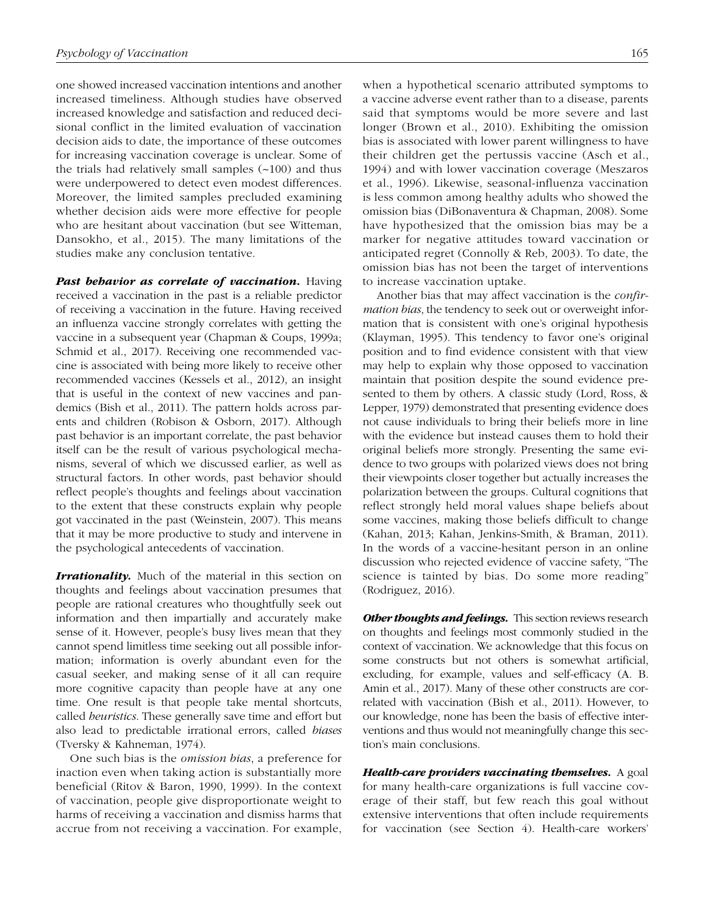one showed increased vaccination intentions and another increased timeliness. Although studies have observed increased knowledge and satisfaction and reduced decisional conflict in the limited evaluation of vaccination decision aids to date, the importance of these outcomes for increasing vaccination coverage is unclear. Some of the trials had relatively small samples (~100) and thus were underpowered to detect even modest differences. Moreover, the limited samples precluded examining whether decision aids were more effective for people who are hesitant about vaccination (but see Witteman, Dansokho, et al., 2015). The many limitations of the studies make any conclusion tentative.

*Past behavior as correlate of vaccination.* Having received a vaccination in the past is a reliable predictor of receiving a vaccination in the future. Having received an influenza vaccine strongly correlates with getting the vaccine in a subsequent year (Chapman & Coups, 1999a; Schmid et al., 2017). Receiving one recommended vaccine is associated with being more likely to receive other recommended vaccines (Kessels et al., 2012), an insight that is useful in the context of new vaccines and pandemics (Bish et al., 2011). The pattern holds across parents and children (Robison & Osborn, 2017). Although past behavior is an important correlate, the past behavior itself can be the result of various psychological mechanisms, several of which we discussed earlier, as well as structural factors. In other words, past behavior should reflect people's thoughts and feelings about vaccination to the extent that these constructs explain why people got vaccinated in the past (Weinstein, 2007). This means that it may be more productive to study and intervene in the psychological antecedents of vaccination.

*Irrationality.* Much of the material in this section on thoughts and feelings about vaccination presumes that people are rational creatures who thoughtfully seek out information and then impartially and accurately make sense of it. However, people's busy lives mean that they cannot spend limitless time seeking out all possible information; information is overly abundant even for the casual seeker, and making sense of it all can require more cognitive capacity than people have at any one time. One result is that people take mental shortcuts, called *heuristics*. These generally save time and effort but also lead to predictable irrational errors, called *biases* (Tversky & Kahneman, 1974).

One such bias is the *omission bias*, a preference for inaction even when taking action is substantially more beneficial (Ritov & Baron, 1990, 1999). In the context of vaccination, people give disproportionate weight to harms of receiving a vaccination and dismiss harms that accrue from not receiving a vaccination. For example, when a hypothetical scenario attributed symptoms to a vaccine adverse event rather than to a disease, parents said that symptoms would be more severe and last longer (Brown et al., 2010). Exhibiting the omission bias is associated with lower parent willingness to have their children get the pertussis vaccine (Asch et al., 1994) and with lower vaccination coverage (Meszaros et al., 1996). Likewise, seasonal-influenza vaccination is less common among healthy adults who showed the omission bias (DiBonaventura & Chapman, 2008). Some have hypothesized that the omission bias may be a marker for negative attitudes toward vaccination or anticipated regret (Connolly & Reb, 2003). To date, the omission bias has not been the target of interventions to increase vaccination uptake.

Another bias that may affect vaccination is the *confirmation bias*, the tendency to seek out or overweight information that is consistent with one's original hypothesis (Klayman, 1995). This tendency to favor one's original position and to find evidence consistent with that view may help to explain why those opposed to vaccination maintain that position despite the sound evidence presented to them by others. A classic study (Lord, Ross, & Lepper, 1979) demonstrated that presenting evidence does not cause individuals to bring their beliefs more in line with the evidence but instead causes them to hold their original beliefs more strongly. Presenting the same evidence to two groups with polarized views does not bring their viewpoints closer together but actually increases the polarization between the groups. Cultural cognitions that reflect strongly held moral values shape beliefs about some vaccines, making those beliefs difficult to change (Kahan, 2013; Kahan, Jenkins-Smith, & Braman, 2011). In the words of a vaccine-hesitant person in an online discussion who rejected evidence of vaccine safety, "The science is tainted by bias. Do some more reading" (Rodriguez, 2016).

**Other thoughts and feelings.** This section reviews research on thoughts and feelings most commonly studied in the context of vaccination. We acknowledge that this focus on some constructs but not others is somewhat artificial, excluding, for example, values and self-efficacy (A. B. Amin et al., 2017). Many of these other constructs are correlated with vaccination (Bish et al., 2011). However, to our knowledge, none has been the basis of effective interventions and thus would not meaningfully change this section's main conclusions.

*Health-care providers vaccinating themselves.* A goal for many health-care organizations is full vaccine coverage of their staff, but few reach this goal without extensive interventions that often include requirements for vaccination (see Section 4). Health-care workers'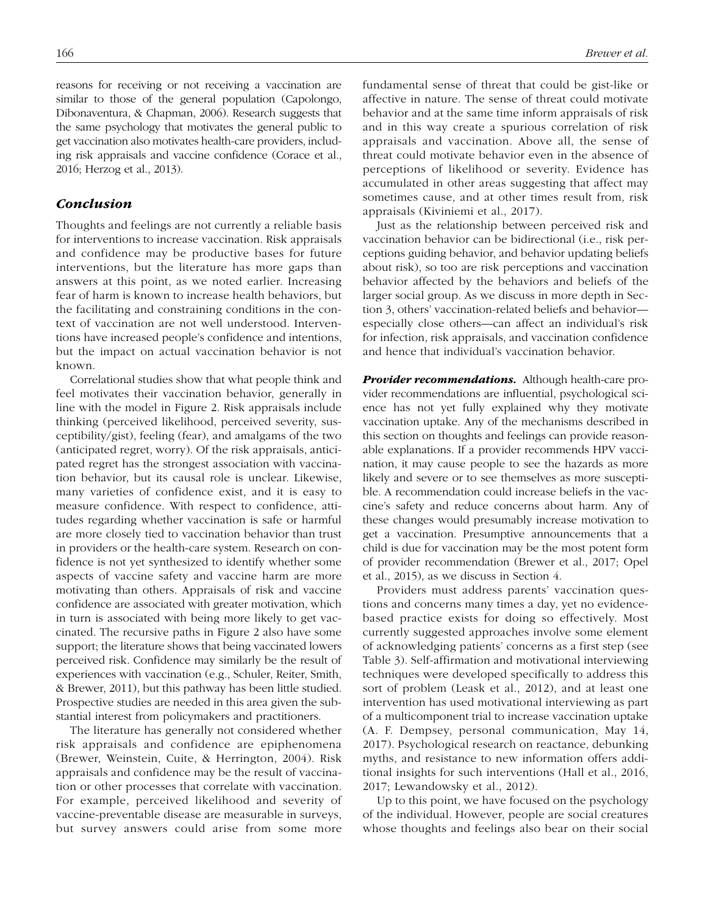166 *Brewer et al.*

reasons for receiving or not receiving a vaccination are similar to those of the general population (Capolongo, Dibonaventura, & Chapman, 2006). Research suggests that the same psychology that motivates the general public to get vaccination also motivates health-care providers, including risk appraisals and vaccine confidence (Corace et al., 2016; Herzog et al., 2013).

## *Conclusion*

Thoughts and feelings are not currently a reliable basis for interventions to increase vaccination. Risk appraisals and confidence may be productive bases for future interventions, but the literature has more gaps than answers at this point, as we noted earlier. Increasing fear of harm is known to increase health behaviors, but the facilitating and constraining conditions in the context of vaccination are not well understood. Interventions have increased people's confidence and intentions, but the impact on actual vaccination behavior is not known.

Correlational studies show that what people think and feel motivates their vaccination behavior, generally in line with the model in Figure 2. Risk appraisals include thinking (perceived likelihood, perceived severity, susceptibility/gist), feeling (fear), and amalgams of the two (anticipated regret, worry). Of the risk appraisals, anticipated regret has the strongest association with vaccination behavior, but its causal role is unclear. Likewise, many varieties of confidence exist, and it is easy to measure confidence. With respect to confidence, attitudes regarding whether vaccination is safe or harmful are more closely tied to vaccination behavior than trust in providers or the health-care system. Research on confidence is not yet synthesized to identify whether some aspects of vaccine safety and vaccine harm are more motivating than others. Appraisals of risk and vaccine confidence are associated with greater motivation, which in turn is associated with being more likely to get vaccinated. The recursive paths in Figure 2 also have some support; the literature shows that being vaccinated lowers perceived risk. Confidence may similarly be the result of experiences with vaccination (e.g., Schuler, Reiter, Smith, & Brewer, 2011), but this pathway has been little studied. Prospective studies are needed in this area given the substantial interest from policymakers and practitioners.

The literature has generally not considered whether risk appraisals and confidence are epiphenomena (Brewer, Weinstein, Cuite, & Herrington, 2004). Risk appraisals and confidence may be the result of vaccination or other processes that correlate with vaccination. For example, perceived likelihood and severity of vaccine-preventable disease are measurable in surveys, but survey answers could arise from some more

fundamental sense of threat that could be gist-like or affective in nature. The sense of threat could motivate behavior and at the same time inform appraisals of risk and in this way create a spurious correlation of risk appraisals and vaccination. Above all, the sense of threat could motivate behavior even in the absence of perceptions of likelihood or severity. Evidence has accumulated in other areas suggesting that affect may sometimes cause, and at other times result from, risk appraisals (Kiviniemi et al., 2017).

Just as the relationship between perceived risk and vaccination behavior can be bidirectional (i.e., risk perceptions guiding behavior, and behavior updating beliefs about risk), so too are risk perceptions and vaccination behavior affected by the behaviors and beliefs of the larger social group. As we discuss in more depth in Section 3, others' vaccination-related beliefs and behavior especially close others—can affect an individual's risk for infection, risk appraisals, and vaccination confidence and hence that individual's vaccination behavior.

*Provider recommendations.* Although health-care provider recommendations are influential, psychological science has not yet fully explained why they motivate vaccination uptake. Any of the mechanisms described in this section on thoughts and feelings can provide reasonable explanations. If a provider recommends HPV vaccination, it may cause people to see the hazards as more likely and severe or to see themselves as more susceptible. A recommendation could increase beliefs in the vaccine's safety and reduce concerns about harm. Any of these changes would presumably increase motivation to get a vaccination. Presumptive announcements that a child is due for vaccination may be the most potent form of provider recommendation (Brewer et al., 2017; Opel et al., 2015), as we discuss in Section 4.

Providers must address parents' vaccination questions and concerns many times a day, yet no evidencebased practice exists for doing so effectively. Most currently suggested approaches involve some element of acknowledging patients' concerns as a first step (see Table 3). Self-affirmation and motivational interviewing techniques were developed specifically to address this sort of problem (Leask et al., 2012), and at least one intervention has used motivational interviewing as part of a multicomponent trial to increase vaccination uptake (A. F. Dempsey, personal communication, May 14, 2017). Psychological research on reactance, debunking myths, and resistance to new information offers additional insights for such interventions (Hall et al., 2016, 2017; Lewandowsky et al., 2012).

Up to this point, we have focused on the psychology of the individual. However, people are social creatures whose thoughts and feelings also bear on their social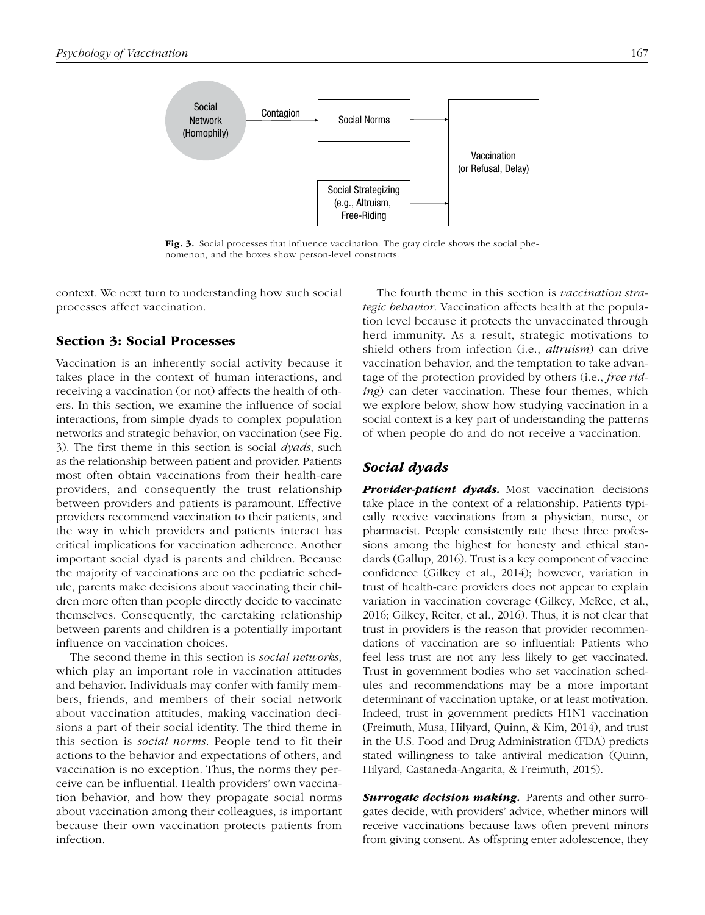

Fig. 3. Social processes that influence vaccination. The gray circle shows the social phenomenon, and the boxes show person-level constructs.

context. We next turn to understanding how such social processes affect vaccination.

## Section 3: Social Processes

Vaccination is an inherently social activity because it takes place in the context of human interactions, and receiving a vaccination (or not) affects the health of others. In this section, we examine the influence of social interactions, from simple dyads to complex population networks and strategic behavior, on vaccination (see Fig. 3). The first theme in this section is social *dyads*, such as the relationship between patient and provider. Patients most often obtain vaccinations from their health-care providers, and consequently the trust relationship between providers and patients is paramount. Effective providers recommend vaccination to their patients, and the way in which providers and patients interact has critical implications for vaccination adherence. Another important social dyad is parents and children. Because the majority of vaccinations are on the pediatric schedule, parents make decisions about vaccinating their children more often than people directly decide to vaccinate themselves. Consequently, the caretaking relationship between parents and children is a potentially important influence on vaccination choices.

The second theme in this section is *social networks*, which play an important role in vaccination attitudes and behavior. Individuals may confer with family members, friends, and members of their social network about vaccination attitudes, making vaccination decisions a part of their social identity. The third theme in this section is *social norms*. People tend to fit their actions to the behavior and expectations of others, and vaccination is no exception. Thus, the norms they perceive can be influential. Health providers' own vaccination behavior, and how they propagate social norms about vaccination among their colleagues, is important because their own vaccination protects patients from infection.

The fourth theme in this section is *vaccination strategic behavior*. Vaccination affects health at the population level because it protects the unvaccinated through herd immunity. As a result, strategic motivations to shield others from infection (i.e., *altruism*) can drive vaccination behavior, and the temptation to take advantage of the protection provided by others (i.e., *free riding*) can deter vaccination. These four themes, which we explore below, show how studying vaccination in a social context is a key part of understanding the patterns of when people do and do not receive a vaccination.

# *Social dyads*

**Provider-patient dyads.** Most vaccination decisions take place in the context of a relationship. Patients typically receive vaccinations from a physician, nurse, or pharmacist. People consistently rate these three professions among the highest for honesty and ethical standards (Gallup, 2016). Trust is a key component of vaccine confidence (Gilkey et al., 2014); however, variation in trust of health-care providers does not appear to explain variation in vaccination coverage (Gilkey, McRee, et al., 2016; Gilkey, Reiter, et al., 2016). Thus, it is not clear that trust in providers is the reason that provider recommendations of vaccination are so influential: Patients who feel less trust are not any less likely to get vaccinated. Trust in government bodies who set vaccination schedules and recommendations may be a more important determinant of vaccination uptake, or at least motivation. Indeed, trust in government predicts H1N1 vaccination (Freimuth, Musa, Hilyard, Quinn, & Kim, 2014), and trust in the U.S. Food and Drug Administration (FDA) predicts stated willingness to take antiviral medication (Quinn, Hilyard, Castaneda-Angarita, & Freimuth, 2015).

**Surrogate decision making.** Parents and other surrogates decide, with providers' advice, whether minors will receive vaccinations because laws often prevent minors from giving consent. As offspring enter adolescence, they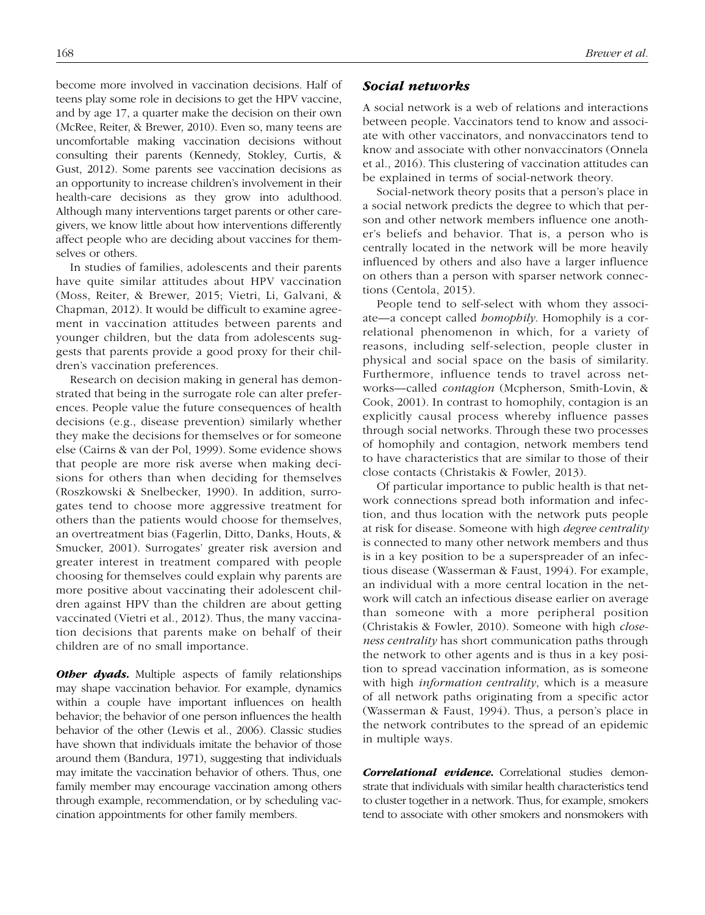become more involved in vaccination decisions. Half of teens play some role in decisions to get the HPV vaccine, and by age 17, a quarter make the decision on their own (McRee, Reiter, & Brewer, 2010). Even so, many teens are uncomfortable making vaccination decisions without consulting their parents (Kennedy, Stokley, Curtis, & Gust, 2012). Some parents see vaccination decisions as an opportunity to increase children's involvement in their health-care decisions as they grow into adulthood. Although many interventions target parents or other caregivers, we know little about how interventions differently affect people who are deciding about vaccines for themselves or others.

In studies of families, adolescents and their parents have quite similar attitudes about HPV vaccination (Moss, Reiter, & Brewer, 2015; Vietri, Li, Galvani, & Chapman, 2012). It would be difficult to examine agreement in vaccination attitudes between parents and younger children, but the data from adolescents suggests that parents provide a good proxy for their children's vaccination preferences.

Research on decision making in general has demonstrated that being in the surrogate role can alter preferences. People value the future consequences of health decisions (e.g., disease prevention) similarly whether they make the decisions for themselves or for someone else (Cairns & van der Pol, 1999). Some evidence shows that people are more risk averse when making decisions for others than when deciding for themselves (Roszkowski & Snelbecker, 1990). In addition, surrogates tend to choose more aggressive treatment for others than the patients would choose for themselves, an overtreatment bias (Fagerlin, Ditto, Danks, Houts, & Smucker, 2001). Surrogates' greater risk aversion and greater interest in treatment compared with people choosing for themselves could explain why parents are more positive about vaccinating their adolescent children against HPV than the children are about getting vaccinated (Vietri et al., 2012). Thus, the many vaccination decisions that parents make on behalf of their children are of no small importance.

**Other dyads.** Multiple aspects of family relationships may shape vaccination behavior. For example, dynamics within a couple have important influences on health behavior; the behavior of one person influences the health behavior of the other (Lewis et al., 2006). Classic studies have shown that individuals imitate the behavior of those around them (Bandura, 1971), suggesting that individuals may imitate the vaccination behavior of others. Thus, one family member may encourage vaccination among others through example, recommendation, or by scheduling vaccination appointments for other family members.

# *Social networks*

A social network is a web of relations and interactions between people. Vaccinators tend to know and associate with other vaccinators, and nonvaccinators tend to know and associate with other nonvaccinators (Onnela et al., 2016). This clustering of vaccination attitudes can be explained in terms of social-network theory.

Social-network theory posits that a person's place in a social network predicts the degree to which that person and other network members influence one another's beliefs and behavior. That is, a person who is centrally located in the network will be more heavily influenced by others and also have a larger influence on others than a person with sparser network connections (Centola, 2015).

People tend to self-select with whom they associate—a concept called *homophily*. Homophily is a correlational phenomenon in which, for a variety of reasons, including self-selection, people cluster in physical and social space on the basis of similarity. Furthermore, influence tends to travel across networks—called *contagion* (Mcpherson, Smith-Lovin, & Cook, 2001). In contrast to homophily, contagion is an explicitly causal process whereby influence passes through social networks. Through these two processes of homophily and contagion, network members tend to have characteristics that are similar to those of their close contacts (Christakis & Fowler, 2013).

Of particular importance to public health is that network connections spread both information and infection, and thus location with the network puts people at risk for disease. Someone with high *degree centrality* is connected to many other network members and thus is in a key position to be a superspreader of an infectious disease (Wasserman & Faust, 1994). For example, an individual with a more central location in the network will catch an infectious disease earlier on average than someone with a more peripheral position (Christakis & Fowler, 2010). Someone with high *closeness centrality* has short communication paths through the network to other agents and is thus in a key position to spread vaccination information, as is someone with high *information centrality*, which is a measure of all network paths originating from a specific actor (Wasserman & Faust, 1994). Thus, a person's place in the network contributes to the spread of an epidemic in multiple ways.

*Correlational evidence.* Correlational studies demonstrate that individuals with similar health characteristics tend to cluster together in a network. Thus, for example, smokers tend to associate with other smokers and nonsmokers with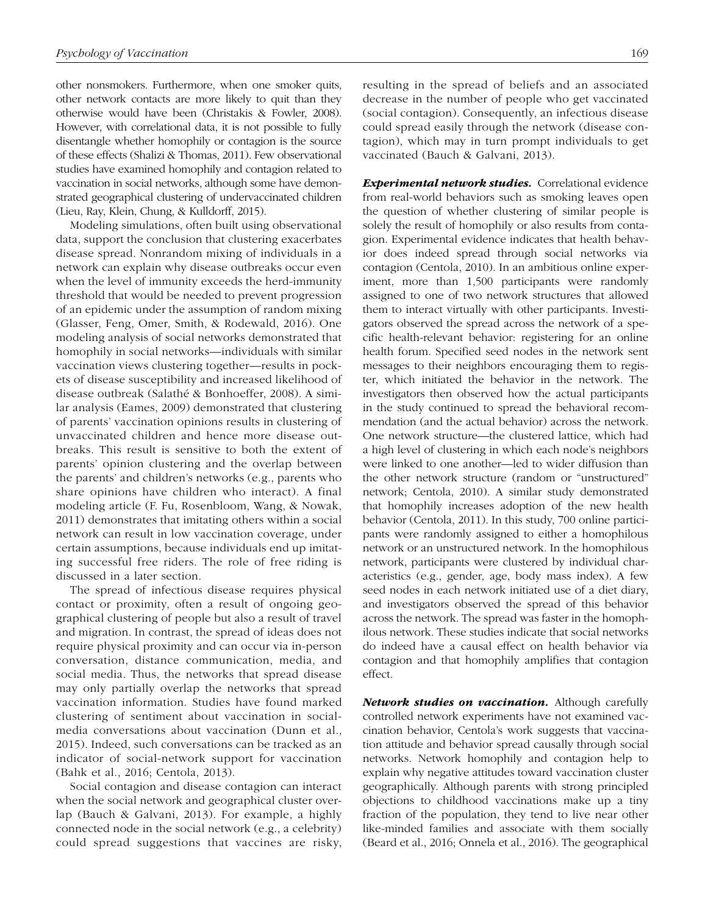other nonsmokers. Furthermore, when one smoker quits, other network contacts are more likely to quit than they otherwise would have been (Christakis & Fowler, 2008). However, with correlational data, it is not possible to fully disentangle whether homophily or contagion is the source of these effects (Shalizi & Thomas, 2011). Few observational studies have examined homophily and contagion related to vaccination in social networks, although some have demonstrated geographical clustering of undervaccinated children (Lieu, Ray, Klein, Chung, & Kulldorff, 2015).

Modeling simulations, often built using observational data, support the conclusion that clustering exacerbates disease spread. Nonrandom mixing of individuals in a network can explain why disease outbreaks occur even when the level of immunity exceeds the herd-immunity threshold that would be needed to prevent progression of an epidemic under the assumption of random mixing (Glasser, Feng, Omer, Smith, & Rodewald, 2016). One modeling analysis of social networks demonstrated that homophily in social networks—individuals with similar vaccination views clustering together—results in pockets of disease susceptibility and increased likelihood of disease outbreak (Salathé & Bonhoeffer, 2008). A similar analysis (Eames, 2009) demonstrated that clustering of parents' vaccination opinions results in clustering of unvaccinated children and hence more disease outbreaks. This result is sensitive to both the extent of parents' opinion clustering and the overlap between the parents' and children's networks (e.g., parents who share opinions have children who interact). A final modeling article (F. Fu, Rosenbloom, Wang, & Nowak, 2011) demonstrates that imitating others within a social network can result in low vaccination coverage, under certain assumptions, because individuals end up imitating successful free riders. The role of free riding is discussed in a later section.

The spread of infectious disease requires physical contact or proximity, often a result of ongoing geographical clustering of people but also a result of travel and migration. In contrast, the spread of ideas does not require physical proximity and can occur via in-person conversation, distance communication, media, and social media. Thus, the networks that spread disease may only partially overlap the networks that spread vaccination information. Studies have found marked clustering of sentiment about vaccination in socialmedia conversations about vaccination (Dunn et al., 2015). Indeed, such conversations can be tracked as an indicator of social-network support for vaccination (Bahk et al., 2016; Centola, 2013).

Social contagion and disease contagion can interact when the social network and geographical cluster overlap (Bauch & Galvani, 2013). For example, a highly connected node in the social network (e.g., a celebrity) could spread suggestions that vaccines are risky, resulting in the spread of beliefs and an associated decrease in the number of people who get vaccinated (social contagion). Consequently, an infectious disease could spread easily through the network (disease contagion), which may in turn prompt individuals to get vaccinated (Bauch & Galvani, 2013).

*Experimental network studies.* Correlational evidence from real-world behaviors such as smoking leaves open the question of whether clustering of similar people is solely the result of homophily or also results from contagion. Experimental evidence indicates that health behavior does indeed spread through social networks via contagion (Centola, 2010). In an ambitious online experiment, more than 1,500 participants were randomly assigned to one of two network structures that allowed them to interact virtually with other participants. Investigators observed the spread across the network of a specific health-relevant behavior: registering for an online health forum. Specified seed nodes in the network sent messages to their neighbors encouraging them to register, which initiated the behavior in the network. The investigators then observed how the actual participants in the study continued to spread the behavioral recommendation (and the actual behavior) across the network. One network structure—the clustered lattice, which had a high level of clustering in which each node's neighbors were linked to one another—led to wider diffusion than the other network structure (random or "unstructured" network; Centola, 2010). A similar study demonstrated that homophily increases adoption of the new health behavior (Centola, 2011). In this study, 700 online participants were randomly assigned to either a homophilous network or an unstructured network. In the homophilous network, participants were clustered by individual characteristics (e.g., gender, age, body mass index). A few seed nodes in each network initiated use of a diet diary, and investigators observed the spread of this behavior across the network. The spread was faster in the homophilous network. These studies indicate that social networks do indeed have a causal effect on health behavior via contagion and that homophily amplifies that contagion effect.

*Network studies on vaccination.* Although carefully controlled network experiments have not examined vaccination behavior, Centola's work suggests that vaccination attitude and behavior spread causally through social networks. Network homophily and contagion help to explain why negative attitudes toward vaccination cluster geographically. Although parents with strong principled objections to childhood vaccinations make up a tiny fraction of the population, they tend to live near other like-minded families and associate with them socially (Beard et al., 2016; Onnela et al., 2016). The geographical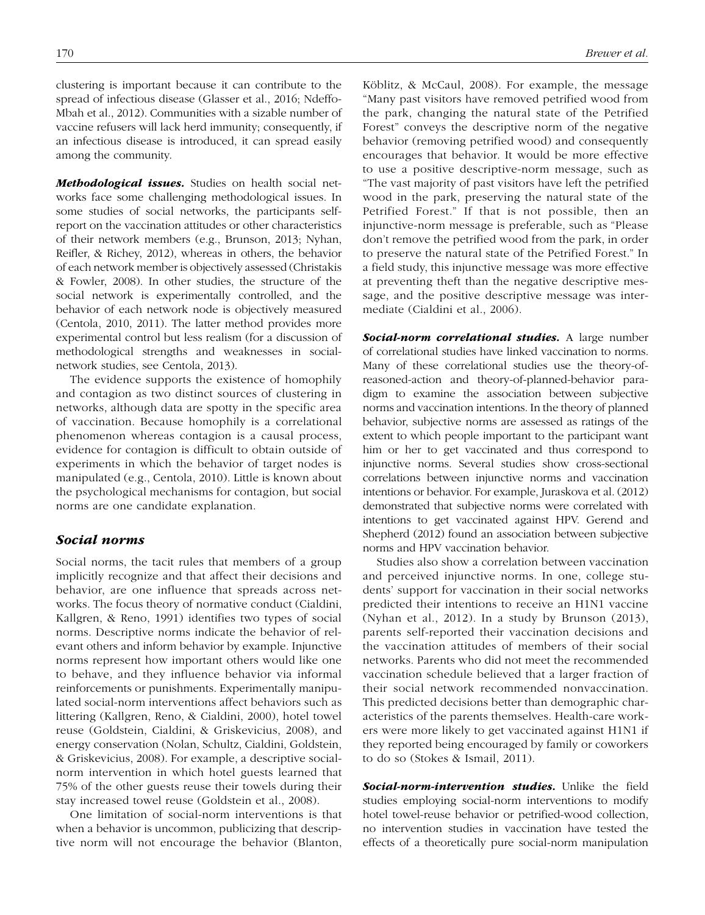clustering is important because it can contribute to the spread of infectious disease (Glasser et al., 2016; Ndeffo-Mbah et al., 2012). Communities with a sizable number of vaccine refusers will lack herd immunity; consequently, if an infectious disease is introduced, it can spread easily among the community.

*Methodological issues.* Studies on health social networks face some challenging methodological issues. In some studies of social networks, the participants selfreport on the vaccination attitudes or other characteristics of their network members (e.g., Brunson, 2013; Nyhan, Reifler, & Richey, 2012), whereas in others, the behavior of each network member is objectively assessed (Christakis & Fowler, 2008). In other studies, the structure of the social network is experimentally controlled, and the behavior of each network node is objectively measured (Centola, 2010, 2011). The latter method provides more experimental control but less realism (for a discussion of methodological strengths and weaknesses in socialnetwork studies, see Centola, 2013).

The evidence supports the existence of homophily and contagion as two distinct sources of clustering in networks, although data are spotty in the specific area of vaccination. Because homophily is a correlational phenomenon whereas contagion is a causal process, evidence for contagion is difficult to obtain outside of experiments in which the behavior of target nodes is manipulated (e.g., Centola, 2010). Little is known about the psychological mechanisms for contagion, but social norms are one candidate explanation.

# *Social norms*

Social norms, the tacit rules that members of a group implicitly recognize and that affect their decisions and behavior, are one influence that spreads across networks. The focus theory of normative conduct (Cialdini, Kallgren, & Reno, 1991) identifies two types of social norms. Descriptive norms indicate the behavior of relevant others and inform behavior by example. Injunctive norms represent how important others would like one to behave, and they influence behavior via informal reinforcements or punishments. Experimentally manipulated social-norm interventions affect behaviors such as littering (Kallgren, Reno, & Cialdini, 2000), hotel towel reuse (Goldstein, Cialdini, & Griskevicius, 2008), and energy conservation (Nolan, Schultz, Cialdini, Goldstein, & Griskevicius, 2008). For example, a descriptive socialnorm intervention in which hotel guests learned that 75% of the other guests reuse their towels during their stay increased towel reuse (Goldstein et al., 2008).

One limitation of social-norm interventions is that when a behavior is uncommon, publicizing that descriptive norm will not encourage the behavior (Blanton, Köblitz, & McCaul, 2008). For example, the message "Many past visitors have removed petrified wood from the park, changing the natural state of the Petrified Forest" conveys the descriptive norm of the negative behavior (removing petrified wood) and consequently encourages that behavior. It would be more effective to use a positive descriptive-norm message, such as "The vast majority of past visitors have left the petrified wood in the park, preserving the natural state of the Petrified Forest." If that is not possible, then an injunctive-norm message is preferable, such as "Please don't remove the petrified wood from the park, in order to preserve the natural state of the Petrified Forest." In a field study, this injunctive message was more effective at preventing theft than the negative descriptive message, and the positive descriptive message was intermediate (Cialdini et al., 2006).

*Social-norm correlational studies.* A large number of correlational studies have linked vaccination to norms. Many of these correlational studies use the theory-ofreasoned-action and theory-of-planned-behavior paradigm to examine the association between subjective norms and vaccination intentions. In the theory of planned behavior, subjective norms are assessed as ratings of the extent to which people important to the participant want him or her to get vaccinated and thus correspond to injunctive norms. Several studies show cross-sectional correlations between injunctive norms and vaccination intentions or behavior. For example, Juraskova et al. (2012) demonstrated that subjective norms were correlated with intentions to get vaccinated against HPV. Gerend and Shepherd (2012) found an association between subjective norms and HPV vaccination behavior.

Studies also show a correlation between vaccination and perceived injunctive norms. In one, college students' support for vaccination in their social networks predicted their intentions to receive an H1N1 vaccine (Nyhan et al., 2012). In a study by Brunson (2013), parents self-reported their vaccination decisions and the vaccination attitudes of members of their social networks. Parents who did not meet the recommended vaccination schedule believed that a larger fraction of their social network recommended nonvaccination. This predicted decisions better than demographic characteristics of the parents themselves. Health-care workers were more likely to get vaccinated against H1N1 if they reported being encouraged by family or coworkers to do so (Stokes & Ismail, 2011).

*Social-norm-intervention studies.* Unlike the field studies employing social-norm interventions to modify hotel towel-reuse behavior or petrified-wood collection, no intervention studies in vaccination have tested the effects of a theoretically pure social-norm manipulation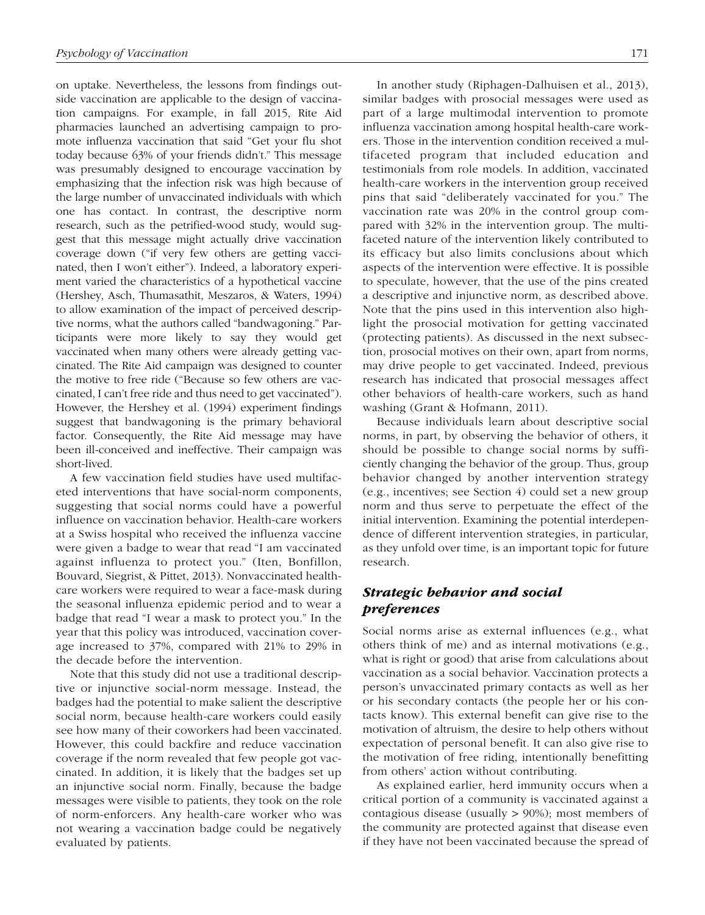on uptake. Nevertheless, the lessons from findings outside vaccination are applicable to the design of vaccination campaigns. For example, in fall 2015, Rite Aid pharmacies launched an advertising campaign to promote influenza vaccination that said "Get your flu shot today because 63% of your friends didn't." This message was presumably designed to encourage vaccination by emphasizing that the infection risk was high because of the large number of unvaccinated individuals with which one has contact. In contrast, the descriptive norm research, such as the petrified-wood study, would suggest that this message might actually drive vaccination coverage down ("if very few others are getting vaccinated, then I won't either"). Indeed, a laboratory experiment varied the characteristics of a hypothetical vaccine (Hershey, Asch, Thumasathit, Meszaros, & Waters, 1994) to allow examination of the impact of perceived descriptive norms, what the authors called "bandwagoning." Participants were more likely to say they would get vaccinated when many others were already getting vaccinated. The Rite Aid campaign was designed to counter the motive to free ride ("Because so few others are vaccinated, I can't free ride and thus need to get vaccinated"). However, the Hershey et al. (1994) experiment findings suggest that bandwagoning is the primary behavioral factor. Consequently, the Rite Aid message may have been ill-conceived and ineffective. Their campaign was short-lived.

A few vaccination field studies have used multifaceted interventions that have social-norm components, suggesting that social norms could have a powerful influence on vaccination behavior. Health-care workers at a Swiss hospital who received the influenza vaccine were given a badge to wear that read "I am vaccinated against influenza to protect you." (Iten, Bonfillon, Bouvard, Siegrist, & Pittet, 2013). Nonvaccinated healthcare workers were required to wear a face-mask during the seasonal influenza epidemic period and to wear a badge that read "I wear a mask to protect you." In the year that this policy was introduced, vaccination coverage increased to 37%, compared with 21% to 29% in the decade before the intervention.

Note that this study did not use a traditional descriptive or injunctive social-norm message. Instead, the badges had the potential to make salient the descriptive social norm, because health-care workers could easily see how many of their coworkers had been vaccinated. However, this could backfire and reduce vaccination coverage if the norm revealed that few people got vaccinated. In addition, it is likely that the badges set up an injunctive social norm. Finally, because the badge messages were visible to patients, they took on the role of norm-enforcers. Any health-care worker who was not wearing a vaccination badge could be negatively evaluated by patients.

In another study (Riphagen-Dalhuisen et al., 2013), similar badges with prosocial messages were used as part of a large multimodal intervention to promote influenza vaccination among hospital health-care workers. Those in the intervention condition received a multifaceted program that included education and testimonials from role models. In addition, vaccinated health-care workers in the intervention group received pins that said "deliberately vaccinated for you." The vaccination rate was 20% in the control group compared with 32% in the intervention group. The multifaceted nature of the intervention likely contributed to its efficacy but also limits conclusions about which aspects of the intervention were effective. It is possible to speculate, however, that the use of the pins created a descriptive and injunctive norm, as described above. Note that the pins used in this intervention also highlight the prosocial motivation for getting vaccinated (protecting patients). As discussed in the next subsection, prosocial motives on their own, apart from norms, may drive people to get vaccinated. Indeed, previous research has indicated that prosocial messages affect other behaviors of health-care workers, such as hand washing (Grant & Hofmann, 2011).

Because individuals learn about descriptive social norms, in part, by observing the behavior of others, it should be possible to change social norms by sufficiently changing the behavior of the group. Thus, group behavior changed by another intervention strategy (e.g., incentives; see Section 4) could set a new group norm and thus serve to perpetuate the effect of the initial intervention. Examining the potential interdependence of different intervention strategies, in particular, as they unfold over time, is an important topic for future research.

# *Strategic behavior and social preferences*

Social norms arise as external influences (e.g., what others think of me) and as internal motivations (e.g., what is right or good) that arise from calculations about vaccination as a social behavior. Vaccination protects a person's unvaccinated primary contacts as well as her or his secondary contacts (the people her or his contacts know). This external benefit can give rise to the motivation of altruism, the desire to help others without expectation of personal benefit. It can also give rise to the motivation of free riding, intentionally benefitting from others' action without contributing.

As explained earlier, herd immunity occurs when a critical portion of a community is vaccinated against a contagious disease (usually > 90%); most members of the community are protected against that disease even if they have not been vaccinated because the spread of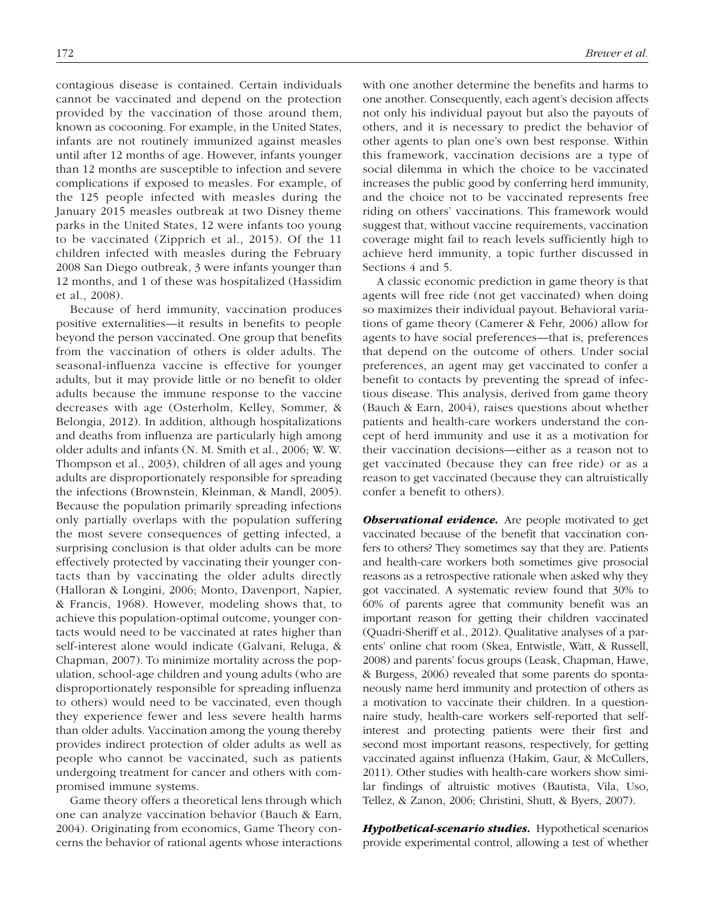contagious disease is contained. Certain individuals cannot be vaccinated and depend on the protection provided by the vaccination of those around them, known as cocooning. For example, in the United States, infants are not routinely immunized against measles until after 12 months of age. However, infants younger than 12 months are susceptible to infection and severe complications if exposed to measles. For example, of the 125 people infected with measles during the January 2015 measles outbreak at two Disney theme parks in the United States, 12 were infants too young to be vaccinated (Zipprich et al., 2015). Of the 11 children infected with measles during the February 2008 San Diego outbreak, 3 were infants younger than 12 months, and 1 of these was hospitalized (Hassidim et al., 2008).

Because of herd immunity, vaccination produces positive externalities—it results in benefits to people beyond the person vaccinated. One group that benefits from the vaccination of others is older adults. The seasonal-influenza vaccine is effective for younger adults, but it may provide little or no benefit to older adults because the immune response to the vaccine decreases with age (Osterholm, Kelley, Sommer, & Belongia, 2012). In addition, although hospitalizations and deaths from influenza are particularly high among older adults and infants (N. M. Smith et al., 2006; W. W. Thompson et al., 2003), children of all ages and young adults are disproportionately responsible for spreading the infections (Brownstein, Kleinman, & Mandl, 2005). Because the population primarily spreading infections only partially overlaps with the population suffering the most severe consequences of getting infected, a surprising conclusion is that older adults can be more effectively protected by vaccinating their younger contacts than by vaccinating the older adults directly (Halloran & Longini, 2006; Monto, Davenport, Napier, & Francis, 1968). However, modeling shows that, to achieve this population-optimal outcome, younger contacts would need to be vaccinated at rates higher than self-interest alone would indicate (Galvani, Reluga, & Chapman, 2007). To minimize mortality across the population, school-age children and young adults (who are disproportionately responsible for spreading influenza to others) would need to be vaccinated, even though they experience fewer and less severe health harms than older adults. Vaccination among the young thereby provides indirect protection of older adults as well as people who cannot be vaccinated, such as patients undergoing treatment for cancer and others with compromised immune systems.

Game theory offers a theoretical lens through which one can analyze vaccination behavior (Bauch & Earn, 2004). Originating from economics, Game Theory concerns the behavior of rational agents whose interactions with one another determine the benefits and harms to one another. Consequently, each agent's decision affects not only his individual payout but also the payouts of others, and it is necessary to predict the behavior of other agents to plan one's own best response. Within this framework, vaccination decisions are a type of social dilemma in which the choice to be vaccinated increases the public good by conferring herd immunity, and the choice not to be vaccinated represents free riding on others' vaccinations. This framework would suggest that, without vaccine requirements, vaccination coverage might fail to reach levels sufficiently high to achieve herd immunity, a topic further discussed in Sections 4 and 5.

A classic economic prediction in game theory is that agents will free ride (not get vaccinated) when doing so maximizes their individual payout. Behavioral variations of game theory (Camerer & Fehr, 2006) allow for agents to have social preferences—that is, preferences that depend on the outcome of others. Under social preferences, an agent may get vaccinated to confer a benefit to contacts by preventing the spread of infectious disease. This analysis, derived from game theory (Bauch & Earn, 2004), raises questions about whether patients and health-care workers understand the concept of herd immunity and use it as a motivation for their vaccination decisions—either as a reason not to get vaccinated (because they can free ride) or as a reason to get vaccinated (because they can altruistically confer a benefit to others).

**Observational evidence.** Are people motivated to get vaccinated because of the benefit that vaccination confers to others? They sometimes say that they are. Patients and health-care workers both sometimes give prosocial reasons as a retrospective rationale when asked why they got vaccinated. A systematic review found that 30% to 60% of parents agree that community benefit was an important reason for getting their children vaccinated (Quadri-Sheriff et al., 2012). Qualitative analyses of a parents' online chat room (Skea, Entwistle, Watt, & Russell, 2008) and parents' focus groups (Leask, Chapman, Hawe, & Burgess, 2006) revealed that some parents do spontaneously name herd immunity and protection of others as a motivation to vaccinate their children. In a questionnaire study, health-care workers self-reported that selfinterest and protecting patients were their first and second most important reasons, respectively, for getting vaccinated against influenza (Hakim, Gaur, & McCullers, 2011). Other studies with health-care workers show similar findings of altruistic motives (Bautista, Vila, Uso, Tellez, & Zanon, 2006; Christini, Shutt, & Byers, 2007).

*Hypothetical-scenario studies.* Hypothetical scenarios provide experimental control, allowing a test of whether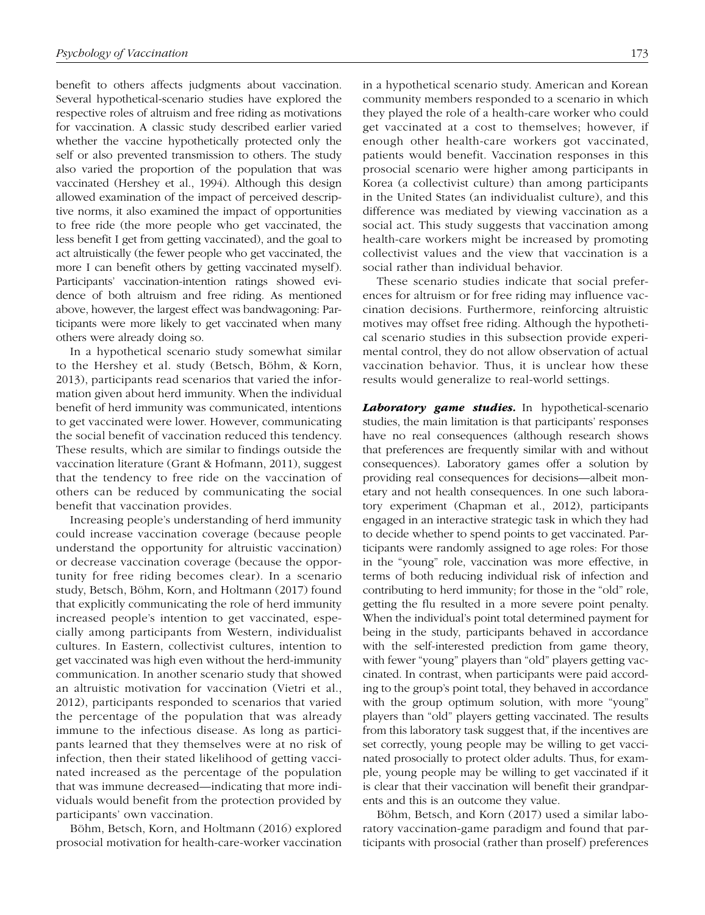benefit to others affects judgments about vaccination. Several hypothetical-scenario studies have explored the respective roles of altruism and free riding as motivations for vaccination. A classic study described earlier varied whether the vaccine hypothetically protected only the self or also prevented transmission to others. The study also varied the proportion of the population that was vaccinated (Hershey et al., 1994). Although this design allowed examination of the impact of perceived descriptive norms, it also examined the impact of opportunities to free ride (the more people who get vaccinated, the less benefit I get from getting vaccinated), and the goal to act altruistically (the fewer people who get vaccinated, the more I can benefit others by getting vaccinated myself). Participants' vaccination-intention ratings showed evidence of both altruism and free riding. As mentioned above, however, the largest effect was bandwagoning: Participants were more likely to get vaccinated when many others were already doing so.

In a hypothetical scenario study somewhat similar to the Hershey et al. study (Betsch, Böhm, & Korn, 2013), participants read scenarios that varied the information given about herd immunity. When the individual benefit of herd immunity was communicated, intentions to get vaccinated were lower. However, communicating the social benefit of vaccination reduced this tendency. These results, which are similar to findings outside the vaccination literature (Grant & Hofmann, 2011), suggest that the tendency to free ride on the vaccination of others can be reduced by communicating the social benefit that vaccination provides.

Increasing people's understanding of herd immunity could increase vaccination coverage (because people understand the opportunity for altruistic vaccination) or decrease vaccination coverage (because the opportunity for free riding becomes clear). In a scenario study, Betsch, Böhm, Korn, and Holtmann (2017) found that explicitly communicating the role of herd immunity increased people's intention to get vaccinated, especially among participants from Western, individualist cultures. In Eastern, collectivist cultures, intention to get vaccinated was high even without the herd-immunity communication. In another scenario study that showed an altruistic motivation for vaccination (Vietri et al., 2012), participants responded to scenarios that varied the percentage of the population that was already immune to the infectious disease. As long as participants learned that they themselves were at no risk of infection, then their stated likelihood of getting vaccinated increased as the percentage of the population that was immune decreased—indicating that more individuals would benefit from the protection provided by participants' own vaccination.

Böhm, Betsch, Korn, and Holtmann (2016) explored prosocial motivation for health-care-worker vaccination in a hypothetical scenario study. American and Korean community members responded to a scenario in which they played the role of a health-care worker who could get vaccinated at a cost to themselves; however, if enough other health-care workers got vaccinated, patients would benefit. Vaccination responses in this prosocial scenario were higher among participants in Korea (a collectivist culture) than among participants in the United States (an individualist culture), and this difference was mediated by viewing vaccination as a social act. This study suggests that vaccination among health-care workers might be increased by promoting collectivist values and the view that vaccination is a social rather than individual behavior.

These scenario studies indicate that social preferences for altruism or for free riding may influence vaccination decisions. Furthermore, reinforcing altruistic motives may offset free riding. Although the hypothetical scenario studies in this subsection provide experimental control, they do not allow observation of actual vaccination behavior. Thus, it is unclear how these results would generalize to real-world settings.

*Laboratory game studies.* In hypothetical-scenario studies, the main limitation is that participants' responses have no real consequences (although research shows that preferences are frequently similar with and without consequences). Laboratory games offer a solution by providing real consequences for decisions—albeit monetary and not health consequences. In one such laboratory experiment (Chapman et al., 2012), participants engaged in an interactive strategic task in which they had to decide whether to spend points to get vaccinated. Participants were randomly assigned to age roles: For those in the "young" role, vaccination was more effective, in terms of both reducing individual risk of infection and contributing to herd immunity; for those in the "old" role, getting the flu resulted in a more severe point penalty. When the individual's point total determined payment for being in the study, participants behaved in accordance with the self-interested prediction from game theory, with fewer "young" players than "old" players getting vaccinated. In contrast, when participants were paid according to the group's point total, they behaved in accordance with the group optimum solution, with more "young" players than "old" players getting vaccinated. The results from this laboratory task suggest that, if the incentives are set correctly, young people may be willing to get vaccinated prosocially to protect older adults. Thus, for example, young people may be willing to get vaccinated if it is clear that their vaccination will benefit their grandparents and this is an outcome they value.

Böhm, Betsch, and Korn (2017) used a similar laboratory vaccination-game paradigm and found that participants with prosocial (rather than proself) preferences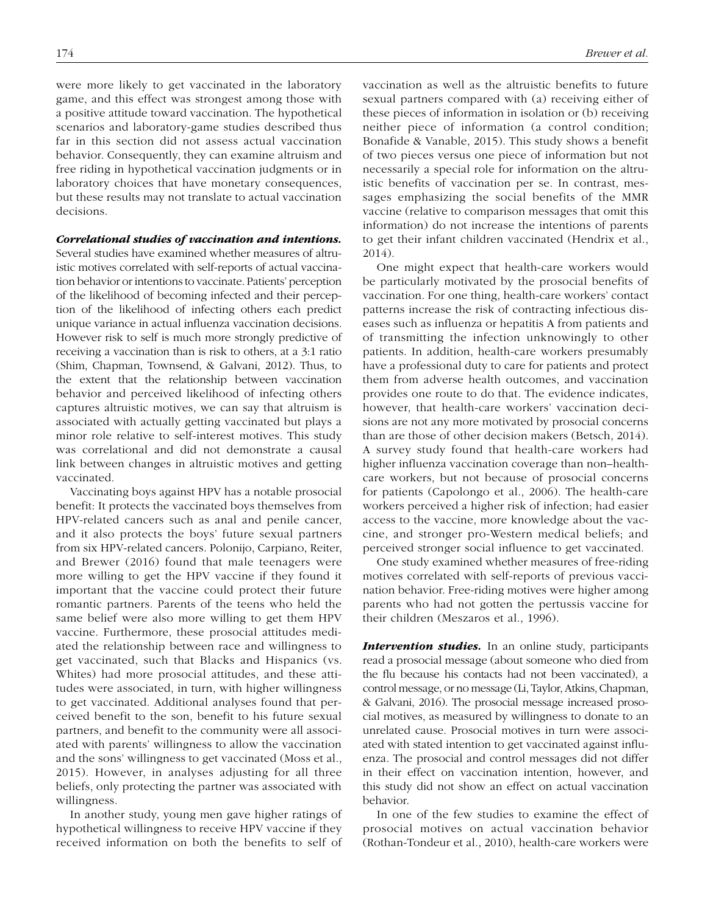were more likely to get vaccinated in the laboratory game, and this effect was strongest among those with a positive attitude toward vaccination. The hypothetical scenarios and laboratory-game studies described thus far in this section did not assess actual vaccination behavior. Consequently, they can examine altruism and free riding in hypothetical vaccination judgments or in laboratory choices that have monetary consequences, but these results may not translate to actual vaccination decisions.

#### *Correlational studies of vaccination and intentions.*

Several studies have examined whether measures of altruistic motives correlated with self-reports of actual vaccination behavior or intentions to vaccinate. Patients' perception of the likelihood of becoming infected and their perception of the likelihood of infecting others each predict unique variance in actual influenza vaccination decisions. However risk to self is much more strongly predictive of receiving a vaccination than is risk to others, at a 3:1 ratio (Shim, Chapman, Townsend, & Galvani, 2012). Thus, to the extent that the relationship between vaccination behavior and perceived likelihood of infecting others captures altruistic motives, we can say that altruism is associated with actually getting vaccinated but plays a minor role relative to self-interest motives. This study was correlational and did not demonstrate a causal link between changes in altruistic motives and getting vaccinated.

Vaccinating boys against HPV has a notable prosocial benefit: It protects the vaccinated boys themselves from HPV-related cancers such as anal and penile cancer, and it also protects the boys' future sexual partners from six HPV-related cancers. Polonijo, Carpiano, Reiter, and Brewer (2016) found that male teenagers were more willing to get the HPV vaccine if they found it important that the vaccine could protect their future romantic partners. Parents of the teens who held the same belief were also more willing to get them HPV vaccine. Furthermore, these prosocial attitudes mediated the relationship between race and willingness to get vaccinated, such that Blacks and Hispanics (vs. Whites) had more prosocial attitudes, and these attitudes were associated, in turn, with higher willingness to get vaccinated. Additional analyses found that perceived benefit to the son, benefit to his future sexual partners, and benefit to the community were all associated with parents' willingness to allow the vaccination and the sons' willingness to get vaccinated (Moss et al., 2015). However, in analyses adjusting for all three beliefs, only protecting the partner was associated with willingness.

In another study, young men gave higher ratings of hypothetical willingness to receive HPV vaccine if they received information on both the benefits to self of vaccination as well as the altruistic benefits to future sexual partners compared with (a) receiving either of these pieces of information in isolation or (b) receiving neither piece of information (a control condition; Bonafide & Vanable, 2015). This study shows a benefit of two pieces versus one piece of information but not necessarily a special role for information on the altruistic benefits of vaccination per se. In contrast, messages emphasizing the social benefits of the MMR vaccine (relative to comparison messages that omit this information) do not increase the intentions of parents to get their infant children vaccinated (Hendrix et al., 2014).

One might expect that health-care workers would be particularly motivated by the prosocial benefits of vaccination. For one thing, health-care workers' contact patterns increase the risk of contracting infectious diseases such as influenza or hepatitis A from patients and of transmitting the infection unknowingly to other patients. In addition, health-care workers presumably have a professional duty to care for patients and protect them from adverse health outcomes, and vaccination provides one route to do that. The evidence indicates, however, that health-care workers' vaccination decisions are not any more motivated by prosocial concerns than are those of other decision makers (Betsch, 2014). A survey study found that health-care workers had higher influenza vaccination coverage than non–healthcare workers, but not because of prosocial concerns for patients (Capolongo et al., 2006). The health-care workers perceived a higher risk of infection; had easier access to the vaccine, more knowledge about the vaccine, and stronger pro-Western medical beliefs; and perceived stronger social influence to get vaccinated.

One study examined whether measures of free-riding motives correlated with self-reports of previous vaccination behavior. Free-riding motives were higher among parents who had not gotten the pertussis vaccine for their children (Meszaros et al., 1996).

*Intervention studies.* In an online study, participants read a prosocial message (about someone who died from the flu because his contacts had not been vaccinated), a control message, or no message (Li, Taylor, Atkins, Chapman, & Galvani, 2016). The prosocial message increased prosocial motives, as measured by willingness to donate to an unrelated cause. Prosocial motives in turn were associated with stated intention to get vaccinated against influenza. The prosocial and control messages did not differ in their effect on vaccination intention, however, and this study did not show an effect on actual vaccination behavior.

In one of the few studies to examine the effect of prosocial motives on actual vaccination behavior (Rothan-Tondeur et al., 2010), health-care workers were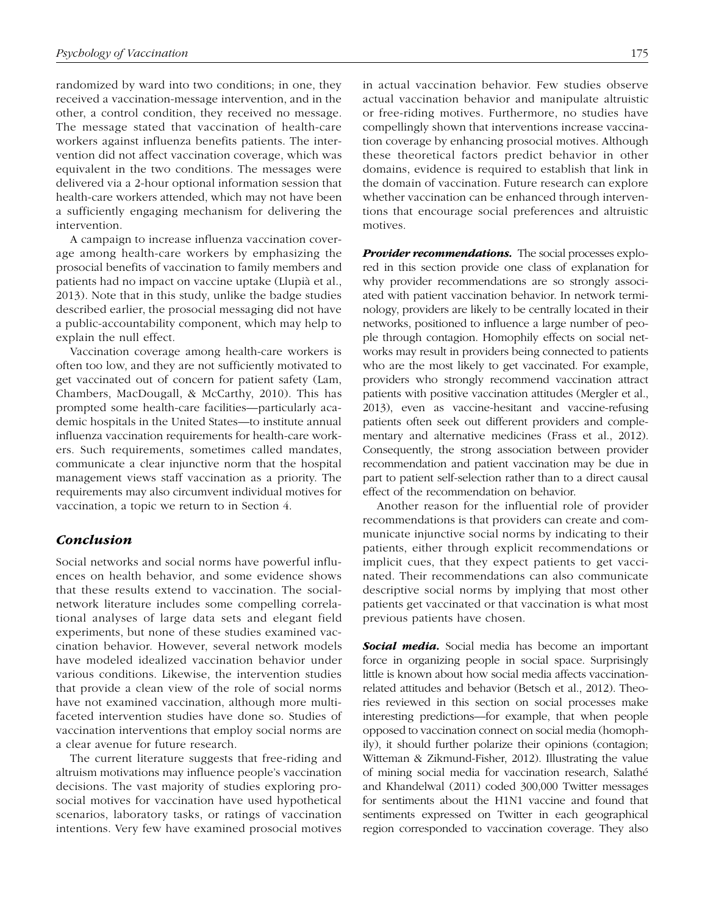randomized by ward into two conditions; in one, they received a vaccination-message intervention, and in the other, a control condition, they received no message. The message stated that vaccination of health-care workers against influenza benefits patients. The intervention did not affect vaccination coverage, which was equivalent in the two conditions. The messages were delivered via a 2-hour optional information session that health-care workers attended, which may not have been a sufficiently engaging mechanism for delivering the intervention.

A campaign to increase influenza vaccination coverage among health-care workers by emphasizing the prosocial benefits of vaccination to family members and patients had no impact on vaccine uptake (Llupià et al., 2013). Note that in this study, unlike the badge studies described earlier, the prosocial messaging did not have a public-accountability component, which may help to explain the null effect.

Vaccination coverage among health-care workers is often too low, and they are not sufficiently motivated to get vaccinated out of concern for patient safety (Lam, Chambers, MacDougall, & McCarthy, 2010). This has prompted some health-care facilities—particularly academic hospitals in the United States—to institute annual influenza vaccination requirements for health-care workers. Such requirements, sometimes called mandates, communicate a clear injunctive norm that the hospital management views staff vaccination as a priority. The requirements may also circumvent individual motives for vaccination, a topic we return to in Section 4.

# *Conclusion*

Social networks and social norms have powerful influences on health behavior, and some evidence shows that these results extend to vaccination. The socialnetwork literature includes some compelling correlational analyses of large data sets and elegant field experiments, but none of these studies examined vaccination behavior. However, several network models have modeled idealized vaccination behavior under various conditions. Likewise, the intervention studies that provide a clean view of the role of social norms have not examined vaccination, although more multifaceted intervention studies have done so. Studies of vaccination interventions that employ social norms are a clear avenue for future research.

The current literature suggests that free-riding and altruism motivations may influence people's vaccination decisions. The vast majority of studies exploring prosocial motives for vaccination have used hypothetical scenarios, laboratory tasks, or ratings of vaccination intentions. Very few have examined prosocial motives in actual vaccination behavior. Few studies observe actual vaccination behavior and manipulate altruistic or free-riding motives. Furthermore, no studies have compellingly shown that interventions increase vaccination coverage by enhancing prosocial motives. Although these theoretical factors predict behavior in other domains, evidence is required to establish that link in the domain of vaccination. Future research can explore whether vaccination can be enhanced through interventions that encourage social preferences and altruistic motives.

*Provider recommendations.* The social processes explored in this section provide one class of explanation for why provider recommendations are so strongly associated with patient vaccination behavior. In network terminology, providers are likely to be centrally located in their networks, positioned to influence a large number of people through contagion. Homophily effects on social networks may result in providers being connected to patients who are the most likely to get vaccinated. For example, providers who strongly recommend vaccination attract patients with positive vaccination attitudes (Mergler et al., 2013), even as vaccine-hesitant and vaccine-refusing patients often seek out different providers and complementary and alternative medicines (Frass et al., 2012). Consequently, the strong association between provider recommendation and patient vaccination may be due in part to patient self-selection rather than to a direct causal effect of the recommendation on behavior.

Another reason for the influential role of provider recommendations is that providers can create and communicate injunctive social norms by indicating to their patients, either through explicit recommendations or implicit cues, that they expect patients to get vaccinated. Their recommendations can also communicate descriptive social norms by implying that most other patients get vaccinated or that vaccination is what most previous patients have chosen.

*Social media.* Social media has become an important force in organizing people in social space. Surprisingly little is known about how social media affects vaccinationrelated attitudes and behavior (Betsch et al., 2012). Theories reviewed in this section on social processes make interesting predictions—for example, that when people opposed to vaccination connect on social media (homophily), it should further polarize their opinions (contagion; Witteman & Zikmund-Fisher, 2012). Illustrating the value of mining social media for vaccination research, Salathé and Khandelwal (2011) coded 300,000 Twitter messages for sentiments about the H1N1 vaccine and found that sentiments expressed on Twitter in each geographical region corresponded to vaccination coverage. They also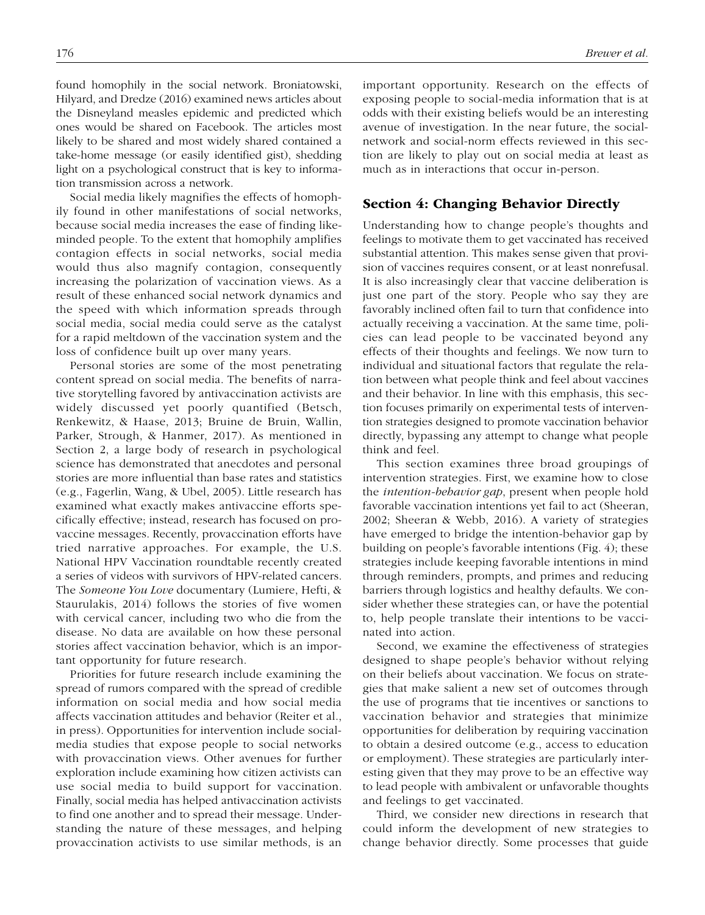found homophily in the social network. Broniatowski, Hilyard, and Dredze (2016) examined news articles about the Disneyland measles epidemic and predicted which ones would be shared on Facebook. The articles most likely to be shared and most widely shared contained a take-home message (or easily identified gist), shedding light on a psychological construct that is key to information transmission across a network.

Social media likely magnifies the effects of homophily found in other manifestations of social networks, because social media increases the ease of finding likeminded people. To the extent that homophily amplifies contagion effects in social networks, social media would thus also magnify contagion, consequently increasing the polarization of vaccination views. As a result of these enhanced social network dynamics and the speed with which information spreads through social media, social media could serve as the catalyst for a rapid meltdown of the vaccination system and the loss of confidence built up over many years.

Personal stories are some of the most penetrating content spread on social media. The benefits of narrative storytelling favored by antivaccination activists are widely discussed yet poorly quantified (Betsch, Renkewitz, & Haase, 2013; Bruine de Bruin, Wallin, Parker, Strough, & Hanmer, 2017). As mentioned in Section 2, a large body of research in psychological science has demonstrated that anecdotes and personal stories are more influential than base rates and statistics (e.g., Fagerlin, Wang, & Ubel, 2005). Little research has examined what exactly makes antivaccine efforts specifically effective; instead, research has focused on provaccine messages. Recently, provaccination efforts have tried narrative approaches. For example, the U.S. National HPV Vaccination roundtable recently created a series of videos with survivors of HPV-related cancers. The *Someone You Love* documentary (Lumiere, Hefti, & Staurulakis, 2014) follows the stories of five women with cervical cancer, including two who die from the disease. No data are available on how these personal stories affect vaccination behavior, which is an important opportunity for future research.

Priorities for future research include examining the spread of rumors compared with the spread of credible information on social media and how social media affects vaccination attitudes and behavior (Reiter et al., in press). Opportunities for intervention include socialmedia studies that expose people to social networks with provaccination views. Other avenues for further exploration include examining how citizen activists can use social media to build support for vaccination. Finally, social media has helped antivaccination activists to find one another and to spread their message. Understanding the nature of these messages, and helping provaccination activists to use similar methods, is an important opportunity. Research on the effects of exposing people to social-media information that is at odds with their existing beliefs would be an interesting avenue of investigation. In the near future, the socialnetwork and social-norm effects reviewed in this section are likely to play out on social media at least as much as in interactions that occur in-person.

### Section 4: Changing Behavior Directly

Understanding how to change people's thoughts and feelings to motivate them to get vaccinated has received substantial attention. This makes sense given that provision of vaccines requires consent, or at least nonrefusal. It is also increasingly clear that vaccine deliberation is just one part of the story. People who say they are favorably inclined often fail to turn that confidence into actually receiving a vaccination. At the same time, policies can lead people to be vaccinated beyond any effects of their thoughts and feelings. We now turn to individual and situational factors that regulate the relation between what people think and feel about vaccines and their behavior. In line with this emphasis, this section focuses primarily on experimental tests of intervention strategies designed to promote vaccination behavior directly, bypassing any attempt to change what people think and feel.

This section examines three broad groupings of intervention strategies. First, we examine how to close the *intention-behavior gap*, present when people hold favorable vaccination intentions yet fail to act (Sheeran, 2002; Sheeran & Webb, 2016). A variety of strategies have emerged to bridge the intention-behavior gap by building on people's favorable intentions (Fig. 4); these strategies include keeping favorable intentions in mind through reminders, prompts, and primes and reducing barriers through logistics and healthy defaults. We consider whether these strategies can, or have the potential to, help people translate their intentions to be vaccinated into action.

Second, we examine the effectiveness of strategies designed to shape people's behavior without relying on their beliefs about vaccination. We focus on strategies that make salient a new set of outcomes through the use of programs that tie incentives or sanctions to vaccination behavior and strategies that minimize opportunities for deliberation by requiring vaccination to obtain a desired outcome (e.g., access to education or employment). These strategies are particularly interesting given that they may prove to be an effective way to lead people with ambivalent or unfavorable thoughts and feelings to get vaccinated.

Third, we consider new directions in research that could inform the development of new strategies to change behavior directly. Some processes that guide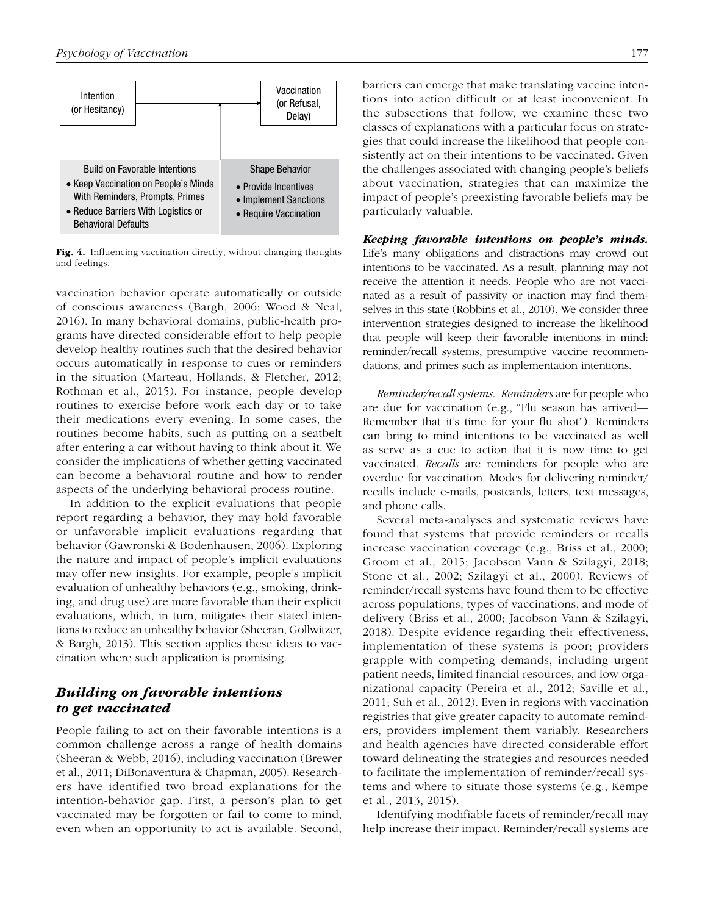

Fig. 4. Influencing vaccination directly, without changing thoughts and feelings.

vaccination behavior operate automatically or outside of conscious awareness (Bargh, 2006; Wood & Neal, 2016). In many behavioral domains, public-health programs have directed considerable effort to help people develop healthy routines such that the desired behavior occurs automatically in response to cues or reminders in the situation (Marteau, Hollands, & Fletcher, 2012; Rothman et al., 2015). For instance, people develop routines to exercise before work each day or to take their medications every evening. In some cases, the routines become habits, such as putting on a seatbelt after entering a car without having to think about it. We consider the implications of whether getting vaccinated can become a behavioral routine and how to render aspects of the underlying behavioral process routine.

In addition to the explicit evaluations that people report regarding a behavior, they may hold favorable or unfavorable implicit evaluations regarding that behavior (Gawronski & Bodenhausen, 2006). Exploring the nature and impact of people's implicit evaluations may offer new insights. For example, people's implicit evaluation of unhealthy behaviors (e.g., smoking, drinking, and drug use) are more favorable than their explicit evaluations, which, in turn, mitigates their stated intentions to reduce an unhealthy behavior (Sheeran, Gollwitzer, & Bargh, 2013). This section applies these ideas to vaccination where such application is promising.

# *Building on favorable intentions to get vaccinated*

People failing to act on their favorable intentions is a common challenge across a range of health domains (Sheeran & Webb, 2016), including vaccination (Brewer et al., 2011; DiBonaventura & Chapman, 2005). Researchers have identified two broad explanations for the intention-behavior gap. First, a person's plan to get vaccinated may be forgotten or fail to come to mind, even when an opportunity to act is available. Second, barriers can emerge that make translating vaccine intentions into action difficult or at least inconvenient. In the subsections that follow, we examine these two classes of explanations with a particular focus on strategies that could increase the likelihood that people consistently act on their intentions to be vaccinated. Given the challenges associated with changing people's beliefs about vaccination, strategies that can maximize the impact of people's preexisting favorable beliefs may be particularly valuable.

*Keeping favorable intentions on people's minds.* Life's many obligations and distractions may crowd out intentions to be vaccinated. As a result, planning may not receive the attention it needs. People who are not vaccinated as a result of passivity or inaction may find themselves in this state (Robbins et al., 2010). We consider three intervention strategies designed to increase the likelihood that people will keep their favorable intentions in mind: reminder/recall systems, presumptive vaccine recommendations, and primes such as implementation intentions.

*Reminder/recall systems*. *Reminders* are for people who are due for vaccination (e.g., "Flu season has arrived— Remember that it's time for your flu shot"). Reminders can bring to mind intentions to be vaccinated as well as serve as a cue to action that it is now time to get vaccinated. *Recalls* are reminders for people who are overdue for vaccination. Modes for delivering reminder/ recalls include e-mails, postcards, letters, text messages, and phone calls.

Several meta-analyses and systematic reviews have found that systems that provide reminders or recalls increase vaccination coverage (e.g., Briss et al., 2000; Groom et al., 2015; Jacobson Vann & Szilagyi, 2018; Stone et al., 2002; Szilagyi et al., 2000). Reviews of reminder/recall systems have found them to be effective across populations, types of vaccinations, and mode of delivery (Briss et al., 2000; Jacobson Vann & Szilagyi, 2018). Despite evidence regarding their effectiveness, implementation of these systems is poor; providers grapple with competing demands, including urgent patient needs, limited financial resources, and low organizational capacity (Pereira et al., 2012; Saville et al., 2011; Suh et al., 2012). Even in regions with vaccination registries that give greater capacity to automate reminders, providers implement them variably. Researchers and health agencies have directed considerable effort toward delineating the strategies and resources needed to facilitate the implementation of reminder/recall systems and where to situate those systems (e.g., Kempe et al., 2013, 2015).

Identifying modifiable facets of reminder/recall may help increase their impact. Reminder/recall systems are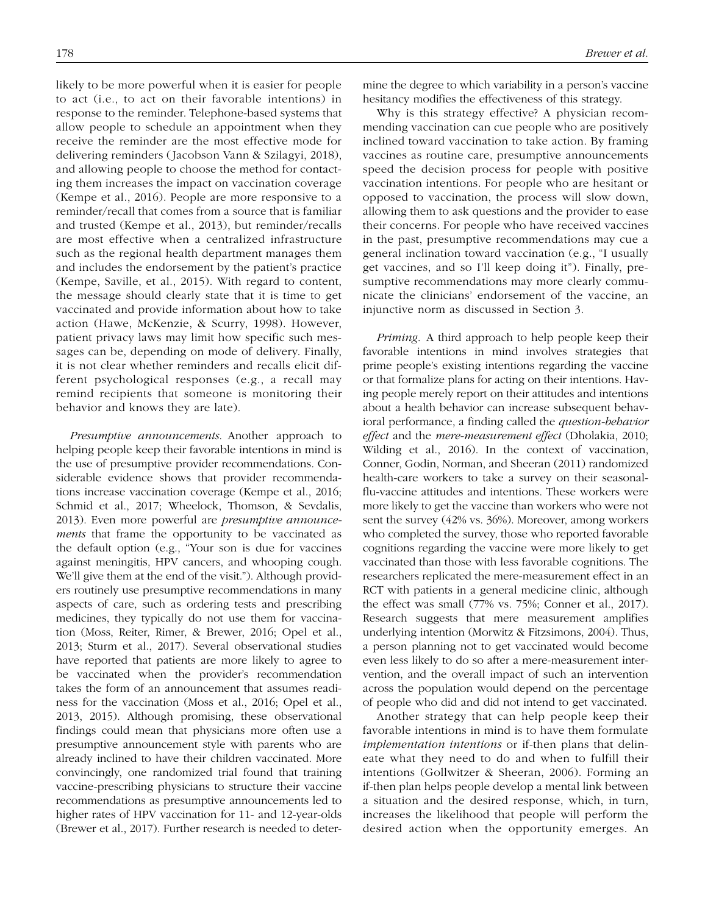likely to be more powerful when it is easier for people to act (i.e., to act on their favorable intentions) in response to the reminder. Telephone-based systems that allow people to schedule an appointment when they receive the reminder are the most effective mode for delivering reminders (Jacobson Vann & Szilagyi, 2018), and allowing people to choose the method for contacting them increases the impact on vaccination coverage (Kempe et al., 2016). People are more responsive to a reminder/recall that comes from a source that is familiar and trusted (Kempe et al., 2013), but reminder/recalls are most effective when a centralized infrastructure such as the regional health department manages them and includes the endorsement by the patient's practice (Kempe, Saville, et al., 2015). With regard to content, the message should clearly state that it is time to get vaccinated and provide information about how to take action (Hawe, McKenzie, & Scurry, 1998). However, patient privacy laws may limit how specific such messages can be, depending on mode of delivery. Finally, it is not clear whether reminders and recalls elicit different psychological responses (e.g., a recall may remind recipients that someone is monitoring their behavior and knows they are late).

*Presumptive announcements*. Another approach to helping people keep their favorable intentions in mind is the use of presumptive provider recommendations. Considerable evidence shows that provider recommendations increase vaccination coverage (Kempe et al., 2016; Schmid et al., 2017; Wheelock, Thomson, & Sevdalis, 2013). Even more powerful are *presumptive announcements* that frame the opportunity to be vaccinated as the default option (e.g., "Your son is due for vaccines against meningitis, HPV cancers, and whooping cough. We'll give them at the end of the visit."). Although providers routinely use presumptive recommendations in many aspects of care, such as ordering tests and prescribing medicines, they typically do not use them for vaccination (Moss, Reiter, Rimer, & Brewer, 2016; Opel et al., 2013; Sturm et al., 2017). Several observational studies have reported that patients are more likely to agree to be vaccinated when the provider's recommendation takes the form of an announcement that assumes readiness for the vaccination (Moss et al., 2016; Opel et al., 2013, 2015). Although promising, these observational findings could mean that physicians more often use a presumptive announcement style with parents who are already inclined to have their children vaccinated. More convincingly, one randomized trial found that training vaccine-prescribing physicians to structure their vaccine recommendations as presumptive announcements led to higher rates of HPV vaccination for 11- and 12-year-olds (Brewer et al., 2017). Further research is needed to determine the degree to which variability in a person's vaccine hesitancy modifies the effectiveness of this strategy.

Why is this strategy effective? A physician recommending vaccination can cue people who are positively inclined toward vaccination to take action. By framing vaccines as routine care, presumptive announcements speed the decision process for people with positive vaccination intentions. For people who are hesitant or opposed to vaccination, the process will slow down, allowing them to ask questions and the provider to ease their concerns. For people who have received vaccines in the past, presumptive recommendations may cue a general inclination toward vaccination (e.g., "I usually get vaccines, and so I'll keep doing it"). Finally, presumptive recommendations may more clearly communicate the clinicians' endorsement of the vaccine, an injunctive norm as discussed in Section 3.

*Priming*. A third approach to help people keep their favorable intentions in mind involves strategies that prime people's existing intentions regarding the vaccine or that formalize plans for acting on their intentions. Having people merely report on their attitudes and intentions about a health behavior can increase subsequent behavioral performance, a finding called the *question-behavior effect* and the *mere-measurement effect* (Dholakia, 2010; Wilding et al., 2016). In the context of vaccination, Conner, Godin, Norman, and Sheeran (2011) randomized health-care workers to take a survey on their seasonalflu-vaccine attitudes and intentions. These workers were more likely to get the vaccine than workers who were not sent the survey (42% vs. 36%). Moreover, among workers who completed the survey, those who reported favorable cognitions regarding the vaccine were more likely to get vaccinated than those with less favorable cognitions. The researchers replicated the mere-measurement effect in an RCT with patients in a general medicine clinic, although the effect was small (77% vs. 75%; Conner et al., 2017). Research suggests that mere measurement amplifies underlying intention (Morwitz & Fitzsimons, 2004). Thus, a person planning not to get vaccinated would become even less likely to do so after a mere-measurement intervention, and the overall impact of such an intervention across the population would depend on the percentage of people who did and did not intend to get vaccinated.

Another strategy that can help people keep their favorable intentions in mind is to have them formulate *implementation intentions* or if-then plans that delineate what they need to do and when to fulfill their intentions (Gollwitzer & Sheeran, 2006). Forming an if-then plan helps people develop a mental link between a situation and the desired response, which, in turn, increases the likelihood that people will perform the desired action when the opportunity emerges. An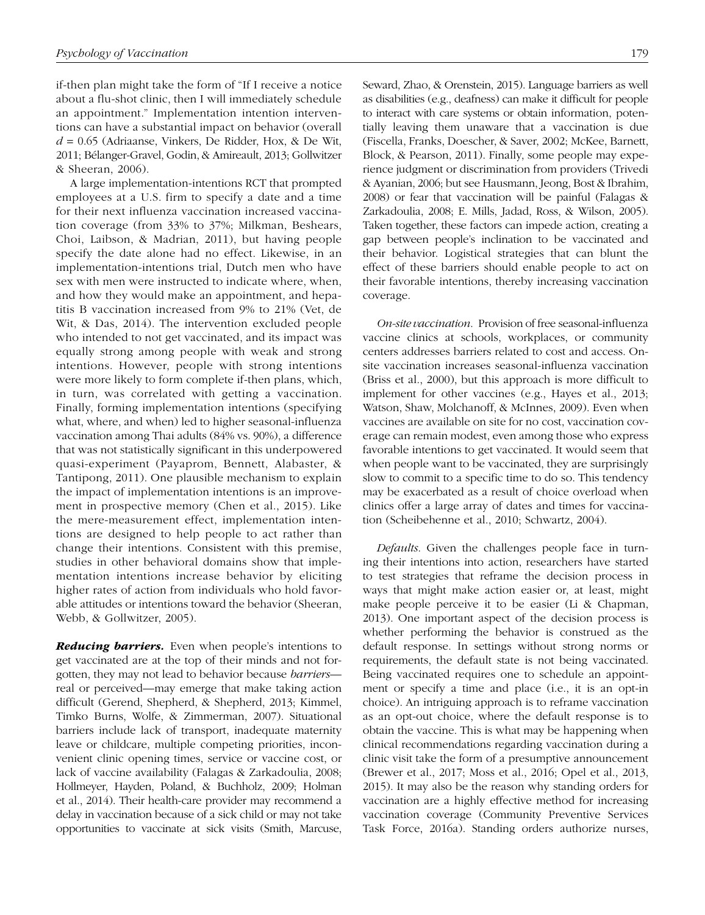if-then plan might take the form of "If I receive a notice about a flu-shot clinic, then I will immediately schedule an appointment." Implementation intention interventions can have a substantial impact on behavior (overall *d* = 0.65 (Adriaanse, Vinkers, De Ridder, Hox, & De Wit, 2011; Bélanger-Gravel, Godin, & Amireault, 2013; Gollwitzer & Sheeran, 2006).

A large implementation-intentions RCT that prompted employees at a U.S. firm to specify a date and a time for their next influenza vaccination increased vaccination coverage (from 33% to 37%; Milkman, Beshears, Choi, Laibson, & Madrian, 2011), but having people specify the date alone had no effect. Likewise, in an implementation-intentions trial, Dutch men who have sex with men were instructed to indicate where, when, and how they would make an appointment, and hepatitis B vaccination increased from 9% to 21% (Vet, de Wit, & Das, 2014). The intervention excluded people who intended to not get vaccinated, and its impact was equally strong among people with weak and strong intentions. However, people with strong intentions were more likely to form complete if-then plans, which, in turn, was correlated with getting a vaccination. Finally, forming implementation intentions (specifying what, where, and when) led to higher seasonal-influenza vaccination among Thai adults (84% vs. 90%), a difference that was not statistically significant in this underpowered quasi-experiment (Payaprom, Bennett, Alabaster, & Tantipong, 2011). One plausible mechanism to explain the impact of implementation intentions is an improvement in prospective memory (Chen et al., 2015). Like the mere-measurement effect, implementation intentions are designed to help people to act rather than change their intentions. Consistent with this premise, studies in other behavioral domains show that implementation intentions increase behavior by eliciting higher rates of action from individuals who hold favorable attitudes or intentions toward the behavior (Sheeran, Webb, & Gollwitzer, 2005).

*Reducing barriers.* Even when people's intentions to get vaccinated are at the top of their minds and not forgotten, they may not lead to behavior because *barriers* real or perceived—may emerge that make taking action difficult (Gerend, Shepherd, & Shepherd, 2013; Kimmel, Timko Burns, Wolfe, & Zimmerman, 2007). Situational barriers include lack of transport, inadequate maternity leave or childcare, multiple competing priorities, inconvenient clinic opening times, service or vaccine cost, or lack of vaccine availability (Falagas & Zarkadoulia, 2008; Hollmeyer, Hayden, Poland, & Buchholz, 2009; Holman et al., 2014). Their health-care provider may recommend a delay in vaccination because of a sick child or may not take opportunities to vaccinate at sick visits (Smith, Marcuse, Seward, Zhao, & Orenstein, 2015). Language barriers as well as disabilities (e.g., deafness) can make it difficult for people to interact with care systems or obtain information, potentially leaving them unaware that a vaccination is due (Fiscella, Franks, Doescher, & Saver, 2002; McKee, Barnett, Block, & Pearson, 2011). Finally, some people may experience judgment or discrimination from providers (Trivedi & Ayanian, 2006; but see Hausmann, Jeong, Bost & Ibrahim, 2008) or fear that vaccination will be painful (Falagas & Zarkadoulia, 2008; E. Mills, Jadad, Ross, & Wilson, 2005). Taken together, these factors can impede action, creating a gap between people's inclination to be vaccinated and their behavior. Logistical strategies that can blunt the effect of these barriers should enable people to act on their favorable intentions, thereby increasing vaccination coverage.

*On-site vaccination*. Provision of free seasonal-influenza vaccine clinics at schools, workplaces, or community centers addresses barriers related to cost and access. Onsite vaccination increases seasonal-influenza vaccination (Briss et al., 2000), but this approach is more difficult to implement for other vaccines (e.g., Hayes et al., 2013; Watson, Shaw, Molchanoff, & McInnes, 2009). Even when vaccines are available on site for no cost, vaccination coverage can remain modest, even among those who express favorable intentions to get vaccinated. It would seem that when people want to be vaccinated, they are surprisingly slow to commit to a specific time to do so. This tendency may be exacerbated as a result of choice overload when clinics offer a large array of dates and times for vaccination (Scheibehenne et al., 2010; Schwartz, 2004).

*Defaults*. Given the challenges people face in turning their intentions into action, researchers have started to test strategies that reframe the decision process in ways that might make action easier or, at least, might make people perceive it to be easier (Li & Chapman, 2013). One important aspect of the decision process is whether performing the behavior is construed as the default response. In settings without strong norms or requirements, the default state is not being vaccinated. Being vaccinated requires one to schedule an appointment or specify a time and place (i.e., it is an opt-in choice). An intriguing approach is to reframe vaccination as an opt-out choice, where the default response is to obtain the vaccine. This is what may be happening when clinical recommendations regarding vaccination during a clinic visit take the form of a presumptive announcement (Brewer et al., 2017; Moss et al., 2016; Opel et al., 2013, 2015). It may also be the reason why standing orders for vaccination are a highly effective method for increasing vaccination coverage (Community Preventive Services Task Force, 2016a). Standing orders authorize nurses,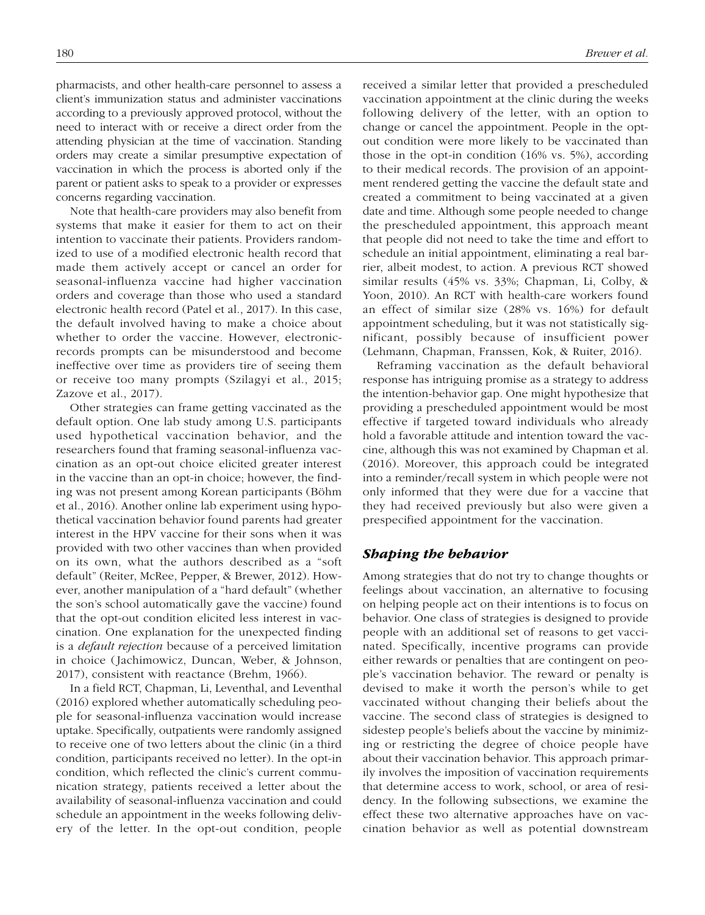pharmacists, and other health-care personnel to assess a client's immunization status and administer vaccinations according to a previously approved protocol, without the need to interact with or receive a direct order from the attending physician at the time of vaccination. Standing orders may create a similar presumptive expectation of vaccination in which the process is aborted only if the parent or patient asks to speak to a provider or expresses concerns regarding vaccination.

Note that health-care providers may also benefit from systems that make it easier for them to act on their intention to vaccinate their patients. Providers randomized to use of a modified electronic health record that made them actively accept or cancel an order for seasonal-influenza vaccine had higher vaccination orders and coverage than those who used a standard electronic health record (Patel et al., 2017). In this case, the default involved having to make a choice about whether to order the vaccine. However, electronicrecords prompts can be misunderstood and become ineffective over time as providers tire of seeing them or receive too many prompts (Szilagyi et al., 2015; Zazove et al., 2017).

Other strategies can frame getting vaccinated as the default option. One lab study among U.S. participants used hypothetical vaccination behavior, and the researchers found that framing seasonal-influenza vaccination as an opt-out choice elicited greater interest in the vaccine than an opt-in choice; however, the finding was not present among Korean participants (Böhm et al., 2016). Another online lab experiment using hypothetical vaccination behavior found parents had greater interest in the HPV vaccine for their sons when it was provided with two other vaccines than when provided on its own, what the authors described as a "soft default" (Reiter, McRee, Pepper, & Brewer, 2012). However, another manipulation of a "hard default" (whether the son's school automatically gave the vaccine) found that the opt-out condition elicited less interest in vaccination. One explanation for the unexpected finding is a *default rejection* because of a perceived limitation in choice (Jachimowicz, Duncan, Weber, & Johnson, 2017), consistent with reactance (Brehm, 1966).

In a field RCT, Chapman, Li, Leventhal, and Leventhal (2016) explored whether automatically scheduling people for seasonal-influenza vaccination would increase uptake. Specifically, outpatients were randomly assigned to receive one of two letters about the clinic (in a third condition, participants received no letter). In the opt-in condition, which reflected the clinic's current communication strategy, patients received a letter about the availability of seasonal-influenza vaccination and could schedule an appointment in the weeks following delivery of the letter. In the opt-out condition, people received a similar letter that provided a prescheduled vaccination appointment at the clinic during the weeks following delivery of the letter, with an option to change or cancel the appointment. People in the optout condition were more likely to be vaccinated than those in the opt-in condition (16% vs. 5%), according to their medical records. The provision of an appointment rendered getting the vaccine the default state and created a commitment to being vaccinated at a given date and time. Although some people needed to change the prescheduled appointment, this approach meant that people did not need to take the time and effort to schedule an initial appointment, eliminating a real barrier, albeit modest, to action. A previous RCT showed similar results (45% vs. 33%; Chapman, Li, Colby, & Yoon, 2010). An RCT with health-care workers found an effect of similar size (28% vs. 16%) for default appointment scheduling, but it was not statistically significant, possibly because of insufficient power (Lehmann, Chapman, Franssen, Kok, & Ruiter, 2016).

Reframing vaccination as the default behavioral response has intriguing promise as a strategy to address the intention-behavior gap. One might hypothesize that providing a prescheduled appointment would be most effective if targeted toward individuals who already hold a favorable attitude and intention toward the vaccine, although this was not examined by Chapman et al. (2016). Moreover, this approach could be integrated into a reminder/recall system in which people were not only informed that they were due for a vaccine that they had received previously but also were given a prespecified appointment for the vaccination.

### *Shaping the behavior*

Among strategies that do not try to change thoughts or feelings about vaccination, an alternative to focusing on helping people act on their intentions is to focus on behavior. One class of strategies is designed to provide people with an additional set of reasons to get vaccinated. Specifically, incentive programs can provide either rewards or penalties that are contingent on people's vaccination behavior. The reward or penalty is devised to make it worth the person's while to get vaccinated without changing their beliefs about the vaccine. The second class of strategies is designed to sidestep people's beliefs about the vaccine by minimizing or restricting the degree of choice people have about their vaccination behavior. This approach primarily involves the imposition of vaccination requirements that determine access to work, school, or area of residency. In the following subsections, we examine the effect these two alternative approaches have on vaccination behavior as well as potential downstream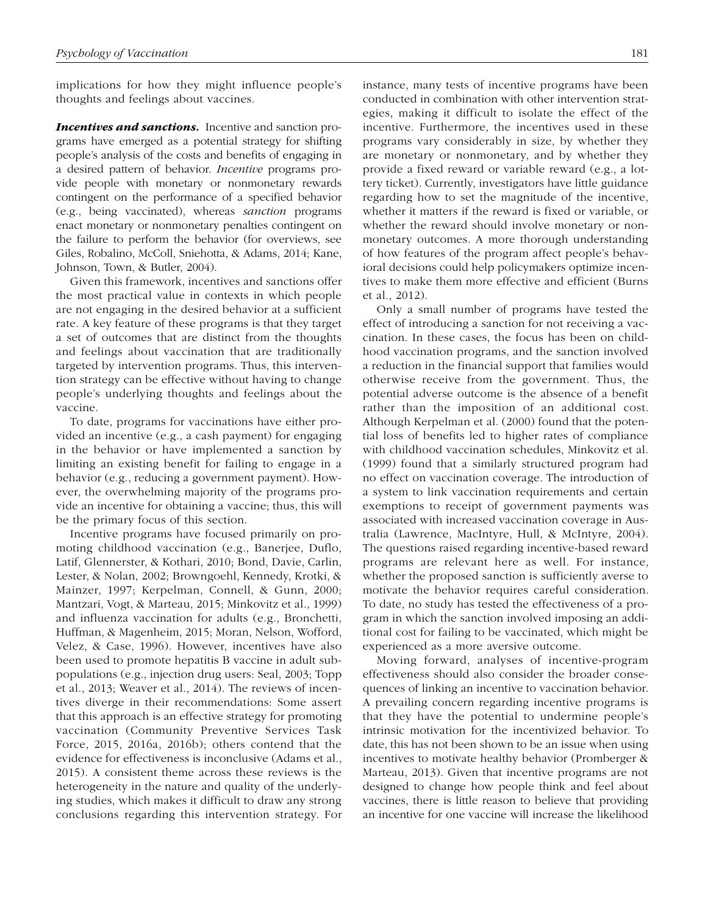implications for how they might influence people's thoughts and feelings about vaccines.

**Incentives and sanctions.** Incentive and sanction programs have emerged as a potential strategy for shifting people's analysis of the costs and benefits of engaging in a desired pattern of behavior. *Incentive* programs provide people with monetary or nonmonetary rewards contingent on the performance of a specified behavior (e.g., being vaccinated), whereas *sanction* programs enact monetary or nonmonetary penalties contingent on the failure to perform the behavior (for overviews, see Giles, Robalino, McColl, Sniehotta, & Adams, 2014; Kane, Johnson, Town, & Butler, 2004).

Given this framework, incentives and sanctions offer the most practical value in contexts in which people are not engaging in the desired behavior at a sufficient rate. A key feature of these programs is that they target a set of outcomes that are distinct from the thoughts and feelings about vaccination that are traditionally targeted by intervention programs. Thus, this intervention strategy can be effective without having to change people's underlying thoughts and feelings about the vaccine.

To date, programs for vaccinations have either provided an incentive (e.g., a cash payment) for engaging in the behavior or have implemented a sanction by limiting an existing benefit for failing to engage in a behavior (e.g., reducing a government payment). However, the overwhelming majority of the programs provide an incentive for obtaining a vaccine; thus, this will be the primary focus of this section.

Incentive programs have focused primarily on promoting childhood vaccination (e.g., Banerjee, Duflo, Latif, Glennerster, & Kothari, 2010; Bond, Davie, Carlin, Lester, & Nolan, 2002; Browngoehl, Kennedy, Krotki, & Mainzer, 1997; Kerpelman, Connell, & Gunn, 2000; Mantzari, Vogt, & Marteau, 2015; Minkovitz et al., 1999) and influenza vaccination for adults (e.g., Bronchetti, Huffman, & Magenheim, 2015; Moran, Nelson, Wofford, Velez, & Case, 1996). However, incentives have also been used to promote hepatitis B vaccine in adult subpopulations (e.g., injection drug users: Seal, 2003; Topp et al., 2013; Weaver et al., 2014). The reviews of incentives diverge in their recommendations: Some assert that this approach is an effective strategy for promoting vaccination (Community Preventive Services Task Force, 2015, 2016a, 2016b); others contend that the evidence for effectiveness is inconclusive (Adams et al., 2015). A consistent theme across these reviews is the heterogeneity in the nature and quality of the underlying studies, which makes it difficult to draw any strong conclusions regarding this intervention strategy. For instance, many tests of incentive programs have been conducted in combination with other intervention strategies, making it difficult to isolate the effect of the incentive. Furthermore, the incentives used in these programs vary considerably in size, by whether they are monetary or nonmonetary, and by whether they provide a fixed reward or variable reward (e.g., a lottery ticket). Currently, investigators have little guidance regarding how to set the magnitude of the incentive, whether it matters if the reward is fixed or variable, or whether the reward should involve monetary or nonmonetary outcomes. A more thorough understanding of how features of the program affect people's behavioral decisions could help policymakers optimize incentives to make them more effective and efficient (Burns et al., 2012).

Only a small number of programs have tested the effect of introducing a sanction for not receiving a vaccination. In these cases, the focus has been on childhood vaccination programs, and the sanction involved a reduction in the financial support that families would otherwise receive from the government. Thus, the potential adverse outcome is the absence of a benefit rather than the imposition of an additional cost. Although Kerpelman et al. (2000) found that the potential loss of benefits led to higher rates of compliance with childhood vaccination schedules, Minkovitz et al. (1999) found that a similarly structured program had no effect on vaccination coverage. The introduction of a system to link vaccination requirements and certain exemptions to receipt of government payments was associated with increased vaccination coverage in Australia (Lawrence, MacIntyre, Hull, & McIntyre, 2004). The questions raised regarding incentive-based reward programs are relevant here as well. For instance, whether the proposed sanction is sufficiently averse to motivate the behavior requires careful consideration. To date, no study has tested the effectiveness of a program in which the sanction involved imposing an additional cost for failing to be vaccinated, which might be experienced as a more aversive outcome.

Moving forward, analyses of incentive-program effectiveness should also consider the broader consequences of linking an incentive to vaccination behavior. A prevailing concern regarding incentive programs is that they have the potential to undermine people's intrinsic motivation for the incentivized behavior. To date, this has not been shown to be an issue when using incentives to motivate healthy behavior (Promberger & Marteau, 2013). Given that incentive programs are not designed to change how people think and feel about vaccines, there is little reason to believe that providing an incentive for one vaccine will increase the likelihood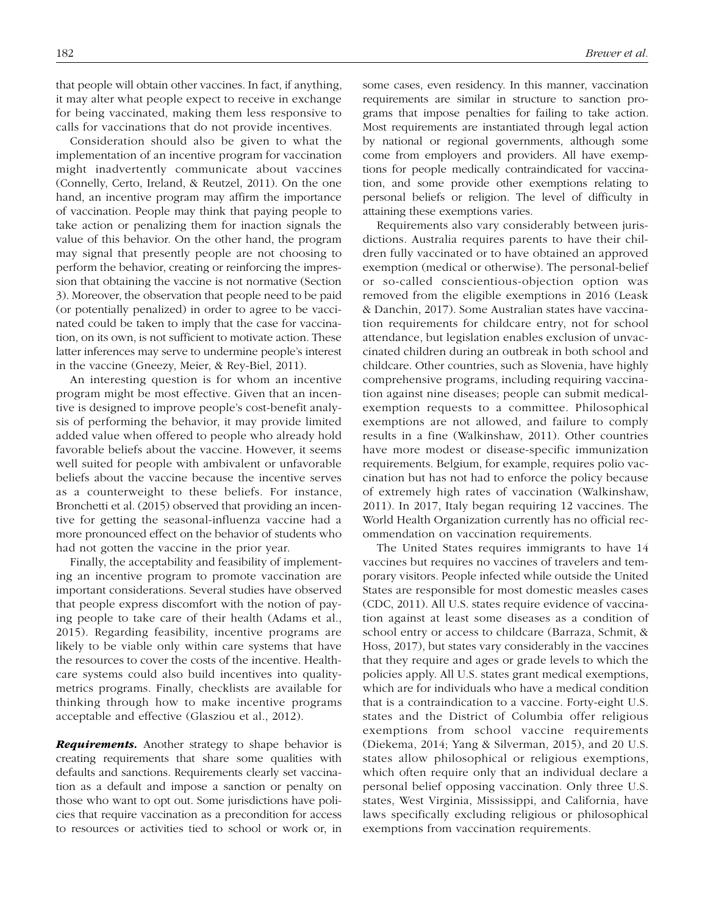that people will obtain other vaccines. In fact, if anything, it may alter what people expect to receive in exchange for being vaccinated, making them less responsive to calls for vaccinations that do not provide incentives.

Consideration should also be given to what the implementation of an incentive program for vaccination might inadvertently communicate about vaccines (Connelly, Certo, Ireland, & Reutzel, 2011). On the one hand, an incentive program may affirm the importance of vaccination. People may think that paying people to take action or penalizing them for inaction signals the value of this behavior. On the other hand, the program may signal that presently people are not choosing to perform the behavior, creating or reinforcing the impression that obtaining the vaccine is not normative (Section 3). Moreover, the observation that people need to be paid (or potentially penalized) in order to agree to be vaccinated could be taken to imply that the case for vaccination, on its own, is not sufficient to motivate action. These latter inferences may serve to undermine people's interest in the vaccine (Gneezy, Meier, & Rey-Biel, 2011).

An interesting question is for whom an incentive program might be most effective. Given that an incentive is designed to improve people's cost-benefit analysis of performing the behavior, it may provide limited added value when offered to people who already hold favorable beliefs about the vaccine. However, it seems well suited for people with ambivalent or unfavorable beliefs about the vaccine because the incentive serves as a counterweight to these beliefs. For instance, Bronchetti et al. (2015) observed that providing an incentive for getting the seasonal-influenza vaccine had a more pronounced effect on the behavior of students who had not gotten the vaccine in the prior year.

Finally, the acceptability and feasibility of implementing an incentive program to promote vaccination are important considerations. Several studies have observed that people express discomfort with the notion of paying people to take care of their health (Adams et al., 2015). Regarding feasibility, incentive programs are likely to be viable only within care systems that have the resources to cover the costs of the incentive. Healthcare systems could also build incentives into qualitymetrics programs. Finally, checklists are available for thinking through how to make incentive programs acceptable and effective (Glasziou et al., 2012).

*Requirements.* Another strategy to shape behavior is creating requirements that share some qualities with defaults and sanctions. Requirements clearly set vaccination as a default and impose a sanction or penalty on those who want to opt out. Some jurisdictions have policies that require vaccination as a precondition for access to resources or activities tied to school or work or, in some cases, even residency. In this manner, vaccination requirements are similar in structure to sanction programs that impose penalties for failing to take action. Most requirements are instantiated through legal action by national or regional governments, although some come from employers and providers. All have exemptions for people medically contraindicated for vaccination, and some provide other exemptions relating to personal beliefs or religion. The level of difficulty in attaining these exemptions varies.

Requirements also vary considerably between jurisdictions. Australia requires parents to have their children fully vaccinated or to have obtained an approved exemption (medical or otherwise). The personal-belief or so-called conscientious-objection option was removed from the eligible exemptions in 2016 (Leask & Danchin, 2017). Some Australian states have vaccination requirements for childcare entry, not for school attendance, but legislation enables exclusion of unvaccinated children during an outbreak in both school and childcare. Other countries, such as Slovenia, have highly comprehensive programs, including requiring vaccination against nine diseases; people can submit medicalexemption requests to a committee. Philosophical exemptions are not allowed, and failure to comply results in a fine (Walkinshaw, 2011). Other countries have more modest or disease-specific immunization requirements. Belgium, for example, requires polio vaccination but has not had to enforce the policy because of extremely high rates of vaccination (Walkinshaw, 2011). In 2017, Italy began requiring 12 vaccines. The World Health Organization currently has no official recommendation on vaccination requirements.

The United States requires immigrants to have 14 vaccines but requires no vaccines of travelers and temporary visitors. People infected while outside the United States are responsible for most domestic measles cases (CDC, 2011). All U.S. states require evidence of vaccination against at least some diseases as a condition of school entry or access to childcare (Barraza, Schmit, & Hoss, 2017), but states vary considerably in the vaccines that they require and ages or grade levels to which the policies apply. All U.S. states grant medical exemptions, which are for individuals who have a medical condition that is a contraindication to a vaccine. Forty-eight U.S. states and the District of Columbia offer religious exemptions from school vaccine requirements (Diekema, 2014; Yang & Silverman, 2015), and 20 U.S. states allow philosophical or religious exemptions, which often require only that an individual declare a personal belief opposing vaccination. Only three U.S. states, West Virginia, Mississippi, and California, have laws specifically excluding religious or philosophical exemptions from vaccination requirements.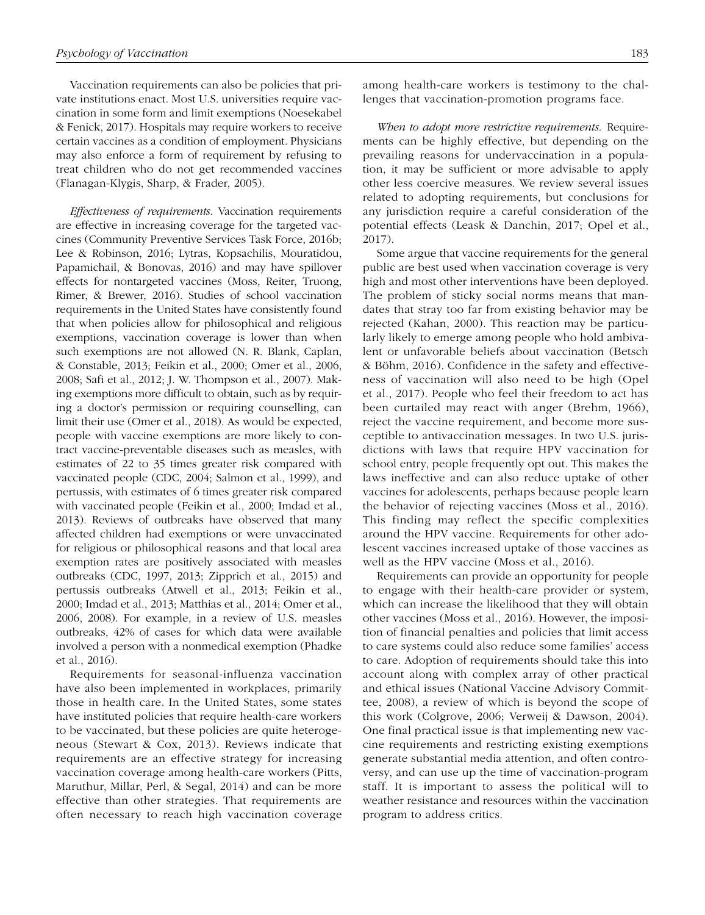Vaccination requirements can also be policies that private institutions enact. Most U.S. universities require vaccination in some form and limit exemptions (Noesekabel & Fenick, 2017). Hospitals may require workers to receive certain vaccines as a condition of employment. Physicians may also enforce a form of requirement by refusing to treat children who do not get recommended vaccines (Flanagan-Klygis, Sharp, & Frader, 2005).

*Effectiveness of requirements*. Vaccination requirements are effective in increasing coverage for the targeted vaccines (Community Preventive Services Task Force, 2016b; Lee & Robinson, 2016; Lytras, Kopsachilis, Mouratidou, Papamichail, & Bonovas, 2016) and may have spillover effects for nontargeted vaccines (Moss, Reiter, Truong, Rimer, & Brewer, 2016). Studies of school vaccination requirements in the United States have consistently found that when policies allow for philosophical and religious exemptions, vaccination coverage is lower than when such exemptions are not allowed (N. R. Blank, Caplan, & Constable, 2013; Feikin et al., 2000; Omer et al., 2006, 2008; Safi et al., 2012; J. W. Thompson et al., 2007). Making exemptions more difficult to obtain, such as by requiring a doctor's permission or requiring counselling, can limit their use (Omer et al., 2018). As would be expected, people with vaccine exemptions are more likely to contract vaccine-preventable diseases such as measles, with estimates of 22 to 35 times greater risk compared with vaccinated people (CDC, 2004; Salmon et al., 1999), and pertussis, with estimates of 6 times greater risk compared with vaccinated people (Feikin et al., 2000; Imdad et al., 2013). Reviews of outbreaks have observed that many affected children had exemptions or were unvaccinated for religious or philosophical reasons and that local area exemption rates are positively associated with measles outbreaks (CDC, 1997, 2013; Zipprich et al., 2015) and pertussis outbreaks (Atwell et al., 2013; Feikin et al., 2000; Imdad et al., 2013; Matthias et al., 2014; Omer et al., 2006, 2008). For example, in a review of U.S. measles outbreaks, 42% of cases for which data were available involved a person with a nonmedical exemption (Phadke et al., 2016).

Requirements for seasonal-influenza vaccination have also been implemented in workplaces, primarily those in health care. In the United States, some states have instituted policies that require health-care workers to be vaccinated, but these policies are quite heterogeneous (Stewart & Cox, 2013). Reviews indicate that requirements are an effective strategy for increasing vaccination coverage among health-care workers (Pitts, Maruthur, Millar, Perl, & Segal, 2014) and can be more effective than other strategies. That requirements are often necessary to reach high vaccination coverage among health-care workers is testimony to the challenges that vaccination-promotion programs face.

*When to adopt more restrictive requirements*. Requirements can be highly effective, but depending on the prevailing reasons for undervaccination in a population, it may be sufficient or more advisable to apply other less coercive measures. We review several issues related to adopting requirements, but conclusions for any jurisdiction require a careful consideration of the potential effects (Leask & Danchin, 2017; Opel et al., 2017).

Some argue that vaccine requirements for the general public are best used when vaccination coverage is very high and most other interventions have been deployed. The problem of sticky social norms means that mandates that stray too far from existing behavior may be rejected (Kahan, 2000). This reaction may be particularly likely to emerge among people who hold ambivalent or unfavorable beliefs about vaccination (Betsch & Böhm, 2016). Confidence in the safety and effectiveness of vaccination will also need to be high (Opel et al., 2017). People who feel their freedom to act has been curtailed may react with anger (Brehm, 1966), reject the vaccine requirement, and become more susceptible to antivaccination messages. In two U.S. jurisdictions with laws that require HPV vaccination for school entry, people frequently opt out. This makes the laws ineffective and can also reduce uptake of other vaccines for adolescents, perhaps because people learn the behavior of rejecting vaccines (Moss et al., 2016). This finding may reflect the specific complexities around the HPV vaccine. Requirements for other adolescent vaccines increased uptake of those vaccines as well as the HPV vaccine (Moss et al., 2016).

Requirements can provide an opportunity for people to engage with their health-care provider or system, which can increase the likelihood that they will obtain other vaccines (Moss et al., 2016). However, the imposition of financial penalties and policies that limit access to care systems could also reduce some families' access to care. Adoption of requirements should take this into account along with complex array of other practical and ethical issues (National Vaccine Advisory Committee, 2008), a review of which is beyond the scope of this work (Colgrove, 2006; Verweij & Dawson, 2004). One final practical issue is that implementing new vaccine requirements and restricting existing exemptions generate substantial media attention, and often controversy, and can use up the time of vaccination-program staff. It is important to assess the political will to weather resistance and resources within the vaccination program to address critics.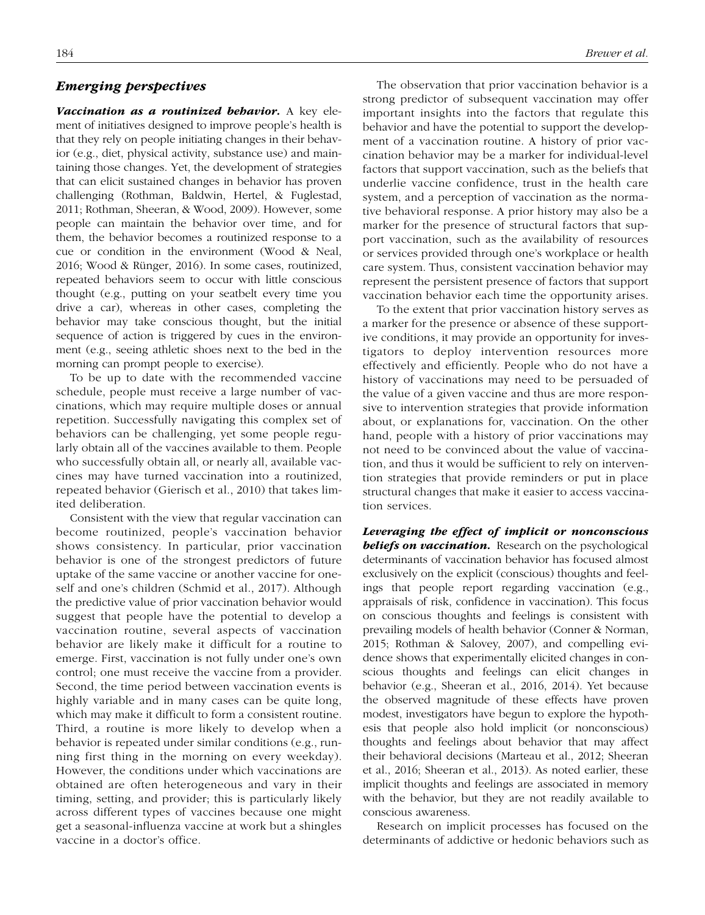### *Emerging perspectives*

*Vaccination as a routinized behavior.* A key element of initiatives designed to improve people's health is that they rely on people initiating changes in their behavior (e.g., diet, physical activity, substance use) and maintaining those changes. Yet, the development of strategies that can elicit sustained changes in behavior has proven challenging (Rothman, Baldwin, Hertel, & Fuglestad, 2011; Rothman, Sheeran, & Wood, 2009). However, some people can maintain the behavior over time, and for them, the behavior becomes a routinized response to a cue or condition in the environment (Wood & Neal, 2016; Wood & Rünger, 2016). In some cases, routinized, repeated behaviors seem to occur with little conscious thought (e.g., putting on your seatbelt every time you drive a car), whereas in other cases, completing the behavior may take conscious thought, but the initial sequence of action is triggered by cues in the environment (e.g., seeing athletic shoes next to the bed in the morning can prompt people to exercise).

To be up to date with the recommended vaccine schedule, people must receive a large number of vaccinations, which may require multiple doses or annual repetition. Successfully navigating this complex set of behaviors can be challenging, yet some people regularly obtain all of the vaccines available to them. People who successfully obtain all, or nearly all, available vaccines may have turned vaccination into a routinized, repeated behavior (Gierisch et al., 2010) that takes limited deliberation.

Consistent with the view that regular vaccination can become routinized, people's vaccination behavior shows consistency. In particular, prior vaccination behavior is one of the strongest predictors of future uptake of the same vaccine or another vaccine for oneself and one's children (Schmid et al., 2017). Although the predictive value of prior vaccination behavior would suggest that people have the potential to develop a vaccination routine, several aspects of vaccination behavior are likely make it difficult for a routine to emerge. First, vaccination is not fully under one's own control; one must receive the vaccine from a provider. Second, the time period between vaccination events is highly variable and in many cases can be quite long, which may make it difficult to form a consistent routine. Third, a routine is more likely to develop when a behavior is repeated under similar conditions (e.g., running first thing in the morning on every weekday). However, the conditions under which vaccinations are obtained are often heterogeneous and vary in their timing, setting, and provider; this is particularly likely across different types of vaccines because one might get a seasonal-influenza vaccine at work but a shingles vaccine in a doctor's office.

The observation that prior vaccination behavior is a strong predictor of subsequent vaccination may offer important insights into the factors that regulate this behavior and have the potential to support the development of a vaccination routine. A history of prior vaccination behavior may be a marker for individual-level factors that support vaccination, such as the beliefs that underlie vaccine confidence, trust in the health care system, and a perception of vaccination as the normative behavioral response. A prior history may also be a marker for the presence of structural factors that support vaccination, such as the availability of resources or services provided through one's workplace or health care system. Thus, consistent vaccination behavior may represent the persistent presence of factors that support vaccination behavior each time the opportunity arises.

To the extent that prior vaccination history serves as a marker for the presence or absence of these supportive conditions, it may provide an opportunity for investigators to deploy intervention resources more effectively and efficiently. People who do not have a history of vaccinations may need to be persuaded of the value of a given vaccine and thus are more responsive to intervention strategies that provide information about, or explanations for, vaccination. On the other hand, people with a history of prior vaccinations may not need to be convinced about the value of vaccination, and thus it would be sufficient to rely on intervention strategies that provide reminders or put in place structural changes that make it easier to access vaccination services.

*Leveraging the effect of implicit or nonconscious*  **beliefs on vaccination.** Research on the psychological determinants of vaccination behavior has focused almost exclusively on the explicit (conscious) thoughts and feelings that people report regarding vaccination (e.g., appraisals of risk, confidence in vaccination). This focus on conscious thoughts and feelings is consistent with prevailing models of health behavior (Conner & Norman, 2015; Rothman & Salovey, 2007), and compelling evidence shows that experimentally elicited changes in conscious thoughts and feelings can elicit changes in behavior (e.g., Sheeran et al., 2016, 2014). Yet because the observed magnitude of these effects have proven modest, investigators have begun to explore the hypothesis that people also hold implicit (or nonconscious) thoughts and feelings about behavior that may affect their behavioral decisions (Marteau et al., 2012; Sheeran et al., 2016; Sheeran et al., 2013). As noted earlier, these implicit thoughts and feelings are associated in memory with the behavior, but they are not readily available to conscious awareness.

Research on implicit processes has focused on the determinants of addictive or hedonic behaviors such as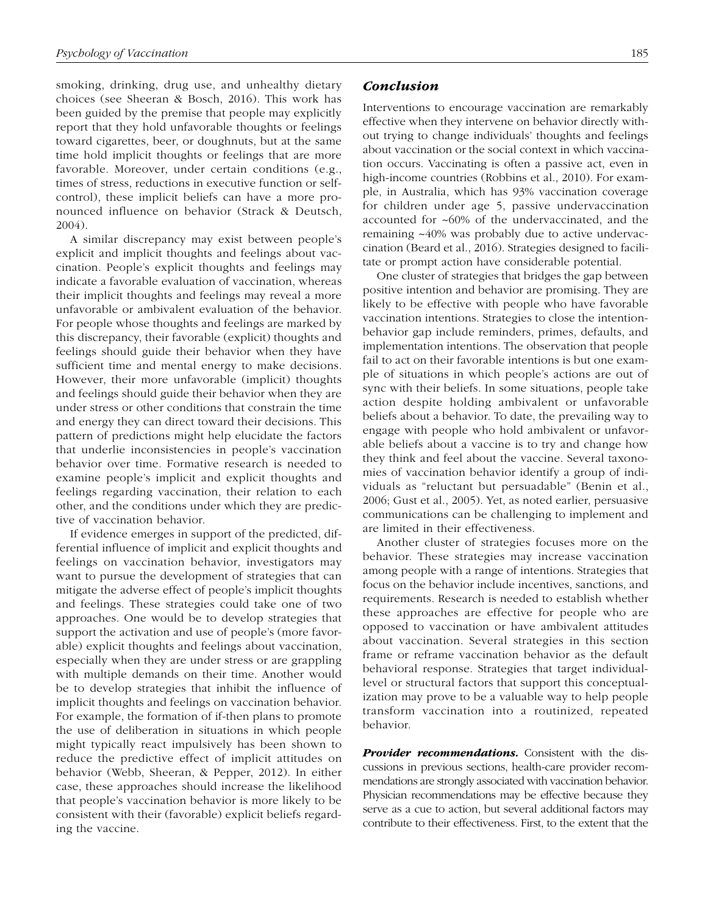smoking, drinking, drug use, and unhealthy dietary choices (see Sheeran & Bosch, 2016). This work has been guided by the premise that people may explicitly report that they hold unfavorable thoughts or feelings toward cigarettes, beer, or doughnuts, but at the same time hold implicit thoughts or feelings that are more favorable. Moreover, under certain conditions (e.g., times of stress, reductions in executive function or selfcontrol), these implicit beliefs can have a more pronounced influence on behavior (Strack & Deutsch, 2004).

A similar discrepancy may exist between people's explicit and implicit thoughts and feelings about vaccination. People's explicit thoughts and feelings may indicate a favorable evaluation of vaccination, whereas their implicit thoughts and feelings may reveal a more unfavorable or ambivalent evaluation of the behavior. For people whose thoughts and feelings are marked by this discrepancy, their favorable (explicit) thoughts and feelings should guide their behavior when they have sufficient time and mental energy to make decisions. However, their more unfavorable (implicit) thoughts and feelings should guide their behavior when they are under stress or other conditions that constrain the time and energy they can direct toward their decisions. This pattern of predictions might help elucidate the factors that underlie inconsistencies in people's vaccination behavior over time. Formative research is needed to examine people's implicit and explicit thoughts and feelings regarding vaccination, their relation to each other, and the conditions under which they are predictive of vaccination behavior.

If evidence emerges in support of the predicted, differential influence of implicit and explicit thoughts and feelings on vaccination behavior, investigators may want to pursue the development of strategies that can mitigate the adverse effect of people's implicit thoughts and feelings. These strategies could take one of two approaches. One would be to develop strategies that support the activation and use of people's (more favorable) explicit thoughts and feelings about vaccination, especially when they are under stress or are grappling with multiple demands on their time. Another would be to develop strategies that inhibit the influence of implicit thoughts and feelings on vaccination behavior. For example, the formation of if-then plans to promote the use of deliberation in situations in which people might typically react impulsively has been shown to reduce the predictive effect of implicit attitudes on behavior (Webb, Sheeran, & Pepper, 2012). In either case, these approaches should increase the likelihood that people's vaccination behavior is more likely to be consistent with their (favorable) explicit beliefs regarding the vaccine.

# *Conclusion*

Interventions to encourage vaccination are remarkably effective when they intervene on behavior directly without trying to change individuals' thoughts and feelings about vaccination or the social context in which vaccination occurs. Vaccinating is often a passive act, even in high-income countries (Robbins et al., 2010). For example, in Australia, which has 93% vaccination coverage for children under age 5, passive undervaccination accounted for ~60% of the undervaccinated, and the remaining ~40% was probably due to active undervaccination (Beard et al., 2016). Strategies designed to facilitate or prompt action have considerable potential.

One cluster of strategies that bridges the gap between positive intention and behavior are promising. They are likely to be effective with people who have favorable vaccination intentions. Strategies to close the intentionbehavior gap include reminders, primes, defaults, and implementation intentions. The observation that people fail to act on their favorable intentions is but one example of situations in which people's actions are out of sync with their beliefs. In some situations, people take action despite holding ambivalent or unfavorable beliefs about a behavior. To date, the prevailing way to engage with people who hold ambivalent or unfavorable beliefs about a vaccine is to try and change how they think and feel about the vaccine. Several taxonomies of vaccination behavior identify a group of individuals as "reluctant but persuadable" (Benin et al., 2006; Gust et al., 2005). Yet, as noted earlier, persuasive communications can be challenging to implement and are limited in their effectiveness.

Another cluster of strategies focuses more on the behavior. These strategies may increase vaccination among people with a range of intentions. Strategies that focus on the behavior include incentives, sanctions, and requirements. Research is needed to establish whether these approaches are effective for people who are opposed to vaccination or have ambivalent attitudes about vaccination. Several strategies in this section frame or reframe vaccination behavior as the default behavioral response. Strategies that target individuallevel or structural factors that support this conceptualization may prove to be a valuable way to help people transform vaccination into a routinized, repeated behavior.

*Provider recommendations.* Consistent with the discussions in previous sections, health-care provider recommendations are strongly associated with vaccination behavior. Physician recommendations may be effective because they serve as a cue to action, but several additional factors may contribute to their effectiveness. First, to the extent that the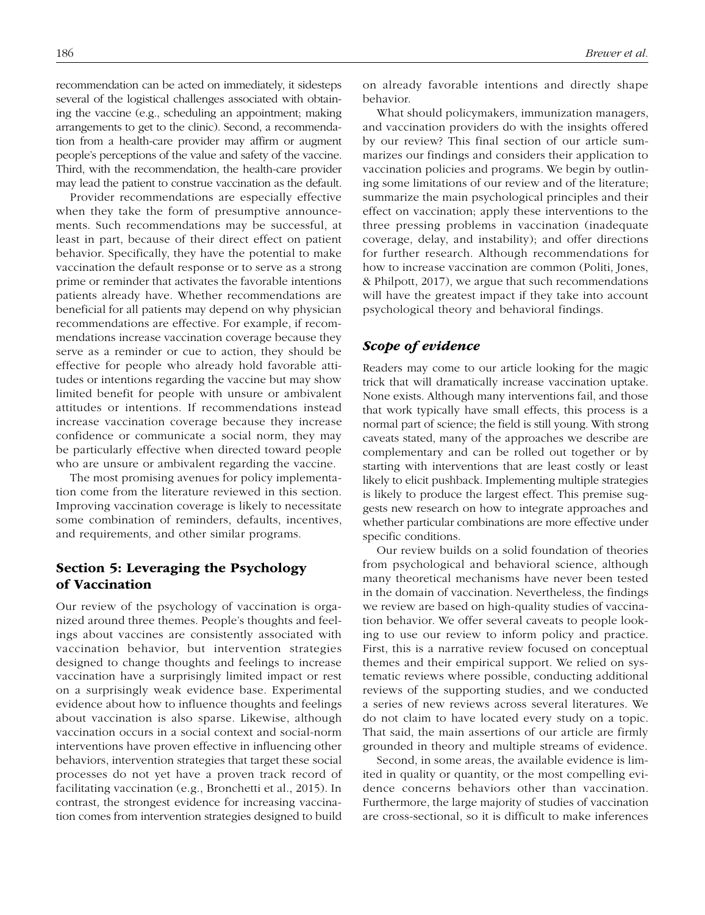recommendation can be acted on immediately, it sidesteps several of the logistical challenges associated with obtaining the vaccine (e.g., scheduling an appointment; making arrangements to get to the clinic). Second, a recommendation from a health-care provider may affirm or augment people's perceptions of the value and safety of the vaccine. Third, with the recommendation, the health-care provider may lead the patient to construe vaccination as the default.

Provider recommendations are especially effective when they take the form of presumptive announcements. Such recommendations may be successful, at least in part, because of their direct effect on patient behavior. Specifically, they have the potential to make vaccination the default response or to serve as a strong prime or reminder that activates the favorable intentions patients already have. Whether recommendations are beneficial for all patients may depend on why physician recommendations are effective. For example, if recommendations increase vaccination coverage because they serve as a reminder or cue to action, they should be effective for people who already hold favorable attitudes or intentions regarding the vaccine but may show limited benefit for people with unsure or ambivalent attitudes or intentions. If recommendations instead increase vaccination coverage because they increase confidence or communicate a social norm, they may be particularly effective when directed toward people who are unsure or ambivalent regarding the vaccine.

The most promising avenues for policy implementation come from the literature reviewed in this section. Improving vaccination coverage is likely to necessitate some combination of reminders, defaults, incentives, and requirements, and other similar programs.

# Section 5: Leveraging the Psychology of Vaccination

Our review of the psychology of vaccination is organized around three themes. People's thoughts and feelings about vaccines are consistently associated with vaccination behavior, but intervention strategies designed to change thoughts and feelings to increase vaccination have a surprisingly limited impact or rest on a surprisingly weak evidence base. Experimental evidence about how to influence thoughts and feelings about vaccination is also sparse. Likewise, although vaccination occurs in a social context and social-norm interventions have proven effective in influencing other behaviors, intervention strategies that target these social processes do not yet have a proven track record of facilitating vaccination (e.g., Bronchetti et al., 2015). In contrast, the strongest evidence for increasing vaccination comes from intervention strategies designed to build on already favorable intentions and directly shape behavior.

What should policymakers, immunization managers, and vaccination providers do with the insights offered by our review? This final section of our article summarizes our findings and considers their application to vaccination policies and programs. We begin by outlining some limitations of our review and of the literature; summarize the main psychological principles and their effect on vaccination; apply these interventions to the three pressing problems in vaccination (inadequate coverage, delay, and instability); and offer directions for further research. Although recommendations for how to increase vaccination are common (Politi, Jones, & Philpott, 2017), we argue that such recommendations will have the greatest impact if they take into account psychological theory and behavioral findings.

## *Scope of evidence*

Readers may come to our article looking for the magic trick that will dramatically increase vaccination uptake. None exists. Although many interventions fail, and those that work typically have small effects, this process is a normal part of science; the field is still young. With strong caveats stated, many of the approaches we describe are complementary and can be rolled out together or by starting with interventions that are least costly or least likely to elicit pushback. Implementing multiple strategies is likely to produce the largest effect. This premise suggests new research on how to integrate approaches and whether particular combinations are more effective under specific conditions.

Our review builds on a solid foundation of theories from psychological and behavioral science, although many theoretical mechanisms have never been tested in the domain of vaccination. Nevertheless, the findings we review are based on high-quality studies of vaccination behavior. We offer several caveats to people looking to use our review to inform policy and practice. First, this is a narrative review focused on conceptual themes and their empirical support. We relied on systematic reviews where possible, conducting additional reviews of the supporting studies, and we conducted a series of new reviews across several literatures. We do not claim to have located every study on a topic. That said, the main assertions of our article are firmly grounded in theory and multiple streams of evidence.

Second, in some areas, the available evidence is limited in quality or quantity, or the most compelling evidence concerns behaviors other than vaccination. Furthermore, the large majority of studies of vaccination are cross-sectional, so it is difficult to make inferences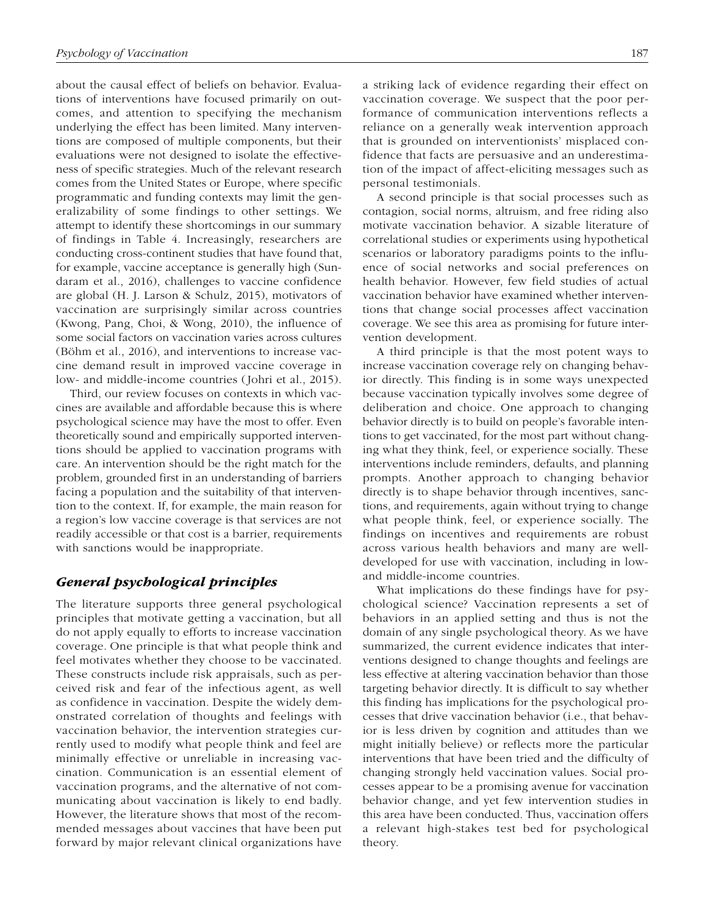about the causal effect of beliefs on behavior. Evaluations of interventions have focused primarily on outcomes, and attention to specifying the mechanism underlying the effect has been limited. Many interventions are composed of multiple components, but their evaluations were not designed to isolate the effectiveness of specific strategies. Much of the relevant research comes from the United States or Europe, where specific programmatic and funding contexts may limit the generalizability of some findings to other settings. We attempt to identify these shortcomings in our summary of findings in Table 4. Increasingly, researchers are conducting cross-continent studies that have found that, for example, vaccine acceptance is generally high (Sundaram et al., 2016), challenges to vaccine confidence are global (H. J. Larson & Schulz, 2015), motivators of vaccination are surprisingly similar across countries (Kwong, Pang, Choi, & Wong, 2010), the influence of some social factors on vaccination varies across cultures (Böhm et al., 2016), and interventions to increase vaccine demand result in improved vaccine coverage in low- and middle-income countries (Johri et al., 2015).

Third, our review focuses on contexts in which vaccines are available and affordable because this is where psychological science may have the most to offer. Even theoretically sound and empirically supported interventions should be applied to vaccination programs with care. An intervention should be the right match for the problem, grounded first in an understanding of barriers facing a population and the suitability of that intervention to the context. If, for example, the main reason for a region's low vaccine coverage is that services are not readily accessible or that cost is a barrier, requirements with sanctions would be inappropriate.

# *General psychological principles*

The literature supports three general psychological principles that motivate getting a vaccination, but all do not apply equally to efforts to increase vaccination coverage. One principle is that what people think and feel motivates whether they choose to be vaccinated. These constructs include risk appraisals, such as perceived risk and fear of the infectious agent, as well as confidence in vaccination. Despite the widely demonstrated correlation of thoughts and feelings with vaccination behavior, the intervention strategies currently used to modify what people think and feel are minimally effective or unreliable in increasing vaccination. Communication is an essential element of vaccination programs, and the alternative of not communicating about vaccination is likely to end badly. However, the literature shows that most of the recommended messages about vaccines that have been put forward by major relevant clinical organizations have a striking lack of evidence regarding their effect on vaccination coverage. We suspect that the poor performance of communication interventions reflects a reliance on a generally weak intervention approach that is grounded on interventionists' misplaced confidence that facts are persuasive and an underestimation of the impact of affect-eliciting messages such as personal testimonials.

A second principle is that social processes such as contagion, social norms, altruism, and free riding also motivate vaccination behavior. A sizable literature of correlational studies or experiments using hypothetical scenarios or laboratory paradigms points to the influence of social networks and social preferences on health behavior. However, few field studies of actual vaccination behavior have examined whether interventions that change social processes affect vaccination coverage. We see this area as promising for future intervention development.

A third principle is that the most potent ways to increase vaccination coverage rely on changing behavior directly. This finding is in some ways unexpected because vaccination typically involves some degree of deliberation and choice. One approach to changing behavior directly is to build on people's favorable intentions to get vaccinated, for the most part without changing what they think, feel, or experience socially. These interventions include reminders, defaults, and planning prompts. Another approach to changing behavior directly is to shape behavior through incentives, sanctions, and requirements, again without trying to change what people think, feel, or experience socially. The findings on incentives and requirements are robust across various health behaviors and many are welldeveloped for use with vaccination, including in lowand middle-income countries.

What implications do these findings have for psychological science? Vaccination represents a set of behaviors in an applied setting and thus is not the domain of any single psychological theory. As we have summarized, the current evidence indicates that interventions designed to change thoughts and feelings are less effective at altering vaccination behavior than those targeting behavior directly. It is difficult to say whether this finding has implications for the psychological processes that drive vaccination behavior (i.e., that behavior is less driven by cognition and attitudes than we might initially believe) or reflects more the particular interventions that have been tried and the difficulty of changing strongly held vaccination values. Social processes appear to be a promising avenue for vaccination behavior change, and yet few intervention studies in this area have been conducted. Thus, vaccination offers a relevant high-stakes test bed for psychological theory.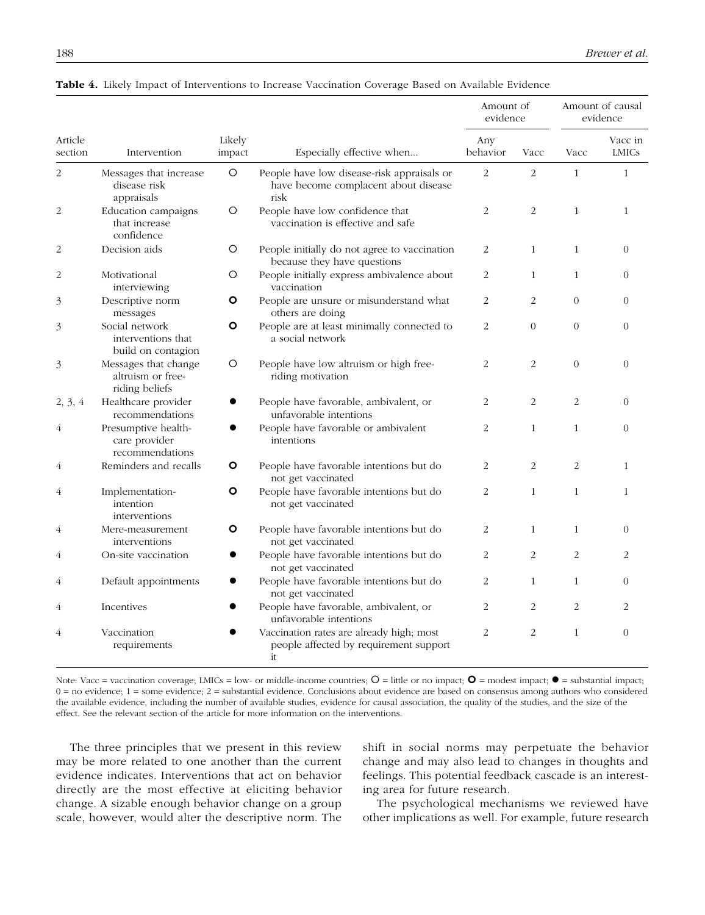|                    |                                                             |                  |                                                                                            | Amount of<br>evidence |                | Amount of causal<br>evidence |                         |
|--------------------|-------------------------------------------------------------|------------------|--------------------------------------------------------------------------------------------|-----------------------|----------------|------------------------------|-------------------------|
| Article<br>section | Intervention                                                | Likely<br>impact | Especially effective when                                                                  | Any<br>behavior       | Vacc           | Vacc                         | Vacc in<br><b>LMICs</b> |
| $\overline{2}$     | Messages that increase<br>disease risk<br>appraisals        | $\circ$          | People have low disease-risk appraisals or<br>have become complacent about disease<br>risk | $\overline{2}$        | $\overline{2}$ | $\mathbf{1}$                 | $\mathbf{1}$            |
| $\overline{c}$     | Education campaigns<br>that increase<br>confidence          | O                | People have low confidence that<br>vaccination is effective and safe                       | $\overline{2}$        | $\overline{c}$ | $\mathbf{1}$                 | $\mathbf{1}$            |
| $\overline{2}$     | Decision aids                                               | O                | People initially do not agree to vaccination<br>because they have questions                | $\overline{2}$        | $\mathbf{1}$   | $\mathbf{1}$                 | $\overline{0}$          |
| $\overline{2}$     | Motivational<br>interviewing                                | O                | People initially express ambivalence about<br>vaccination                                  | 2                     | $\mathbf{1}$   | $\mathbf{1}$                 | $\Omega$                |
| 3                  | Descriptive norm<br>messages                                | $\circ$          | People are unsure or misunderstand what<br>others are doing                                | 2                     | $\overline{2}$ | $\theta$                     | $\overline{0}$          |
| 3                  | Social network<br>interventions that<br>build on contagion  | o                | People are at least minimally connected to<br>a social network                             | $\overline{2}$        | $\theta$       | $\Omega$                     | $\overline{0}$          |
| 3                  | Messages that change<br>altruism or free-<br>riding beliefs | O                | People have low altruism or high free-<br>riding motivation                                | $\overline{2}$        | $\overline{2}$ | $\Omega$                     | $\Omega$                |
| 2, 3, 4            | Healthcare provider<br>recommendations                      |                  | People have favorable, ambivalent, or<br>unfavorable intentions                            | 2                     | 2              | 2                            | $\overline{0}$          |
| 4                  | Presumptive health-<br>care provider<br>recommendations     |                  | People have favorable or ambivalent<br>intentions                                          | $\overline{2}$        | $\mathbf{1}$   | $\mathbf{1}$                 | $\overline{0}$          |
| $\overline{4}$     | Reminders and recalls                                       | $\circ$          | People have favorable intentions but do<br>not get vaccinated                              | 2                     | $\overline{2}$ | 2                            | $\mathbf{1}$            |
| 4                  | Implementation-<br>intention<br>interventions               | o                | People have favorable intentions but do<br>not get vaccinated                              | $\overline{2}$        | $\mathbf{1}$   | $\mathbf{1}$                 | $\mathbf{1}$            |
| 4                  | Mere-measurement<br>interventions                           | O                | People have favorable intentions but do<br>not get vaccinated                              | $\overline{2}$        | $\mathbf{1}$   | $\mathbf{1}$                 | $\Omega$                |
| 4                  | On-site vaccination                                         |                  | People have favorable intentions but do<br>not get vaccinated                              | 2                     | $\overline{2}$ | 2                            | 2                       |
| 4                  | Default appointments                                        |                  | People have favorable intentions but do<br>not get vaccinated                              | $\overline{2}$        | $\mathbf{1}$   | $\mathbf{1}$                 | $\theta$                |
| $\overline{4}$     | Incentives                                                  |                  | People have favorable, ambivalent, or<br>unfavorable intentions                            | 2                     | 2              | 2                            | 2                       |
| $\overline{4}$     | Vaccination<br>requirements                                 |                  | Vaccination rates are already high; most<br>people affected by requirement support<br>it   | $\overline{2}$        | $\overline{2}$ | $\mathbf{1}$                 | $\theta$                |

Table 4. Likely Impact of Interventions to Increase Vaccination Coverage Based on Available Evidence

Note: Vacc = vaccination coverage; LMICs = low- or middle-income countries;  $O$  = little or no impact;  $O$  = modest impact;  $\bullet$  = substantial impact; 0 = no evidence; 1 = some evidence; 2 = substantial evidence. Conclusions about evidence are based on consensus among authors who considered the available evidence, including the number of available studies, evidence for causal association, the quality of the studies, and the size of the effect. See the relevant section of the article for more information on the interventions.

The three principles that we present in this review may be more related to one another than the current evidence indicates. Interventions that act on behavior directly are the most effective at eliciting behavior change. A sizable enough behavior change on a group scale, however, would alter the descriptive norm. The shift in social norms may perpetuate the behavior change and may also lead to changes in thoughts and feelings. This potential feedback cascade is an interesting area for future research.

The psychological mechanisms we reviewed have other implications as well. For example, future research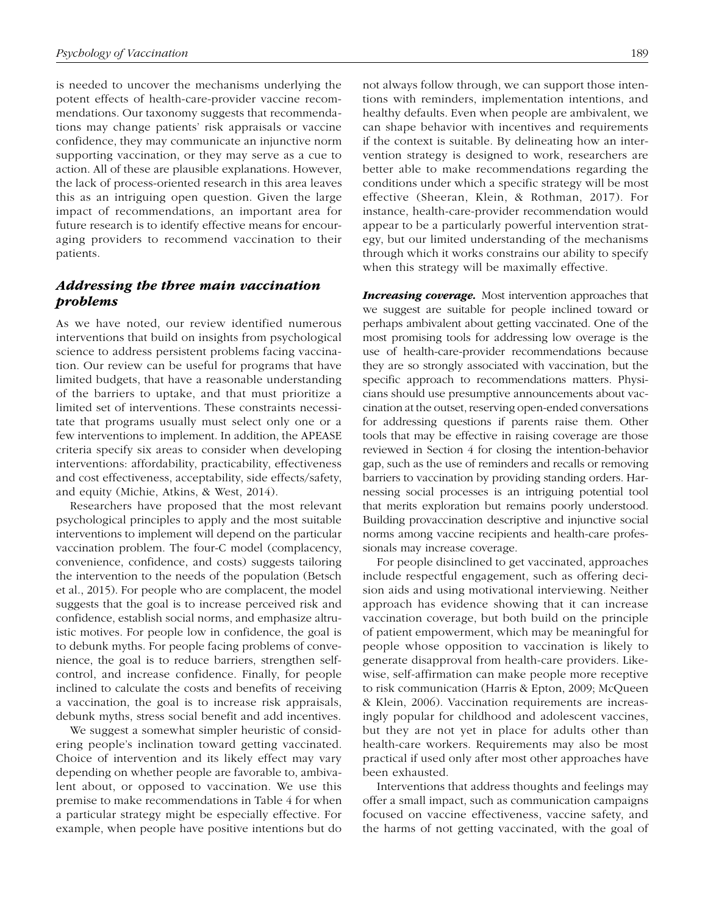is needed to uncover the mechanisms underlying the potent effects of health-care-provider vaccine recommendations. Our taxonomy suggests that recommendations may change patients' risk appraisals or vaccine confidence, they may communicate an injunctive norm supporting vaccination, or they may serve as a cue to action. All of these are plausible explanations. However, the lack of process-oriented research in this area leaves this as an intriguing open question. Given the large impact of recommendations, an important area for future research is to identify effective means for encouraging providers to recommend vaccination to their patients.

# *Addressing the three main vaccination problems*

As we have noted, our review identified numerous interventions that build on insights from psychological science to address persistent problems facing vaccination. Our review can be useful for programs that have limited budgets, that have a reasonable understanding of the barriers to uptake, and that must prioritize a limited set of interventions. These constraints necessitate that programs usually must select only one or a few interventions to implement. In addition, the APEASE criteria specify six areas to consider when developing interventions: affordability, practicability, effectiveness and cost effectiveness, acceptability, side effects/safety, and equity (Michie, Atkins, & West, 2014).

Researchers have proposed that the most relevant psychological principles to apply and the most suitable interventions to implement will depend on the particular vaccination problem. The four-C model (complacency, convenience, confidence, and costs) suggests tailoring the intervention to the needs of the population (Betsch et al., 2015). For people who are complacent, the model suggests that the goal is to increase perceived risk and confidence, establish social norms, and emphasize altruistic motives. For people low in confidence, the goal is to debunk myths. For people facing problems of convenience, the goal is to reduce barriers, strengthen selfcontrol, and increase confidence. Finally, for people inclined to calculate the costs and benefits of receiving a vaccination, the goal is to increase risk appraisals, debunk myths, stress social benefit and add incentives.

We suggest a somewhat simpler heuristic of considering people's inclination toward getting vaccinated. Choice of intervention and its likely effect may vary depending on whether people are favorable to, ambivalent about, or opposed to vaccination. We use this premise to make recommendations in Table 4 for when a particular strategy might be especially effective. For example, when people have positive intentions but do not always follow through, we can support those intentions with reminders, implementation intentions, and healthy defaults. Even when people are ambivalent, we can shape behavior with incentives and requirements if the context is suitable. By delineating how an intervention strategy is designed to work, researchers are better able to make recommendations regarding the conditions under which a specific strategy will be most effective (Sheeran, Klein, & Rothman, 2017). For instance, health-care-provider recommendation would appear to be a particularly powerful intervention strategy, but our limited understanding of the mechanisms through which it works constrains our ability to specify when this strategy will be maximally effective.

**Increasing coverage.** Most intervention approaches that we suggest are suitable for people inclined toward or perhaps ambivalent about getting vaccinated. One of the most promising tools for addressing low overage is the use of health-care-provider recommendations because they are so strongly associated with vaccination, but the specific approach to recommendations matters. Physicians should use presumptive announcements about vaccination at the outset, reserving open-ended conversations for addressing questions if parents raise them. Other tools that may be effective in raising coverage are those reviewed in Section 4 for closing the intention-behavior gap, such as the use of reminders and recalls or removing barriers to vaccination by providing standing orders. Harnessing social processes is an intriguing potential tool that merits exploration but remains poorly understood. Building provaccination descriptive and injunctive social norms among vaccine recipients and health-care professionals may increase coverage.

For people disinclined to get vaccinated, approaches include respectful engagement, such as offering decision aids and using motivational interviewing. Neither approach has evidence showing that it can increase vaccination coverage, but both build on the principle of patient empowerment, which may be meaningful for people whose opposition to vaccination is likely to generate disapproval from health-care providers. Likewise, self-affirmation can make people more receptive to risk communication (Harris & Epton, 2009; McQueen & Klein, 2006). Vaccination requirements are increasingly popular for childhood and adolescent vaccines, but they are not yet in place for adults other than health-care workers. Requirements may also be most practical if used only after most other approaches have been exhausted.

Interventions that address thoughts and feelings may offer a small impact, such as communication campaigns focused on vaccine effectiveness, vaccine safety, and the harms of not getting vaccinated, with the goal of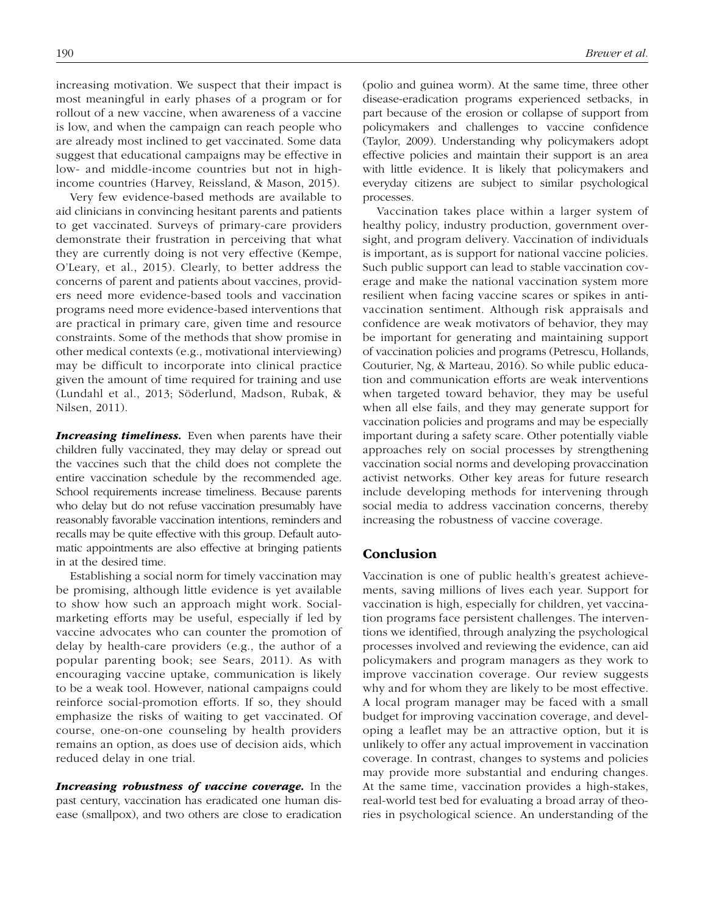increasing motivation. We suspect that their impact is most meaningful in early phases of a program or for rollout of a new vaccine, when awareness of a vaccine is low, and when the campaign can reach people who are already most inclined to get vaccinated. Some data suggest that educational campaigns may be effective in low- and middle-income countries but not in highincome countries (Harvey, Reissland, & Mason, 2015).

Very few evidence-based methods are available to aid clinicians in convincing hesitant parents and patients to get vaccinated. Surveys of primary-care providers demonstrate their frustration in perceiving that what they are currently doing is not very effective (Kempe, O'Leary, et al., 2015). Clearly, to better address the concerns of parent and patients about vaccines, providers need more evidence-based tools and vaccination programs need more evidence-based interventions that are practical in primary care, given time and resource constraints. Some of the methods that show promise in other medical contexts (e.g., motivational interviewing) may be difficult to incorporate into clinical practice given the amount of time required for training and use (Lundahl et al., 2013; Söderlund, Madson, Rubak, & Nilsen, 2011).

**Increasing timeliness.** Even when parents have their children fully vaccinated, they may delay or spread out the vaccines such that the child does not complete the entire vaccination schedule by the recommended age. School requirements increase timeliness. Because parents who delay but do not refuse vaccination presumably have reasonably favorable vaccination intentions, reminders and recalls may be quite effective with this group. Default automatic appointments are also effective at bringing patients in at the desired time.

Establishing a social norm for timely vaccination may be promising, although little evidence is yet available to show how such an approach might work. Socialmarketing efforts may be useful, especially if led by vaccine advocates who can counter the promotion of delay by health-care providers (e.g., the author of a popular parenting book; see Sears, 2011). As with encouraging vaccine uptake, communication is likely to be a weak tool. However, national campaigns could reinforce social-promotion efforts. If so, they should emphasize the risks of waiting to get vaccinated. Of course, one-on-one counseling by health providers remains an option, as does use of decision aids, which reduced delay in one trial.

*Increasing robustness of vaccine coverage.* In the past century, vaccination has eradicated one human disease (smallpox), and two others are close to eradication (polio and guinea worm). At the same time, three other disease-eradication programs experienced setbacks, in part because of the erosion or collapse of support from policymakers and challenges to vaccine confidence (Taylor, 2009). Understanding why policymakers adopt effective policies and maintain their support is an area with little evidence. It is likely that policymakers and everyday citizens are subject to similar psychological processes.

Vaccination takes place within a larger system of healthy policy, industry production, government oversight, and program delivery. Vaccination of individuals is important, as is support for national vaccine policies. Such public support can lead to stable vaccination coverage and make the national vaccination system more resilient when facing vaccine scares or spikes in antivaccination sentiment. Although risk appraisals and confidence are weak motivators of behavior, they may be important for generating and maintaining support of vaccination policies and programs (Petrescu, Hollands, Couturier, Ng, & Marteau, 2016). So while public education and communication efforts are weak interventions when targeted toward behavior, they may be useful when all else fails, and they may generate support for vaccination policies and programs and may be especially important during a safety scare. Other potentially viable approaches rely on social processes by strengthening vaccination social norms and developing provaccination activist networks. Other key areas for future research include developing methods for intervening through social media to address vaccination concerns, thereby increasing the robustness of vaccine coverage.

# Conclusion

Vaccination is one of public health's greatest achievements, saving millions of lives each year. Support for vaccination is high, especially for children, yet vaccination programs face persistent challenges. The interventions we identified, through analyzing the psychological processes involved and reviewing the evidence, can aid policymakers and program managers as they work to improve vaccination coverage. Our review suggests why and for whom they are likely to be most effective. A local program manager may be faced with a small budget for improving vaccination coverage, and developing a leaflet may be an attractive option, but it is unlikely to offer any actual improvement in vaccination coverage. In contrast, changes to systems and policies may provide more substantial and enduring changes. At the same time, vaccination provides a high-stakes, real-world test bed for evaluating a broad array of theories in psychological science. An understanding of the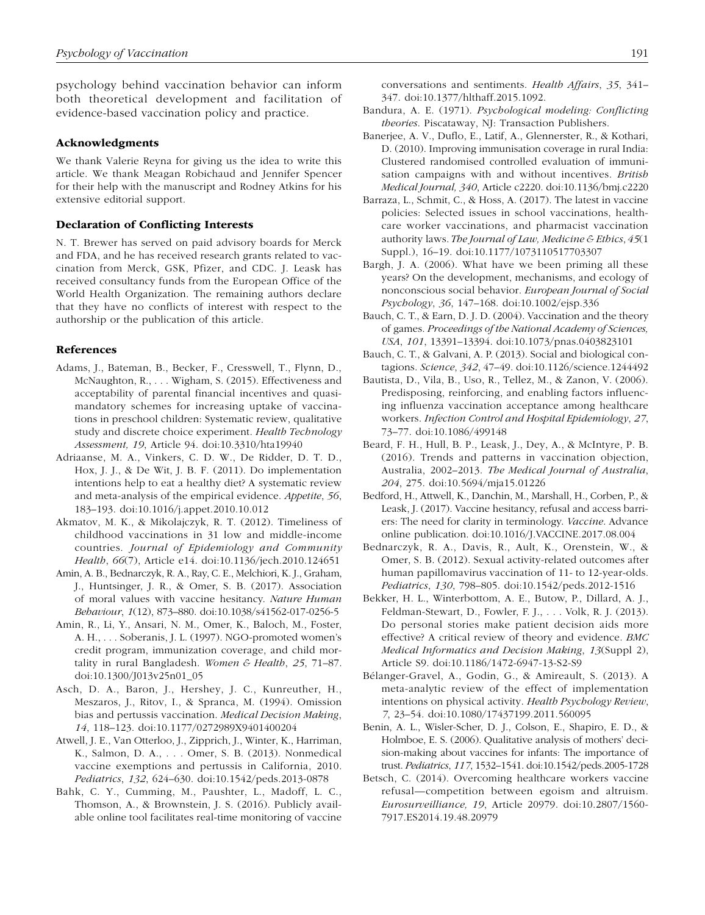psychology behind vaccination behavior can inform both theoretical development and facilitation of evidence-based vaccination policy and practice.

#### Acknowledgments

We thank Valerie Reyna for giving us the idea to write this article. We thank Meagan Robichaud and Jennifer Spencer for their help with the manuscript and Rodney Atkins for his extensive editorial support.

#### Declaration of Conflicting Interests

N. T. Brewer has served on paid advisory boards for Merck and FDA, and he has received research grants related to vaccination from Merck, GSK, Pfizer, and CDC. J. Leask has received consultancy funds from the European Office of the World Health Organization. The remaining authors declare that they have no conflicts of interest with respect to the authorship or the publication of this article.

#### References

- Adams, J., Bateman, B., Becker, F., Cresswell, T., Flynn, D., McNaughton, R., . . . Wigham, S. (2015). Effectiveness and acceptability of parental financial incentives and quasimandatory schemes for increasing uptake of vaccinations in preschool children: Systematic review, qualitative study and discrete choice experiment. *Health Technology Assessment, 19*, Article 94. doi:10.3310/hta19940
- Adriaanse, M. A., Vinkers, C. D. W., De Ridder, D. T. D., Hox, J. J., & De Wit, J. B. F. (2011). Do implementation intentions help to eat a healthy diet? A systematic review and meta-analysis of the empirical evidence. *Appetite*, *56*, 183–193. doi:10.1016/j.appet.2010.10.012
- Akmatov, M. K., & Mikolajczyk, R. T. (2012). Timeliness of childhood vaccinations in 31 low and middle-income countries. *Journal of Epidemiology and Community Health*, *66*(7), Article e14. doi:10.1136/jech.2010.124651
- Amin, A. B., Bednarczyk, R. A., Ray, C. E., Melchiori, K. J., Graham, J., Huntsinger, J. R., & Omer, S. B. (2017). Association of moral values with vaccine hesitancy. *Nature Human Behaviour*, *1*(12), 873–880. doi:10.1038/s41562-017-0256-5
- Amin, R., Li, Y., Ansari, N. M., Omer, K., Baloch, M., Foster, A. H., . . . Soberanis, J. L. (1997). NGO-promoted women's credit program, immunization coverage, and child mortality in rural Bangladesh. *Women & Health*, *25*, 71–87. doi:10.1300/J013v25n01\_05
- Asch, D. A., Baron, J., Hershey, J. C., Kunreuther, H., Meszaros, J., Ritov, I., & Spranca, M. (1994). Omission bias and pertussis vaccination. *Medical Decision Making*, *14*, 118–123. doi:10.1177/0272989X9401400204
- Atwell, J. E., Van Otterloo, J., Zipprich, J., Winter, K., Harriman, K., Salmon, D. A., . . . Omer, S. B. (2013). Nonmedical vaccine exemptions and pertussis in California, 2010. *Pediatrics*, *132*, 624–630. doi:10.1542/peds.2013-0878
- Bahk, C. Y., Cumming, M., Paushter, L., Madoff, L. C., Thomson, A., & Brownstein, J. S. (2016). Publicly available online tool facilitates real-time monitoring of vaccine

conversations and sentiments. *Health Affairs*, *35*, 341– 347. doi:10.1377/hlthaff.2015.1092.

- Bandura, A. E. (1971). *Psychological modeling: Conflicting theories*. Piscataway, NJ: Transaction Publishers.
- Banerjee, A. V., Duflo, E., Latif, A., Glennerster, R., & Kothari, D. (2010). Improving immunisation coverage in rural India: Clustered randomised controlled evaluation of immunisation campaigns with and without incentives. *British Medical Journal, 340*, Article c2220. doi:10.1136/bmj.c2220
- Barraza, L., Schmit, C., & Hoss, A. (2017). The latest in vaccine policies: Selected issues in school vaccinations, healthcare worker vaccinations, and pharmacist vaccination authority laws. *The Journal of Law, Medicine & Ethics*, *45*(1 Suppl.), 16–19. doi:10.1177/1073110517703307
- Bargh, J. A. (2006). What have we been priming all these years? On the development, mechanisms, and ecology of nonconscious social behavior. *European Journal of Social Psychology*, *36*, 147–168. doi:10.1002/ejsp.336
- Bauch, C. T., & Earn, D. J. D. (2004). Vaccination and the theory of games. *Proceedings of the National Academy of Sciences, USA*, *101*, 13391–13394. doi:10.1073/pnas.0403823101
- Bauch, C. T., & Galvani, A. P. (2013). Social and biological contagions. *Science*, *342*, 47–49. doi:10.1126/science.1244492
- Bautista, D., Vila, B., Uso, R., Tellez, M., & Zanon, V. (2006). Predisposing, reinforcing, and enabling factors influencing influenza vaccination acceptance among healthcare workers. *Infection Control and Hospital Epidemiology*, *27*, 73–77. doi:10.1086/499148
- Beard, F. H., Hull, B. P., Leask, J., Dey, A., & McIntyre, P. B. (2016). Trends and patterns in vaccination objection, Australia, 2002–2013. *The Medical Journal of Australia*, *204*, 275. doi:10.5694/mja15.01226
- Bedford, H., Attwell, K., Danchin, M., Marshall, H., Corben, P., & Leask, J. (2017). Vaccine hesitancy, refusal and access barriers: The need for clarity in terminology. *Vaccine*. Advance online publication. doi:10.1016/J.VACCINE.2017.08.004
- Bednarczyk, R. A., Davis, R., Ault, K., Orenstein, W., & Omer, S. B. (2012). Sexual activity-related outcomes after human papillomavirus vaccination of 11- to 12-year-olds. *Pediatrics*, *130*, 798–805. doi:10.1542/peds.2012-1516
- Bekker, H. L., Winterbottom, A. E., Butow, P., Dillard, A. J., Feldman-Stewart, D., Fowler, F. J., . . . Volk, R. J. (2013). Do personal stories make patient decision aids more effective? A critical review of theory and evidence. *BMC Medical Informatics and Decision Making*, *13*(Suppl 2), Article S9. doi:10.1186/1472-6947-13-S2-S9
- Bélanger-Gravel, A., Godin, G., & Amireault, S. (2013). A meta-analytic review of the effect of implementation intentions on physical activity. *Health Psychology Review*, *7*, 23–54. doi:10.1080/17437199.2011.560095
- Benin, A. L., Wisler-Scher, D. J., Colson, E., Shapiro, E. D., & Holmboe, E. S. (2006). Qualitative analysis of mothers' decision-making about vaccines for infants: The importance of trust. *Pediatrics*, *117*, 1532–1541. doi:10.1542/peds.2005-1728
- Betsch, C. (2014). Overcoming healthcare workers vaccine refusal—competition between egoism and altruism. *Eurosurveilliance, 19*, Article 20979. doi:10.2807/1560- 7917.ES2014.19.48.20979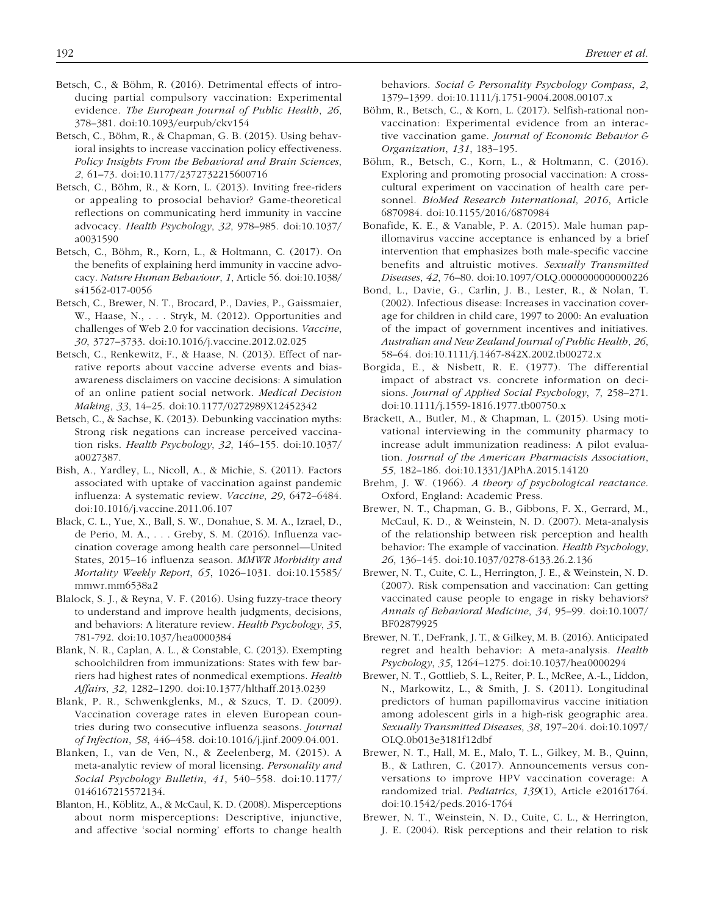- Betsch, C., & Böhm, R. (2016). Detrimental effects of introducing partial compulsory vaccination: Experimental evidence. *The European Journal of Public Health*, *26*, 378–381. doi:10.1093/eurpub/ckv154
- Betsch, C., Böhm, R., & Chapman, G. B. (2015). Using behavioral insights to increase vaccination policy effectiveness. *Policy Insights From the Behavioral and Brain Sciences*, *2*, 61–73. doi:10.1177/2372732215600716
- Betsch, C., Böhm, R., & Korn, L. (2013). Inviting free-riders or appealing to prosocial behavior? Game-theoretical reflections on communicating herd immunity in vaccine advocacy. *Health Psychology*, *32*, 978–985. doi:10.1037/ a0031590
- Betsch, C., Böhm, R., Korn, L., & Holtmann, C. (2017). On the benefits of explaining herd immunity in vaccine advocacy. *Nature Human Behaviour*, *1*, Article 56. doi:10.1038/ s41562-017-0056
- Betsch, C., Brewer, N. T., Brocard, P., Davies, P., Gaissmaier, W., Haase, N., . . . Stryk, M. (2012). Opportunities and challenges of Web 2.0 for vaccination decisions. *Vaccine*, *30*, 3727–3733. doi:10.1016/j.vaccine.2012.02.025
- Betsch, C., Renkewitz, F., & Haase, N. (2013). Effect of narrative reports about vaccine adverse events and biasawareness disclaimers on vaccine decisions: A simulation of an online patient social network. *Medical Decision Making*, *33*, 14–25. doi:10.1177/0272989X12452342
- Betsch, C., & Sachse, K. (2013). Debunking vaccination myths: Strong risk negations can increase perceived vaccination risks. *Health Psychology*, *32*, 146–155. doi:10.1037/ a0027387.
- Bish, A., Yardley, L., Nicoll, A., & Michie, S. (2011). Factors associated with uptake of vaccination against pandemic influenza: A systematic review. *Vaccine*, *29*, 6472–6484. doi:10.1016/j.vaccine.2011.06.107
- Black, C. L., Yue, X., Ball, S. W., Donahue, S. M. A., Izrael, D., de Perio, M. A., . . . Greby, S. M. (2016). Influenza vaccination coverage among health care personnel—United States, 2015–16 influenza season. *MMWR Morbidity and Mortality Weekly Report*, *65*, 1026–1031. doi:10.15585/ mmwr.mm6538a2
- Blalock, S. J., & Reyna, V. F. (2016). Using fuzzy-trace theory to understand and improve health judgments, decisions, and behaviors: A literature review. *Health Psychology*, *35*, 781-792. doi:10.1037/hea0000384
- Blank, N. R., Caplan, A. L., & Constable, C. (2013). Exempting schoolchildren from immunizations: States with few barriers had highest rates of nonmedical exemptions. *Health Affairs*, *32*, 1282–1290. doi:10.1377/hlthaff.2013.0239
- Blank, P. R., Schwenkglenks, M., & Szucs, T. D. (2009). Vaccination coverage rates in eleven European countries during two consecutive influenza seasons. *Journal of Infection*, *58*, 446–458. doi:10.1016/j.jinf.2009.04.001.
- Blanken, I., van de Ven, N., & Zeelenberg, M. (2015). A meta-analytic review of moral licensing. *Personality and Social Psychology Bulletin*, *41*, 540–558. doi:10.1177/ 0146167215572134.
- Blanton, H., Köblitz, A., & McCaul, K. D. (2008). Misperceptions about norm misperceptions: Descriptive, injunctive, and affective 'social norming' efforts to change health

behaviors. *Social & Personality Psychology Compass*, *2*, 1379–1399. doi:10.1111/j.1751-9004.2008.00107.x

- Böhm, R., Betsch, C., & Korn, L. (2017). Selfish-rational nonvaccination: Experimental evidence from an interactive vaccination game. *Journal of Economic Behavior & Organization*, *131*, 183–195.
- Böhm, R., Betsch, C., Korn, L., & Holtmann, C. (2016). Exploring and promoting prosocial vaccination: A crosscultural experiment on vaccination of health care personnel. *BioMed Research International, 2016*, Article 6870984. doi:10.1155/2016/6870984
- Bonafide, K. E., & Vanable, P. A. (2015). Male human papillomavirus vaccine acceptance is enhanced by a brief intervention that emphasizes both male-specific vaccine benefits and altruistic motives. *Sexually Transmitted Diseases*, *42*, 76–80. doi:10.1097/OLQ.0000000000000226
- Bond, L., Davie, G., Carlin, J. B., Lester, R., & Nolan, T. (2002). Infectious disease: Increases in vaccination coverage for children in child care, 1997 to 2000: An evaluation of the impact of government incentives and initiatives. *Australian and New Zealand Journal of Public Health*, *26*, 58–64. doi:10.1111/j.1467-842X.2002.tb00272.x
- Borgida, E., & Nisbett, R. E. (1977). The differential impact of abstract vs. concrete information on decisions. *Journal of Applied Social Psychology*, *7*, 258–271. doi:10.1111/j.1559-1816.1977.tb00750.x
- Brackett, A., Butler, M., & Chapman, L. (2015). Using motivational interviewing in the community pharmacy to increase adult immunization readiness: A pilot evaluation. *Journal of the American Pharmacists Association*, *55*, 182–186. doi:10.1331/JAPhA.2015.14120
- Brehm, J. W. (1966). *A theory of psychological reactance*. Oxford, England: Academic Press.
- Brewer, N. T., Chapman, G. B., Gibbons, F. X., Gerrard, M., McCaul, K. D., & Weinstein, N. D. (2007). Meta-analysis of the relationship between risk perception and health behavior: The example of vaccination. *Health Psychology*, *26*, 136–145. doi:10.1037/0278-6133.26.2.136
- Brewer, N. T., Cuite, C. L., Herrington, J. E., & Weinstein, N. D. (2007). Risk compensation and vaccination: Can getting vaccinated cause people to engage in risky behaviors? *Annals of Behavioral Medicine*, *34*, 95–99. doi:10.1007/ BF02879925
- Brewer, N. T., DeFrank, J. T., & Gilkey, M. B. (2016). Anticipated regret and health behavior: A meta-analysis. *Health Psychology*, *35*, 1264–1275. doi:10.1037/hea0000294
- Brewer, N. T., Gottlieb, S. L., Reiter, P. L., McRee, A.-L., Liddon, N., Markowitz, L., & Smith, J. S. (2011). Longitudinal predictors of human papillomavirus vaccine initiation among adolescent girls in a high-risk geographic area. *Sexually Transmitted Diseases*, *38*, 197–204. doi:10.1097/ OLQ.0b013e3181f12dbf
- Brewer, N. T., Hall, M. E., Malo, T. L., Gilkey, M. B., Quinn, B., & Lathren, C. (2017). Announcements versus conversations to improve HPV vaccination coverage: A randomized trial. *Pediatrics*, *139*(1), Article e20161764. doi:10.1542/peds.2016-1764
- Brewer, N. T., Weinstein, N. D., Cuite, C. L., & Herrington, J. E. (2004). Risk perceptions and their relation to risk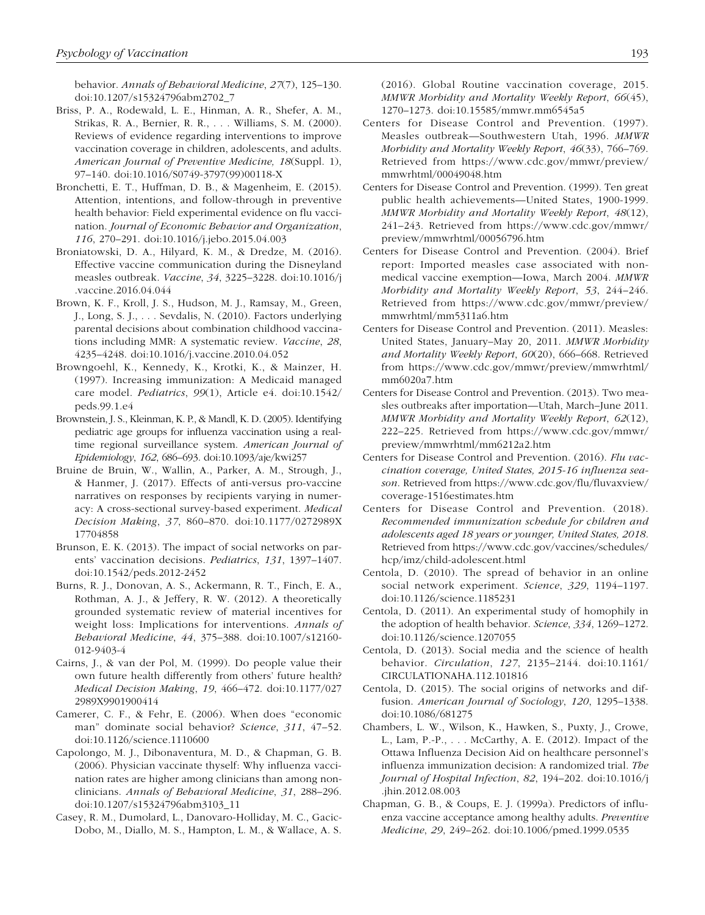behavior. *Annals of Behavioral Medicine*, *27*(7), 125–130. doi:10.1207/s15324796abm2702\_7

- Briss, P. A., Rodewald, L. E., Hinman, A. R., Shefer, A. M., Strikas, R. A., Bernier, R. R., . . . Williams, S. M. (2000). Reviews of evidence regarding interventions to improve vaccination coverage in children, adolescents, and adults. *American Journal of Preventive Medicine, 18*(Suppl. 1), 97–140. doi:10.1016/S0749-3797(99)00118-X
- Bronchetti, E. T., Huffman, D. B., & Magenheim, E. (2015). Attention, intentions, and follow-through in preventive health behavior: Field experimental evidence on flu vaccination. *Journal of Economic Behavior and Organization*, *116*, 270–291. doi:10.1016/j.jebo.2015.04.003
- Broniatowski, D. A., Hilyard, K. M., & Dredze, M. (2016). Effective vaccine communication during the Disneyland measles outbreak. *Vaccine*, *34*, 3225–3228. doi:10.1016/j .vaccine.2016.04.044
- Brown, K. F., Kroll, J. S., Hudson, M. J., Ramsay, M., Green, J., Long, S. J., . . . Sevdalis, N. (2010). Factors underlying parental decisions about combination childhood vaccinations including MMR: A systematic review. *Vaccine*, *28*, 4235–4248. doi:10.1016/j.vaccine.2010.04.052
- Browngoehl, K., Kennedy, K., Krotki, K., & Mainzer, H. (1997). Increasing immunization: A Medicaid managed care model. *Pediatrics*, *99*(1), Article e4. doi:10.1542/ peds.99.1.e4
- Brownstein, J. S., Kleinman, K. P., & Mandl, K. D. (2005). Identifying pediatric age groups for influenza vaccination using a realtime regional surveillance system. *American Journal of Epidemiology*, *162*, 686–693. doi:10.1093/aje/kwi257
- Bruine de Bruin, W., Wallin, A., Parker, A. M., Strough, J., & Hanmer, J. (2017). Effects of anti-versus pro-vaccine narratives on responses by recipients varying in numeracy: A cross-sectional survey-based experiment. *Medical Decision Making*, *37*, 860–870. doi:10.1177/0272989X 17704858
- Brunson, E. K. (2013). The impact of social networks on parents' vaccination decisions. *Pediatrics*, *131*, 1397–1407. doi:10.1542/peds.2012-2452
- Burns, R. J., Donovan, A. S., Ackermann, R. T., Finch, E. A., Rothman, A. J., & Jeffery, R. W. (2012). A theoretically grounded systematic review of material incentives for weight loss: Implications for interventions. *Annals of Behavioral Medicine*, *44*, 375–388. doi:10.1007/s12160- 012-9403-4
- Cairns, J., & van der Pol, M. (1999). Do people value their own future health differently from others' future health? *Medical Decision Making*, *19*, 466–472. doi:10.1177/027 2989X9901900414
- Camerer, C. F., & Fehr, E. (2006). When does "economic man" dominate social behavior? *Science*, *311*, 47–52. doi:10.1126/science.1110600
- Capolongo, M. J., Dibonaventura, M. D., & Chapman, G. B. (2006). Physician vaccinate thyself: Why influenza vaccination rates are higher among clinicians than among nonclinicians. *Annals of Behavioral Medicine*, *31*, 288–296. doi:10.1207/s15324796abm3103\_11
- Casey, R. M., Dumolard, L., Danovaro-Holliday, M. C., Gacic-Dobo, M., Diallo, M. S., Hampton, L. M., & Wallace, A. S.

(2016). Global Routine vaccination coverage, 2015. *MMWR Morbidity and Mortality Weekly Report*, *66*(45), 1270–1273. doi:10.15585/mmwr.mm6545a5

- Centers for Disease Control and Prevention. (1997). Measles outbreak—Southwestern Utah, 1996. *MMWR Morbidity and Mortality Weekly Report*, *46*(33), 766–769. Retrieved from [https://www.cdc.gov/mmwr/preview/](https://www.cdc.gov/mmwr/preview/mmwrhtml/00049048.htm) [mmwrhtml/00049048.htm](https://www.cdc.gov/mmwr/preview/mmwrhtml/00049048.htm)
- Centers for Disease Control and Prevention. (1999). Ten great public health achievements—United States, 1900-1999. *MMWR Morbidity and Mortality Weekly Report*, *48*(12), 241–243. Retrieved from [https://www.cdc.gov/mmwr/](https://www.cdc.gov/mmwr/preview/mmwrhtml/00056796.htm) [preview/mmwrhtml/00056796.htm](https://www.cdc.gov/mmwr/preview/mmwrhtml/00056796.htm)
- Centers for Disease Control and Prevention. (2004). Brief report: Imported measles case associated with nonmedical vaccine exemption—Iowa, March 2004. *MMWR Morbidity and Mortality Weekly Report*, *53*, 244–246. Retrieved from [https://www.cdc.gov/mmwr/preview/](https://www.cdc.gov/mmwr/preview/mmwrhtml/mm5311a6.htm) [mmwrhtml/mm5311a6.htm](https://www.cdc.gov/mmwr/preview/mmwrhtml/mm5311a6.htm)
- Centers for Disease Control and Prevention. (2011). Measles: United States, January–May 20, 2011. *MMWR Morbidity and Mortality Weekly Report*, *60*(20), 666–668. Retrieved from [https://www.cdc.gov/mmwr/preview/mmwrhtml/](https://www.cdc.gov/mmwr/preview/mmwrhtml/mm6020a7.htm) [mm6020a7.htm](https://www.cdc.gov/mmwr/preview/mmwrhtml/mm6020a7.htm)
- Centers for Disease Control and Prevention. (2013). Two measles outbreaks after importation—Utah, March–June 2011. *MMWR Morbidity and Mortality Weekly Report*, *62*(12), 222–225. Retrieved from [https://www.cdc.gov/mmwr/](https://www.cdc.gov/mmwr/preview/mmwrhtml/mm6212a2.htm) [preview/mmwrhtml/mm6212a2.htm](https://www.cdc.gov/mmwr/preview/mmwrhtml/mm6212a2.htm)
- Centers for Disease Control and Prevention. (2016). *Flu vaccination coverage, United States, 2015-16 influenza season*. Retrieved from [https://www.cdc.gov/flu/fluvaxview/](https://www.cdc.gov/flu/fluvaxview/coverage-1516estimates.htm) [coverage-1516estimates.htm](https://www.cdc.gov/flu/fluvaxview/coverage-1516estimates.htm)
- Centers for Disease Control and Prevention. (2018). *Recommended immunization schedule for children and adolescents aged 18 years or younger, United States, 2018*. Retrieved from [https://www.cdc.gov/vaccines/schedules/](https://www.cdc.gov/vaccines/schedules/hcp/imz/child-adolescent.html) [hcp/imz/child-adolescent.html](https://www.cdc.gov/vaccines/schedules/hcp/imz/child-adolescent.html)
- Centola, D. (2010). The spread of behavior in an online social network experiment. *Science*, *329*, 1194–1197. doi:10.1126/science.1185231
- Centola, D. (2011). An experimental study of homophily in the adoption of health behavior. *Science*, *334*, 1269–1272. doi:10.1126/science.1207055
- Centola, D. (2013). Social media and the science of health behavior. *Circulation*, *127*, 2135–2144. doi:10.1161/ CIRCULATIONAHA.112.101816
- Centola, D. (2015). The social origins of networks and diffusion. *American Journal of Sociology*, *120*, 1295–1338. doi:10.1086/681275
- Chambers, L. W., Wilson, K., Hawken, S., Puxty, J., Crowe, L., Lam, P.-P., . . . McCarthy, A. E. (2012). Impact of the Ottawa Influenza Decision Aid on healthcare personnel's influenza immunization decision: A randomized trial. *The Journal of Hospital Infection*, *82*, 194–202. doi:10.1016/j .jhin.2012.08.003
- Chapman, G. B., & Coups, E. J. (1999a). Predictors of influenza vaccine acceptance among healthy adults. *Preventive Medicine*, *29*, 249–262. doi:10.1006/pmed.1999.0535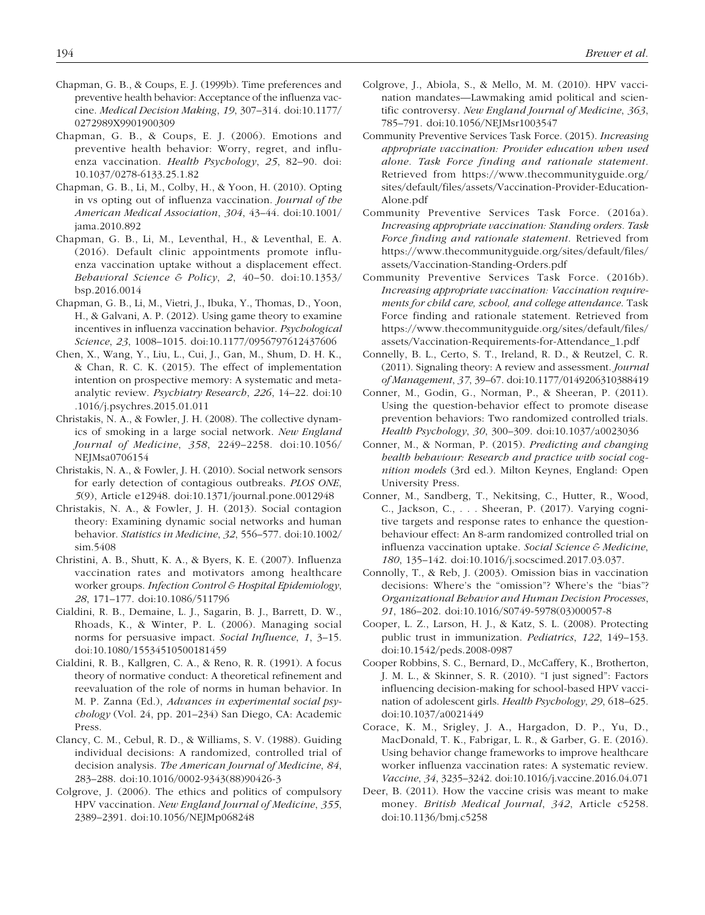- Chapman, G. B., & Coups, E. J. (1999b). Time preferences and preventive health behavior: Acceptance of the influenza vaccine. *Medical Decision Making*, *19*, 307–314. doi:10.1177/ 0272989X9901900309
- Chapman, G. B., & Coups, E. J. (2006). Emotions and preventive health behavior: Worry, regret, and influenza vaccination. *Health Psychology*, *25*, 82–90. doi: 10.1037/0278-6133.25.1.82
- Chapman, G. B., Li, M., Colby, H., & Yoon, H. (2010). Opting in vs opting out of influenza vaccination. *Journal of the American Medical Association*, *304*, 43–44. doi:10.1001/ jama.2010.892
- Chapman, G. B., Li, M., Leventhal, H., & Leventhal, E. A. (2016). Default clinic appointments promote influenza vaccination uptake without a displacement effect. *Behavioral Science & Policy*, *2*, 40–50. doi:10.1353/ bsp.2016.0014
- Chapman, G. B., Li, M., Vietri, J., Ibuka, Y., Thomas, D., Yoon, H., & Galvani, A. P. (2012). Using game theory to examine incentives in influenza vaccination behavior. *Psychological Science*, *23*, 1008–1015. doi:10.1177/0956797612437606
- Chen, X., Wang, Y., Liu, L., Cui, J., Gan, M., Shum, D. H. K., & Chan, R. C. K. (2015). The effect of implementation intention on prospective memory: A systematic and metaanalytic review. *Psychiatry Research*, *226*, 14–22. doi:10 .1016/j.psychres.2015.01.011
- Christakis, N. A., & Fowler, J. H. (2008). The collective dynamics of smoking in a large social network. *New England Journal of Medicine*, *358*, 2249–2258. doi:10.1056/ NEJMsa0706154
- Christakis, N. A., & Fowler, J. H. (2010). Social network sensors for early detection of contagious outbreaks. *PLOS ONE*, *5*(9), Article e12948. doi:10.1371/journal.pone.0012948
- Christakis, N. A., & Fowler, J. H. (2013). Social contagion theory: Examining dynamic social networks and human behavior. *Statistics in Medicine*, *32*, 556–577. doi:10.1002/ sim.5408
- Christini, A. B., Shutt, K. A., & Byers, K. E. (2007). Influenza vaccination rates and motivators among healthcare worker groups. *Infection Control & Hospital Epidemiology*, *28*, 171–177. doi:10.1086/511796
- Cialdini, R. B., Demaine, L. J., Sagarin, B. J., Barrett, D. W., Rhoads, K., & Winter, P. L. (2006). Managing social norms for persuasive impact. *Social Influence*, *1*, 3–15. doi:10.1080/15534510500181459
- Cialdini, R. B., Kallgren, C. A., & Reno, R. R. (1991). A focus theory of normative conduct: A theoretical refinement and reevaluation of the role of norms in human behavior. In M. P. Zanna (Ed.), *Advances in experimental social psychology* (Vol. 24, pp. 201–234) San Diego, CA: Academic Press.
- Clancy, C. M., Cebul, R. D., & Williams, S. V. (1988). Guiding individual decisions: A randomized, controlled trial of decision analysis. *The American Journal of Medicine*, *84*, 283–288. doi:10.1016/0002-9343(88)90426-3
- Colgrove, J. (2006). The ethics and politics of compulsory HPV vaccination. *New England Journal of Medicine*, *355*, 2389–2391. doi:10.1056/NEJMp068248
- Colgrove, J., Abiola, S., & Mello, M. M. (2010). HPV vaccination mandates—Lawmaking amid political and scientific controversy. *New England Journal of Medicine*, *363*, 785–791. doi:10.1056/NEJMsr1003547
- Community Preventive Services Task Force. (2015). *Increasing appropriate vaccination: Provider education when used alone. Task Force finding and rationale statement*. Retrieved from [https://www.thecommunityguide.org/](https://www.thecommunityguide.org/sites/default/files/assets/Vaccination-Provider-Education-Alone.pdf) [sites/default/files/assets/Vaccination-Provider-Education-](https://www.thecommunityguide.org/sites/default/files/assets/Vaccination-Provider-Education-Alone.pdf)[Alone.pdf](https://www.thecommunityguide.org/sites/default/files/assets/Vaccination-Provider-Education-Alone.pdf)
- Community Preventive Services Task Force. (2016a). *Increasing appropriate vaccination: Standing orders. Task Force finding and rationale statement*. Retrieved from [https://www.thecommunityguide.org/sites/default/files/](https://www.thecommunityguide.org/sites/default/files/assets/Vaccination-Standing-Orders.pdf) [assets/Vaccination-Standing-Orders.pdf](https://www.thecommunityguide.org/sites/default/files/assets/Vaccination-Standing-Orders.pdf)
- Community Preventive Services Task Force. (2016b). *Increasing appropriate vaccination: Vaccination requirements for child care, school, and college attendance*. Task Force finding and rationale statement. Retrieved from [https://www.thecommunityguide.org/sites/default/files/](https://www.thecommunityguide.org/sites/default/files/assets/Vaccination-Requirements-for-Attendance_1.pdf) [assets/Vaccination-Requirements-for-Attendance\\_1.pdf](https://www.thecommunityguide.org/sites/default/files/assets/Vaccination-Requirements-for-Attendance_1.pdf)
- Connelly, B. L., Certo, S. T., Ireland, R. D., & Reutzel, C. R. (2011). Signaling theory: A review and assessment. *Journal of Management*, *37*, 39–67. doi:10.1177/0149206310388419
- Conner, M., Godin, G., Norman, P., & Sheeran, P. (2011). Using the question-behavior effect to promote disease prevention behaviors: Two randomized controlled trials. *Health Psychology*, *30*, 300–309. doi:10.1037/a0023036
- Conner, M., & Norman, P. (2015). *Predicting and changing health behaviour: Research and practice with social cognition models* (3rd ed.). Milton Keynes, England: Open University Press.
- Conner, M., Sandberg, T., Nekitsing, C., Hutter, R., Wood, C., Jackson, C., . . . Sheeran, P. (2017). Varying cognitive targets and response rates to enhance the questionbehaviour effect: An 8-arm randomized controlled trial on influenza vaccination uptake. *Social Science & Medicine*, *180*, 135–142. doi:10.1016/j.socscimed.2017.03.037.
- Connolly, T., & Reb, J. (2003). Omission bias in vaccination decisions: Where's the "omission"? Where's the "bias"? *Organizational Behavior and Human Decision Processes*, *91*, 186–202. doi:10.1016/S0749-5978(03)00057-8
- Cooper, L. Z., Larson, H. J., & Katz, S. L. (2008). Protecting public trust in immunization. *Pediatrics*, *122*, 149–153. doi:10.1542/peds.2008-0987
- Cooper Robbins, S. C., Bernard, D., McCaffery, K., Brotherton, J. M. L., & Skinner, S. R. (2010). "I just signed": Factors influencing decision-making for school-based HPV vaccination of adolescent girls. *Health Psychology*, *29*, 618–625. doi:10.1037/a0021449
- Corace, K. M., Srigley, J. A., Hargadon, D. P., Yu, D., MacDonald, T. K., Fabrigar, L. R., & Garber, G. E. (2016). Using behavior change frameworks to improve healthcare worker influenza vaccination rates: A systematic review. *Vaccine*, *34*, 3235–3242. doi:10.1016/j.vaccine.2016.04.071
- Deer, B. (2011). How the vaccine crisis was meant to make money. *British Medical Journal*, *342*, Article c5258. doi:10.1136/bmj.c5258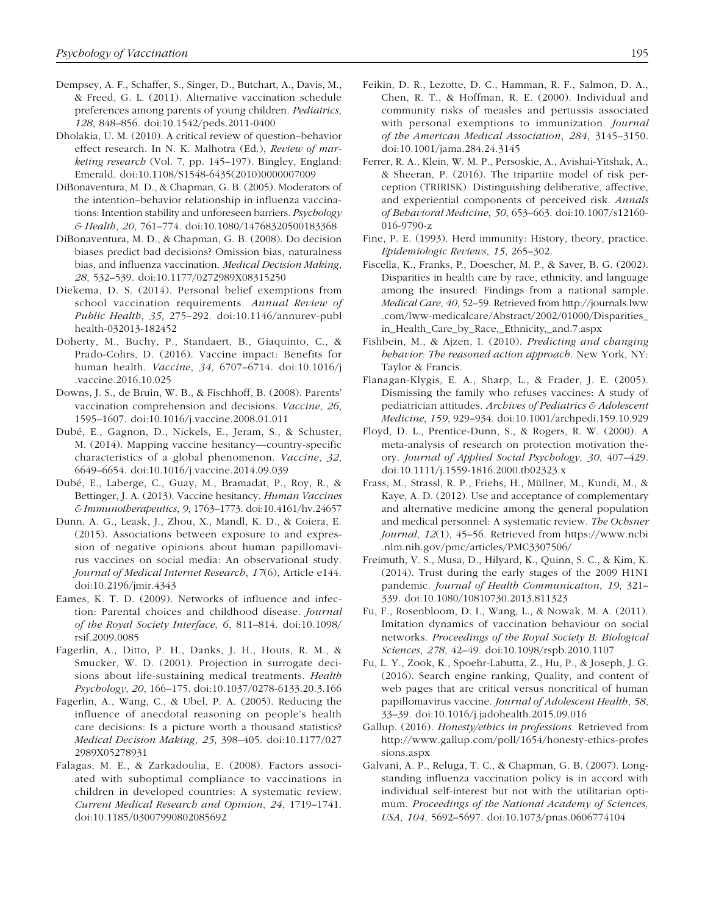- Dempsey, A. F., Schaffer, S., Singer, D., Butchart, A., Davis, M., & Freed, G. L. (2011). Alternative vaccination schedule preferences among parents of young children. *Pediatrics*, *128*, 848–856. doi:10.1542/peds.2011-0400
- Dholakia, U. M. (2010). A critical review of question–behavior effect research. In N. K. Malhotra (Ed.), *Review of marketing research* (Vol. 7, pp. 145–197). Bingley, England: Emerald. doi:10.1108/S1548-6435(2010)0000007009
- DiBonaventura, M. D., & Chapman, G. B. (2005). Moderators of the intention–behavior relationship in influenza vaccinations: Intention stability and unforeseen barriers. *Psychology & Health*, *20*, 761–774. doi:10.1080/14768320500183368
- DiBonaventura, M. D., & Chapman, G. B. (2008). Do decision biases predict bad decisions? Omission bias, naturalness bias, and influenza vaccination. *Medical Decision Making*, *28*, 532–539. doi:10.1177/0272989X08315250
- Diekema, D. S. (2014). Personal belief exemptions from school vaccination requirements. *Annual Review of Public Health*, *35*, 275–292. doi:10.1146/annurev-publ health-032013-182452
- Doherty, M., Buchy, P., Standaert, B., Giaquinto, C., & Prado-Cohrs, D. (2016). Vaccine impact: Benefits for human health. *Vaccine*, *34*, 6707–6714. doi:10.1016/j .vaccine.2016.10.025
- Downs, J. S., de Bruin, W. B., & Fischhoff, B. (2008). Parents' vaccination comprehension and decisions. *Vaccine*, *26*, 1595–1607. doi:10.1016/j.vaccine.2008.01.011
- Dubé, E., Gagnon, D., Nickels, E., Jeram, S., & Schuster, M. (2014). Mapping vaccine hesitancy—country-specific characteristics of a global phenomenon. *Vaccine*, *32*, 6649–6654. doi:10.1016/j.vaccine.2014.09.039
- Dubé, E., Laberge, C., Guay, M., Bramadat, P., Roy, R., & Bettinger, J. A. (2013). Vaccine hesitancy. *Human Vaccines & Immunotherapeutics*, *9*, 1763–1773. doi:10.4161/hv.24657
- Dunn, A. G., Leask, J., Zhou, X., Mandl, K. D., & Coiera, E. (2015). Associations between exposure to and expression of negative opinions about human papillomavirus vaccines on social media: An observational study. *Journal of Medical Internet Research*, *17*(6), Article e144. doi:10.2196/jmir.4343
- Eames, K. T. D. (2009). Networks of influence and infection: Parental choices and childhood disease. *Journal of the Royal Society Interface*, *6*, 811–814. doi:10.1098/ rsif.2009.0085
- Fagerlin, A., Ditto, P. H., Danks, J. H., Houts, R. M., & Smucker, W. D. (2001). Projection in surrogate decisions about life-sustaining medical treatments. *Health Psychology*, *20*, 166–175. doi:10.1037/0278-6133.20.3.166
- Fagerlin, A., Wang, C., & Ubel, P. A. (2005). Reducing the influence of anecdotal reasoning on people's health care decisions: Is a picture worth a thousand statistics? *Medical Decision Making*, *25*, 398–405. doi:10.1177/027 2989X05278931
- Falagas, M. E., & Zarkadoulia, E. (2008). Factors associated with suboptimal compliance to vaccinations in children in developed countries: A systematic review. *Current Medical Research and Opinion*, *24*, 1719–1741. doi:10.1185/03007990802085692
- Feikin, D. R., Lezotte, D. C., Hamman, R. F., Salmon, D. A., Chen, R. T., & Hoffman, R. E. (2000). Individual and community risks of measles and pertussis associated with personal exemptions to immunization. *Journal of the American Medical Association*, *284*, 3145–3150. doi:10.1001/jama.284.24.3145
- Ferrer, R. A., Klein, W. M. P., Persoskie, A., Avishai-Yitshak, A., & Sheeran, P. (2016). The tripartite model of risk perception (TRIRISK): Distinguishing deliberative, affective, and experiential components of perceived risk. *Annals of Behavioral Medicine*, *50*, 653–663. doi:10.1007/s12160- 016-9790-z
- Fine, P. E. (1993). Herd immunity: History, theory, practice. *Epidemiologic Reviews*, *15*, 265–302.
- Fiscella, K., Franks, P., Doescher, M. P., & Saver, B. G. (2002). Disparities in health care by race, ethnicity, and language among the insured: Findings from a national sample. *Medical Care*, *40*, 52–59. Retrieved from [http://journals.lww](http://journals.lww.com/lww-medicalcare/Abstract/2002/01000/Disparities_in_Health_Care_by_Race,_Ethnicity,_and.7.aspx) [.com/lww-medicalcare/Abstract/2002/01000/Disparities\\_](http://journals.lww.com/lww-medicalcare/Abstract/2002/01000/Disparities_in_Health_Care_by_Race,_Ethnicity,_and.7.aspx) [in\\_Health\\_Care\\_by\\_Race,\\_Ethnicity,\\_and.7.aspx](http://journals.lww.com/lww-medicalcare/Abstract/2002/01000/Disparities_in_Health_Care_by_Race,_Ethnicity,_and.7.aspx)
- Fishbein, M., & Ajzen, I. (2010). *Predicting and changing behavior: The reasoned action approach*. New York, NY: Taylor & Francis.
- Flanagan-Klygis, E. A., Sharp, L., & Frader, J. E. (2005). Dismissing the family who refuses vaccines: A study of pediatrician attitudes. *Archives of Pediatrics & Adolescent Medicine*, *159*, 929–934. doi:10.1001/archpedi.159.10.929
- Floyd, D. L., Prentice-Dunn, S., & Rogers, R. W. (2000). A meta-analysis of research on protection motivation theory. *Journal of Applied Social Psychology*, *30*, 407–429. doi:10.1111/j.1559-1816.2000.tb02323.x
- Frass, M., Strassl, R. P., Friehs, H., Müllner, M., Kundi, M., & Kaye, A. D. (2012). Use and acceptance of complementary and alternative medicine among the general population and medical personnel: A systematic review. *The Ochsner Journal*, *12*(1), 45–56. Retrieved from [https://www.ncbi](https://www.ncbi.nlm.nih.gov/pmc/articles/PMC3307506/) [.nlm.nih.gov/pmc/articles/PMC3307506/](https://www.ncbi.nlm.nih.gov/pmc/articles/PMC3307506/)
- Freimuth, V. S., Musa, D., Hilyard, K., Quinn, S. C., & Kim, K. (2014). Trust during the early stages of the 2009 H1N1 pandemic. *Journal of Health Communication*, *19*, 321– 339. doi:10.1080/10810730.2013.811323
- Fu, F., Rosenbloom, D. I., Wang, L., & Nowak, M. A. (2011). Imitation dynamics of vaccination behaviour on social networks. *Proceedings of the Royal Society B: Biological Sciences*, *278*, 42–49. doi:10.1098/rspb.2010.1107
- Fu, L. Y., Zook, K., Spoehr-Labutta, Z., Hu, P., & Joseph, J. G. (2016). Search engine ranking, Quality, and content of web pages that are critical versus noncritical of human papillomavirus vaccine. *Journal of Adolescent Health*, *58*, 33–39. doi:10.1016/j.jadohealth.2015.09.016
- Gallup. (2016). *Honesty/ethics in professions*. Retrieved from [http://www.gallup.com/poll/1654/honesty-ethics-profes](http://www.gallup.com/poll/1654/honesty-ethics-professions.aspx) [sions.aspx](http://www.gallup.com/poll/1654/honesty-ethics-professions.aspx)
- Galvani, A. P., Reluga, T. C., & Chapman, G. B. (2007). Longstanding influenza vaccination policy is in accord with individual self-interest but not with the utilitarian optimum. *Proceedings of the National Academy of Sciences, USA*, *104*, 5692–5697. doi:10.1073/pnas.0606774104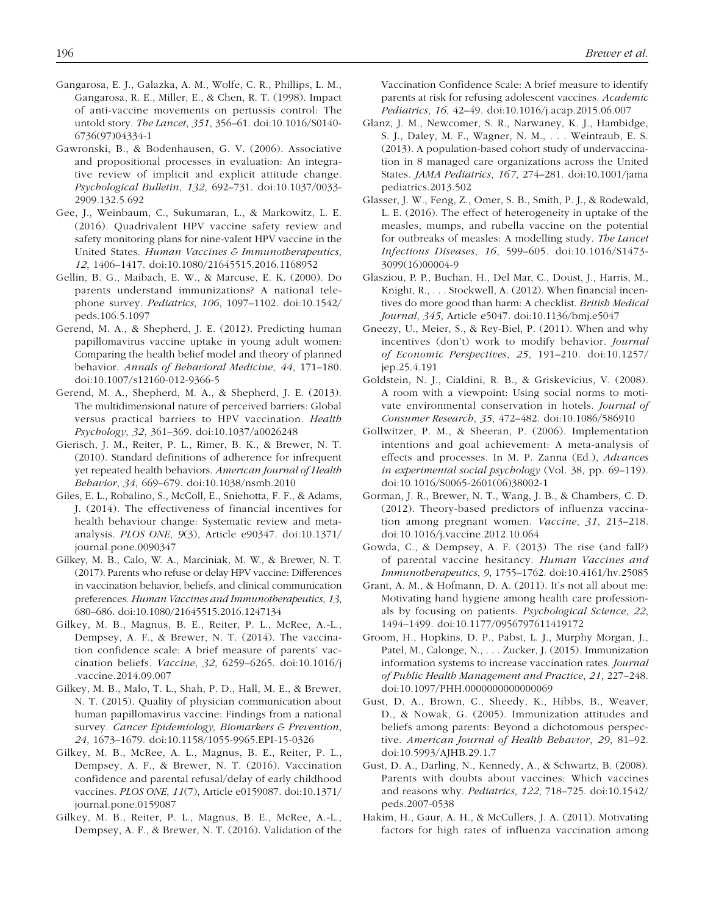- Gangarosa, E. J., Galazka, A. M., Wolfe, C. R., Phillips, L. M., Gangarosa, R. E., Miller, E., & Chen, R. T. (1998). Impact of anti-vaccine movements on pertussis control: The untold story. *The Lancet*, *351*, 356–61. doi:10.1016/S0140- 6736(97)04334-1
- Gawronski, B., & Bodenhausen, G. V. (2006). Associative and propositional processes in evaluation: An integrative review of implicit and explicit attitude change. *Psychological Bulletin*, *132*, 692–731. doi:10.1037/0033- 2909.132.5.692
- Gee, J., Weinbaum, C., Sukumaran, L., & Markowitz, L. E. (2016). Quadrivalent HPV vaccine safety review and safety monitoring plans for nine-valent HPV vaccine in the United States. *Human Vaccines & Immunotherapeutics*, *12*, 1406–1417. doi:10.1080/21645515.2016.1168952
- Gellin, B. G., Maibach, E. W., & Marcuse, E. K. (2000). Do parents understand immunizations? A national telephone survey. *Pediatrics*, *106*, 1097–1102. doi:10.1542/ peds.106.5.1097
- Gerend, M. A., & Shepherd, J. E. (2012). Predicting human papillomavirus vaccine uptake in young adult women: Comparing the health belief model and theory of planned behavior. *Annals of Behavioral Medicine*, *44*, 171–180. doi:10.1007/s12160-012-9366-5
- Gerend, M. A., Shepherd, M. A., & Shepherd, J. E. (2013). The multidimensional nature of perceived barriers: Global versus practical barriers to HPV vaccination. *Health Psychology*, *32*, 361–369. doi:10.1037/a0026248
- Gierisch, J. M., Reiter, P. L., Rimer, B. K., & Brewer, N. T. (2010). Standard definitions of adherence for infrequent yet repeated health behaviors. *American Journal of Health Behavior*, *34*, 669–679. doi:10.1038/nsmb.2010
- Giles, E. L., Robalino, S., McColl, E., Sniehotta, F. F., & Adams, J. (2014). The effectiveness of financial incentives for health behaviour change: Systematic review and metaanalysis. *PLOS ONE*, *9*(3), Article e90347. doi:10.1371/ journal.pone.0090347
- Gilkey, M. B., Calo, W. A., Marciniak, M. W., & Brewer, N. T. (2017). Parents who refuse or delay HPV vaccine: Differences in vaccination behavior, beliefs, and clinical communication preferences. *Human Vaccines and Immunotherapeutics*, *13*, 680–686. doi:10.1080/21645515.2016.1247134
- Gilkey, M. B., Magnus, B. E., Reiter, P. L., McRee, A.-L., Dempsey, A. F., & Brewer, N. T. (2014). The vaccination confidence scale: A brief measure of parents' vaccination beliefs. *Vaccine*, *32*, 6259–6265. doi:10.1016/j .vaccine.2014.09.007
- Gilkey, M. B., Malo, T. L., Shah, P. D., Hall, M. E., & Brewer, N. T. (2015). Quality of physician communication about human papillomavirus vaccine: Findings from a national survey. *Cancer Epidemiology, Biomarkers & Prevention*, *24*, 1673–1679. doi:10.1158/1055-9965.EPI-15-0326
- Gilkey, M. B., McRee, A. L., Magnus, B. E., Reiter, P. L., Dempsey, A. F., & Brewer, N. T. (2016). Vaccination confidence and parental refusal/delay of early childhood vaccines. *PLOS ONE*, *11*(7), Article e0159087. doi:10.1371/ journal.pone.0159087
- Gilkey, M. B., Reiter, P. L., Magnus, B. E., McRee, A.-L., Dempsey, A. F., & Brewer, N. T. (2016). Validation of the

Vaccination Confidence Scale: A brief measure to identify parents at risk for refusing adolescent vaccines. *Academic Pediatrics*, *16*, 42–49. doi:10.1016/j.acap.2015.06.007

- Glanz, J. M., Newcomer, S. R., Narwaney, K. J., Hambidge, S. J., Daley, M. F., Wagner, N. M., . . . Weintraub, E. S. (2013). A population-based cohort study of undervaccination in 8 managed care organizations across the United States. *JAMA Pediatrics*, *167*, 274–281. doi:10.1001/jama pediatrics.2013.502
- Glasser, J. W., Feng, Z., Omer, S. B., Smith, P. J., & Rodewald, L. E. (2016). The effect of heterogeneity in uptake of the measles, mumps, and rubella vaccine on the potential for outbreaks of measles: A modelling study. *The Lancet Infectious Diseases*, *16*, 599–605. doi:10.1016/S1473- 3099(16)00004-9
- Glasziou, P. P., Buchan, H., Del Mar, C., Doust, J., Harris, M., Knight, R., . . . Stockwell, A. (2012). When financial incentives do more good than harm: A checklist. *British Medical Journal*, *345*, Article e5047. doi:10.1136/bmj.e5047
- Gneezy, U., Meier, S., & Rey-Biel, P. (2011). When and why incentives (don't) work to modify behavior. *Journal of Economic Perspectives*, *25*, 191–210. doi:10.1257/ jep.25.4.191
- Goldstein, N. J., Cialdini, R. B., & Griskevicius, V. (2008). A room with a viewpoint: Using social norms to motivate environmental conservation in hotels. *Journal of Consumer Research*, *35*, 472–482. doi:10.1086/586910
- Gollwitzer, P. M., & Sheeran, P. (2006). Implementation intentions and goal achievement: A meta-analysis of effects and processes. In M. P. Zanna (Ed.), *Advances in experimental social psychology* (Vol. 38, pp. 69–119). doi:10.1016/S0065-2601(06)38002-1
- Gorman, J. R., Brewer, N. T., Wang, J. B., & Chambers, C. D. (2012). Theory-based predictors of influenza vaccination among pregnant women. *Vaccine*, *31*, 213–218. doi:10.1016/j.vaccine.2012.10.064
- Gowda, C., & Dempsey, A. F. (2013). The rise (and fall?) of parental vaccine hesitancy. *Human Vaccines and Immunotherapeutics*, *9*, 1755–1762. doi:10.4161/hv.25085
- Grant, A. M., & Hofmann, D. A. (2011). It's not all about me: Motivating hand hygiene among health care professionals by focusing on patients. *Psychological Science*, *22*, 1494–1499. doi:10.1177/0956797611419172
- Groom, H., Hopkins, D. P., Pabst, L. J., Murphy Morgan, J., Patel, M., Calonge, N., . . . Zucker, J. (2015). Immunization information systems to increase vaccination rates. *Journal of Public Health Management and Practice*, *21*, 227–248. doi:10.1097/PHH.0000000000000069
- Gust, D. A., Brown, C., Sheedy, K., Hibbs, B., Weaver, D., & Nowak, G. (2005). Immunization attitudes and beliefs among parents: Beyond a dichotomous perspective. *American Journal of Health Behavior*, *29*, 81–92. doi:10.5993/AJHB.29.1.7
- Gust, D. A., Darling, N., Kennedy, A., & Schwartz, B. (2008). Parents with doubts about vaccines: Which vaccines and reasons why. *Pediatrics*, *122*, 718–725. doi:10.1542/ peds.2007-0538
- Hakim, H., Gaur, A. H., & McCullers, J. A. (2011). Motivating factors for high rates of influenza vaccination among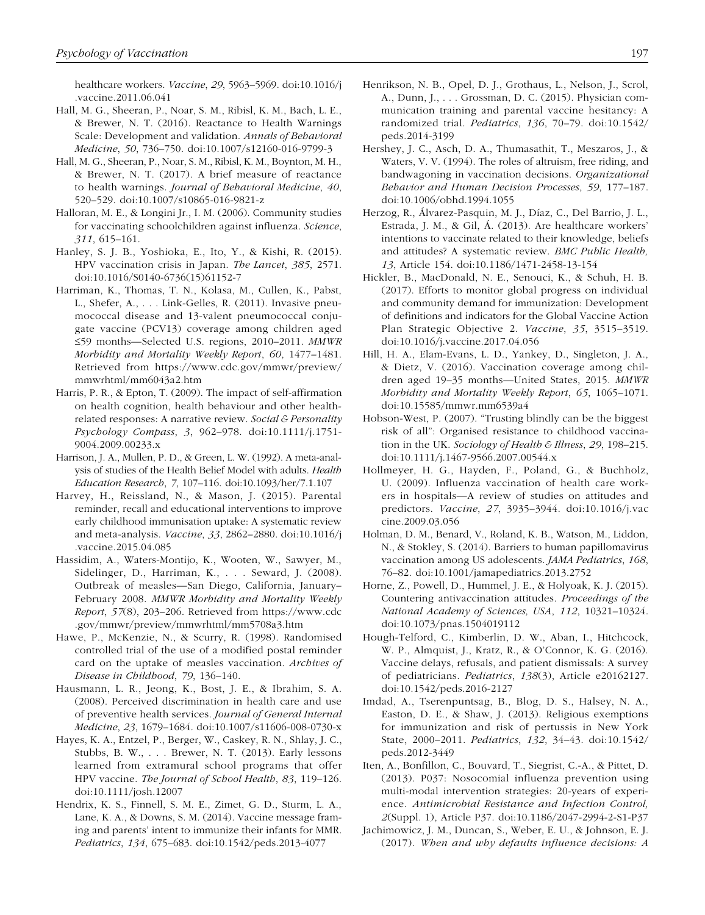healthcare workers. *Vaccine*, *29*, 5963–5969. doi:10.1016/j .vaccine.2011.06.041

- Hall, M. G., Sheeran, P., Noar, S. M., Ribisl, K. M., Bach, L. E., & Brewer, N. T. (2016). Reactance to Health Warnings Scale: Development and validation. *Annals of Behavioral Medicine*, *50*, 736–750. doi:10.1007/s12160-016-9799-3
- Hall, M. G., Sheeran, P., Noar, S. M., Ribisl, K. M., Boynton, M. H., & Brewer, N. T. (2017). A brief measure of reactance to health warnings. *Journal of Behavioral Medicine*, *40*, 520–529. doi:10.1007/s10865-016-9821-z
- Halloran, M. E., & Longini Jr., I. M. (2006). Community studies for vaccinating schoolchildren against influenza. *Science*, *311*, 615–161.
- Hanley, S. J. B., Yoshioka, E., Ito, Y., & Kishi, R. (2015). HPV vaccination crisis in Japan. *The Lancet*, *385*, 2571. doi:10.1016/S0140-6736(15)61152-7
- Harriman, K., Thomas, T. N., Kolasa, M., Cullen, K., Pabst, L., Shefer, A., . . . Link-Gelles, R. (2011). Invasive pneumococcal disease and 13-valent pneumococcal conjugate vaccine (PCV13) coverage among children aged ≤59 months—Selected U.S. regions, 2010–2011. *MMWR Morbidity and Mortality Weekly Report*, *60*, 1477–1481. Retrieved from [https://www.cdc.gov/mmwr/preview/](https://www.cdc.gov/mmwr/preview/mmwrhtml/mm6043a2.htm) [mmwrhtml/mm6043a2.htm](https://www.cdc.gov/mmwr/preview/mmwrhtml/mm6043a2.htm)
- Harris, P. R., & Epton, T. (2009). The impact of self-affirmation on health cognition, health behaviour and other healthrelated responses: A narrative review. *Social & Personality Psychology Compass*, *3*, 962–978. doi:10.1111/j.1751- 9004.2009.00233.x
- Harrison, J. A., Mullen, P. D., & Green, L. W. (1992). A meta-analysis of studies of the Health Belief Model with adults. *Health Education Research*, *7*, 107–116. doi:10.1093/her/7.1.107
- Harvey, H., Reissland, N., & Mason, J. (2015). Parental reminder, recall and educational interventions to improve early childhood immunisation uptake: A systematic review and meta-analysis. *Vaccine*, *33*, 2862–2880. doi:10.1016/j .vaccine.2015.04.085
- Hassidim, A., Waters-Montijo, K., Wooten, W., Sawyer, M., Sidelinger, D., Harriman, K., . . . Seward, J. (2008). Outbreak of measles—San Diego, California, January– February 2008. *MMWR Morbidity and Mortality Weekly Report*, *57*(8), 203–206. Retrieved from [https://www.cdc](https://www.cdc.gov/mmwr/preview/mmwrhtml/mm5708a3.htm) [.gov/mmwr/preview/mmwrhtml/mm5708a3.htm](https://www.cdc.gov/mmwr/preview/mmwrhtml/mm5708a3.htm)
- Hawe, P., McKenzie, N., & Scurry, R. (1998). Randomised controlled trial of the use of a modified postal reminder card on the uptake of measles vaccination. *Archives of Disease in Childhood*, *79*, 136–140.
- Hausmann, L. R., Jeong, K., Bost, J. E., & Ibrahim, S. A. (2008). Perceived discrimination in health care and use of preventive health services. *Journal of General Internal Medicine*, *23*, 1679–1684. doi:10.1007/s11606-008-0730-x
- Hayes, K. A., Entzel, P., Berger, W., Caskey, R. N., Shlay, J. C., Stubbs, B. W., . . . Brewer, N. T. (2013). Early lessons learned from extramural school programs that offer HPV vaccine. *The Journal of School Health*, *83*, 119–126. doi:10.1111/josh.12007
- Hendrix, K. S., Finnell, S. M. E., Zimet, G. D., Sturm, L. A., Lane, K. A., & Downs, S. M. (2014). Vaccine message framing and parents' intent to immunize their infants for MMR. *Pediatrics*, *134*, 675–683. doi:10.1542/peds.2013-4077
- Henrikson, N. B., Opel, D. J., Grothaus, L., Nelson, J., Scrol, A., Dunn, J., . . . Grossman, D. C. (2015). Physician communication training and parental vaccine hesitancy: A randomized trial. *Pediatrics*, *136*, 70–79. doi:10.1542/ peds.2014-3199
- Hershey, J. C., Asch, D. A., Thumasathit, T., Meszaros, J., & Waters, V. V. (1994). The roles of altruism, free riding, and bandwagoning in vaccination decisions. *Organizational Behavior and Human Decision Processes*, *59*, 177–187. doi:10.1006/obhd.1994.1055
- Herzog, R., Álvarez-Pasquin, M. J., Díaz, C., Del Barrio, J. L., Estrada, J. M., & Gil, Á. (2013). Are healthcare workers' intentions to vaccinate related to their knowledge, beliefs and attitudes? A systematic review. *BMC Public Health, 13*, Article 154. doi:10.1186/1471-2458-13-154
- Hickler, B., MacDonald, N. E., Senouci, K., & Schuh, H. B. (2017). Efforts to monitor global progress on individual and community demand for immunization: Development of definitions and indicators for the Global Vaccine Action Plan Strategic Objective 2. *Vaccine*, *35*, 3515–3519. doi:10.1016/j.vaccine.2017.04.056
- Hill, H. A., Elam-Evans, L. D., Yankey, D., Singleton, J. A., & Dietz, V. (2016). Vaccination coverage among children aged 19–35 months—United States, 2015. *MMWR Morbidity and Mortality Weekly Report*, *65*, 1065–1071. doi:10.15585/mmwr.mm6539a4
- Hobson-West, P. (2007). "Trusting blindly can be the biggest risk of all": Organised resistance to childhood vaccination in the UK. *Sociology of Health & Illness*, *29*, 198–215. doi:10.1111/j.1467-9566.2007.00544.x
- Hollmeyer, H. G., Hayden, F., Poland, G., & Buchholz, U. (2009). Influenza vaccination of health care workers in hospitals—A review of studies on attitudes and predictors. *Vaccine*, *27*, 3935–3944. doi:10.1016/j.vac cine.2009.03.056
- Holman, D. M., Benard, V., Roland, K. B., Watson, M., Liddon, N., & Stokley, S. (2014). Barriers to human papillomavirus vaccination among US adolescents. *JAMA Pediatrics*, *168*, 76–82. doi:10.1001/jamapediatrics.2013.2752
- Horne, Z., Powell, D., Hummel, J. E., & Holyoak, K. J. (2015). Countering antivaccination attitudes. *Proceedings of the National Academy of Sciences, USA*, *112*, 10321–10324. doi:10.1073/pnas.1504019112
- Hough-Telford, C., Kimberlin, D. W., Aban, I., Hitchcock, W. P., Almquist, J., Kratz, R., & O'Connor, K. G. (2016). Vaccine delays, refusals, and patient dismissals: A survey of pediatricians. *Pediatrics*, *138*(3), Article e20162127. doi:10.1542/peds.2016-2127
- Imdad, A., Tserenpuntsag, B., Blog, D. S., Halsey, N. A., Easton, D. E., & Shaw, J. (2013). Religious exemptions for immunization and risk of pertussis in New York State, 2000–2011. *Pediatrics*, *132*, 34–43. doi:10.1542/ peds.2012-3449
- Iten, A., Bonfillon, C., Bouvard, T., Siegrist, C.-A., & Pittet, D. (2013). P037: Nosocomial influenza prevention using multi-modal intervention strategies: 20-years of experience. *Antimicrobial Resistance and Infection Control, 2*(Suppl. 1), Article P37. doi:10.1186/2047-2994-2-S1-P37
- Jachimowicz, J. M., Duncan, S., Weber, E. U., & Johnson, E. J. (2017). *When and why defaults influence decisions: A*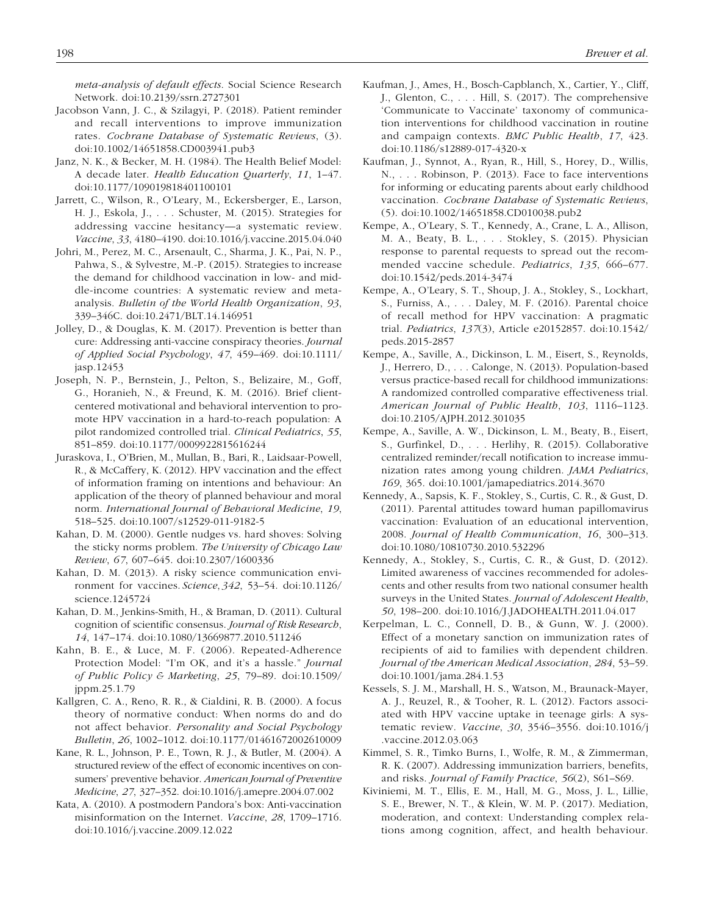*meta-analysis of default effects*. Social Science Research Network. doi:10.2139/ssrn.2727301

- Jacobson Vann, J. C., & Szilagyi, P. (2018). Patient reminder and recall interventions to improve immunization rates. *Cochrane Database of Systematic Reviews*, (3). doi:10.1002/14651858.CD003941.pub3
- Janz, N. K., & Becker, M. H. (1984). The Health Belief Model: A decade later. *Health Education Quarterly*, *11*, 1–47. doi:10.1177/109019818401100101
- Jarrett, C., Wilson, R., O'Leary, M., Eckersberger, E., Larson, H. J., Eskola, J., . . . Schuster, M. (2015). Strategies for addressing vaccine hesitancy—a systematic review. *Vaccine*, *33*, 4180–4190. doi:10.1016/j.vaccine.2015.04.040
- Johri, M., Perez, M. C., Arsenault, C., Sharma, J. K., Pai, N. P., Pahwa, S., & Sylvestre, M.-P. (2015). Strategies to increase the demand for childhood vaccination in low- and middle-income countries: A systematic review and metaanalysis. *Bulletin of the World Health Organization*, *93*, 339–346C. doi:10.2471/BLT.14.146951
- Jolley, D., & Douglas, K. M. (2017). Prevention is better than cure: Addressing anti-vaccine conspiracy theories. *Journal of Applied Social Psychology*, *47*, 459–469. doi:10.1111/ jasp.12453
- Joseph, N. P., Bernstein, J., Pelton, S., Belizaire, M., Goff, G., Horanieh, N., & Freund, K. M. (2016). Brief clientcentered motivational and behavioral intervention to promote HPV vaccination in a hard-to-reach population: A pilot randomized controlled trial. *Clinical Pediatrics*, *55*, 851–859. doi:10.1177/0009922815616244
- Juraskova, I., O'Brien, M., Mullan, B., Bari, R., Laidsaar-Powell, R., & McCaffery, K. (2012). HPV vaccination and the effect of information framing on intentions and behaviour: An application of the theory of planned behaviour and moral norm. *International Journal of Behavioral Medicine*, *19*, 518–525. doi:10.1007/s12529-011-9182-5
- Kahan, D. M. (2000). Gentle nudges vs. hard shoves: Solving the sticky norms problem. *The University of Chicago Law Review*, *67*, 607–645. doi:10.2307/1600336
- Kahan, D. M. (2013). A risky science communication environment for vaccines. *Science*, *342*, 53–54. doi:10.1126/ science.1245724
- Kahan, D. M., Jenkins-Smith, H., & Braman, D. (2011). Cultural cognition of scientific consensus. *Journal of Risk Research*, *14*, 147–174. doi:10.1080/13669877.2010.511246
- Kahn, B. E., & Luce, M. F. (2006). Repeated-Adherence Protection Model: "I'm OK, and it's a hassle." *Journal of Public Policy & Marketing*, *25*, 79–89. doi:10.1509/ jppm.25.1.79
- Kallgren, C. A., Reno, R. R., & Cialdini, R. B. (2000). A focus theory of normative conduct: When norms do and do not affect behavior. *Personality and Social Psychology Bulletin*, *26*, 1002–1012. doi:10.1177/01461672002610009
- Kane, R. L., Johnson, P. E., Town, R. J., & Butler, M. (2004). A structured review of the effect of economic incentives on consumers' preventive behavior. *American Journal of Preventive Medicine*, *27*, 327–352. doi:10.1016/j.amepre.2004.07.002
- Kata, A. (2010). A postmodern Pandora's box: Anti-vaccination misinformation on the Internet. *Vaccine*, *28*, 1709–1716. doi:10.1016/j.vaccine.2009.12.022
- Kaufman, J., Ames, H., Bosch-Capblanch, X., Cartier, Y., Cliff, J., Glenton, C., . . . Hill, S. (2017). The comprehensive 'Communicate to Vaccinate' taxonomy of communication interventions for childhood vaccination in routine and campaign contexts. *BMC Public Health*, *17*, 423. doi:10.1186/s12889-017-4320-x
- Kaufman, J., Synnot, A., Ryan, R., Hill, S., Horey, D., Willis, N., . . . Robinson, P. (2013). Face to face interventions for informing or educating parents about early childhood vaccination. *Cochrane Database of Systematic Reviews*, (5). doi:10.1002/14651858.CD010038.pub2
- Kempe, A., O'Leary, S. T., Kennedy, A., Crane, L. A., Allison, M. A., Beaty, B. L., . . . Stokley, S. (2015). Physician response to parental requests to spread out the recommended vaccine schedule. *Pediatrics*, *135*, 666–677. doi:10.1542/peds.2014-3474
- Kempe, A., O'Leary, S. T., Shoup, J. A., Stokley, S., Lockhart, S., Furniss, A., . . . Daley, M. F. (2016). Parental choice of recall method for HPV vaccination: A pragmatic trial. *Pediatrics*, *137*(3), Article e20152857. doi:10.1542/ peds.2015-2857
- Kempe, A., Saville, A., Dickinson, L. M., Eisert, S., Reynolds, J., Herrero, D., . . . Calonge, N. (2013). Population-based versus practice-based recall for childhood immunizations: A randomized controlled comparative effectiveness trial. *American Journal of Public Health*, *103*, 1116–1123. doi:10.2105/AJPH.2012.301035
- Kempe, A., Saville, A. W., Dickinson, L. M., Beaty, B., Eisert, S., Gurfinkel, D., . . . Herlihy, R. (2015). Collaborative centralized reminder/recall notification to increase immunization rates among young children. *JAMA Pediatrics*, *169*, 365. doi:10.1001/jamapediatrics.2014.3670
- Kennedy, A., Sapsis, K. F., Stokley, S., Curtis, C. R., & Gust, D. (2011). Parental attitudes toward human papillomavirus vaccination: Evaluation of an educational intervention, 2008. *Journal of Health Communication*, *16*, 300–313. doi:10.1080/10810730.2010.532296
- Kennedy, A., Stokley, S., Curtis, C. R., & Gust, D. (2012). Limited awareness of vaccines recommended for adolescents and other results from two national consumer health surveys in the United States. *Journal of Adolescent Health*, *50*, 198–200. doi:10.1016/J.JADOHEALTH.2011.04.017
- Kerpelman, L. C., Connell, D. B., & Gunn, W. J. (2000). Effect of a monetary sanction on immunization rates of recipients of aid to families with dependent children. *Journal of the American Medical Association*, *284*, 53–59. doi:10.1001/jama.284.1.53
- Kessels, S. J. M., Marshall, H. S., Watson, M., Braunack-Mayer, A. J., Reuzel, R., & Tooher, R. L. (2012). Factors associated with HPV vaccine uptake in teenage girls: A systematic review. *Vaccine*, *30*, 3546–3556. doi:10.1016/j .vaccine.2012.03.063
- Kimmel, S. R., Timko Burns, I., Wolfe, R. M., & Zimmerman, R. K. (2007). Addressing immunization barriers, benefits, and risks. *Journal of Family Practice*, *56*(2), S61–S69.
- Kiviniemi, M. T., Ellis, E. M., Hall, M. G., Moss, J. L., Lillie, S. E., Brewer, N. T., & Klein, W. M. P. (2017). Mediation, moderation, and context: Understanding complex relations among cognition, affect, and health behaviour.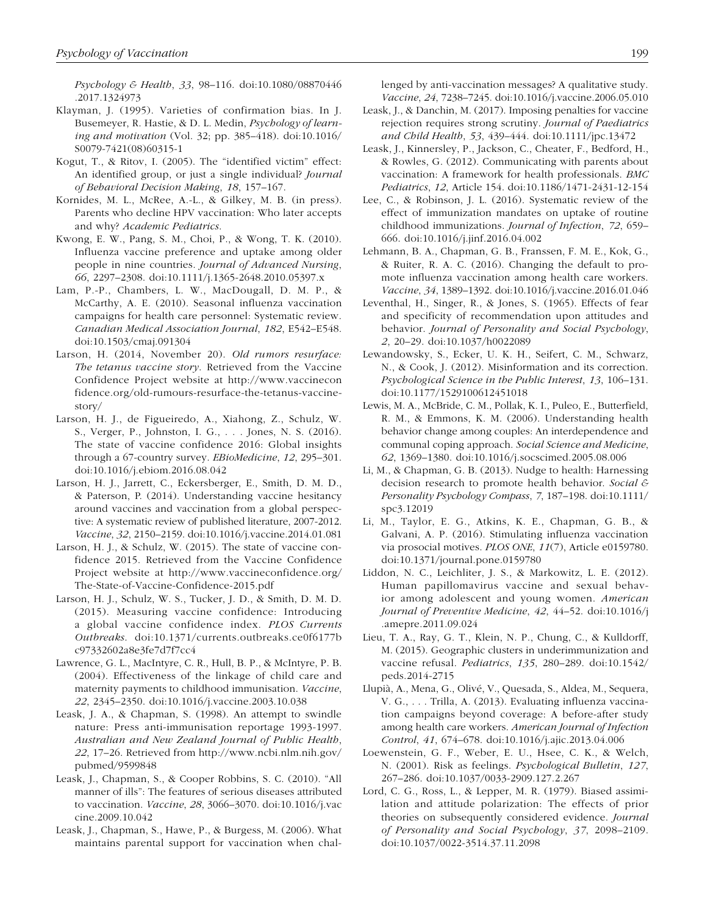*Psychology & Health*, *33*, 98–116. doi:10.1080/08870446 .2017.1324973

- Klayman, J. (1995). Varieties of confirmation bias. In J. Busemeyer, R. Hastie, & D. L. Medin, *Psychology of learning and motivation* (Vol. 32; pp. 385–418). doi:10.1016/ S0079-7421(08)60315-1
- Kogut, T., & Ritov, I. (2005). The "identified victim" effect: An identified group, or just a single individual? *Journal of Behavioral Decision Making*, *18*, 157–167.
- Kornides, M. L., McRee, A.-L., & Gilkey, M. B. (in press). Parents who decline HPV vaccination: Who later accepts and why? *Academic Pediatrics*.
- Kwong, E. W., Pang, S. M., Choi, P., & Wong, T. K. (2010). Influenza vaccine preference and uptake among older people in nine countries. *Journal of Advanced Nursing*, *66*, 2297–2308. doi:10.1111/j.1365-2648.2010.05397.x
- Lam, P.-P., Chambers, L. W., MacDougall, D. M. P., & McCarthy, A. E. (2010). Seasonal influenza vaccination campaigns for health care personnel: Systematic review. *Canadian Medical Association Journal*, *182*, E542–E548. doi:10.1503/cmaj.091304
- Larson, H. (2014, November 20). *Old rumors resurface: The tetanus vaccine story*. Retrieved from the Vaccine Confidence Project website at [http://www.vaccinecon](http://www.vaccineconfidence.org/old-rumours-resurface-the-tetanus-vaccine-story/) [fidence.org/old-rumours-resurface-the-tetanus-vaccine](http://www.vaccineconfidence.org/old-rumours-resurface-the-tetanus-vaccine-story/)[story/](http://www.vaccineconfidence.org/old-rumours-resurface-the-tetanus-vaccine-story/)
- Larson, H. J., de Figueiredo, A., Xiahong, Z., Schulz, W. S., Verger, P., Johnston, I. G., . . . Jones, N. S. (2016). The state of vaccine confidence 2016: Global insights through a 67-country survey. *EBioMedicine*, *12*, 295–301. doi:10.1016/j.ebiom.2016.08.042
- Larson, H. J., Jarrett, C., Eckersberger, E., Smith, D. M. D., & Paterson, P. (2014). Understanding vaccine hesitancy around vaccines and vaccination from a global perspective: A systematic review of published literature, 2007-2012. *Vaccine*, *32*, 2150–2159. doi:10.1016/j.vaccine.2014.01.081
- Larson, H. J., & Schulz, W. (2015). The state of vaccine confidence 2015. Retrieved from the Vaccine Confidence Project website at [http://www.vaccineconfidence.org/](http://www.vaccineconfidence.org/The-State-of-Vaccine-Confidence-2015.pdf) [The-State-of-Vaccine-Confidence-2015.pdf](http://www.vaccineconfidence.org/The-State-of-Vaccine-Confidence-2015.pdf)
- Larson, H. J., Schulz, W. S., Tucker, J. D., & Smith, D. M. D. (2015). Measuring vaccine confidence: Introducing a global vaccine confidence index. *PLOS Currents Outbreaks*. doi:10.1371/currents.outbreaks.ce0f6177b c97332602a8e3fe7d7f7cc4
- Lawrence, G. L., MacIntyre, C. R., Hull, B. P., & McIntyre, P. B. (2004). Effectiveness of the linkage of child care and maternity payments to childhood immunisation. *Vaccine*, *22*, 2345–2350. doi:10.1016/j.vaccine.2003.10.038
- Leask, J. A., & Chapman, S. (1998). An attempt to swindle nature: Press anti-immunisation reportage 1993-1997. *Australian and New Zealand Journal of Public Health*, *22*, 17–26. Retrieved from [http://www.ncbi.nlm.nih.gov/](http://www.ncbi.nlm.nih.gov/pubmed/9599848) [pubmed/9599848](http://www.ncbi.nlm.nih.gov/pubmed/9599848)
- Leask, J., Chapman, S., & Cooper Robbins, S. C. (2010). "All manner of ills": The features of serious diseases attributed to vaccination. *Vaccine*, *28*, 3066–3070. doi:10.1016/j.vac cine.2009.10.042
- Leask, J., Chapman, S., Hawe, P., & Burgess, M. (2006). What maintains parental support for vaccination when chal-

lenged by anti-vaccination messages? A qualitative study. *Vaccine*, *24*, 7238–7245. doi:10.1016/j.vaccine.2006.05.010

- Leask, J., & Danchin, M. (2017). Imposing penalties for vaccine rejection requires strong scrutiny. *Journal of Paediatrics and Child Health*, *53*, 439–444. doi:10.1111/jpc.13472
- Leask, J., Kinnersley, P., Jackson, C., Cheater, F., Bedford, H., & Rowles, G. (2012). Communicating with parents about vaccination: A framework for health professionals. *BMC Pediatrics*, *12*, Article 154. doi:10.1186/1471-2431-12-154
- Lee, C., & Robinson, J. L. (2016). Systematic review of the effect of immunization mandates on uptake of routine childhood immunizations. *Journal of Infection*, *72*, 659– 666. doi:10.1016/j.jinf.2016.04.002
- Lehmann, B. A., Chapman, G. B., Franssen, F. M. E., Kok, G., & Ruiter, R. A. C. (2016). Changing the default to promote influenza vaccination among health care workers. *Vaccine*, *34*, 1389–1392. doi:10.1016/j.vaccine.2016.01.046
- Leventhal, H., Singer, R., & Jones, S. (1965). Effects of fear and specificity of recommendation upon attitudes and behavior. *Journal of Personality and Social Psychology*, *2*, 20–29. doi:10.1037/h0022089
- Lewandowsky, S., Ecker, U. K. H., Seifert, C. M., Schwarz, N., & Cook, J. (2012). Misinformation and its correction. *Psychological Science in the Public Interest*, *13*, 106–131. doi:10.1177/1529100612451018
- Lewis, M. A., McBride, C. M., Pollak, K. I., Puleo, E., Butterfield, R. M., & Emmons, K. M. (2006). Understanding health behavior change among couples: An interdependence and communal coping approach. *Social Science and Medicine*, *62*, 1369–1380. doi:10.1016/j.socscimed.2005.08.006
- Li, M., & Chapman, G. B. (2013). Nudge to health: Harnessing decision research to promote health behavior. *Social & Personality Psychology Compass*, *7*, 187–198. doi:10.1111/ spc3.12019
- Li, M., Taylor, E. G., Atkins, K. E., Chapman, G. B., & Galvani, A. P. (2016). Stimulating influenza vaccination via prosocial motives. *PLOS ONE*, *11*(7), Article e0159780. doi:10.1371/journal.pone.0159780
- Liddon, N. C., Leichliter, J. S., & Markowitz, L. E. (2012). Human papillomavirus vaccine and sexual behavior among adolescent and young women. *American Journal of Preventive Medicine*, *42*, 44–52. doi:10.1016/j .amepre.2011.09.024
- Lieu, T. A., Ray, G. T., Klein, N. P., Chung, C., & Kulldorff, M. (2015). Geographic clusters in underimmunization and vaccine refusal. *Pediatrics*, *135*, 280–289. doi:10.1542/ peds.2014-2715
- Llupià, A., Mena, G., Olivé, V., Quesada, S., Aldea, M., Sequera, V. G., . . . Trilla, A. (2013). Evaluating influenza vaccination campaigns beyond coverage: A before-after study among health care workers. *American Journal of Infection Control*, *41*, 674–678. doi:10.1016/j.ajic.2013.04.006
- Loewenstein, G. F., Weber, E. U., Hsee, C. K., & Welch, N. (2001). Risk as feelings. *Psychological Bulletin*, *127*, 267–286. doi:10.1037/0033-2909.127.2.267
- Lord, C. G., Ross, L., & Lepper, M. R. (1979). Biased assimilation and attitude polarization: The effects of prior theories on subsequently considered evidence. *Journal of Personality and Social Psychology*, *37*, 2098–2109. doi:10.1037/0022-3514.37.11.2098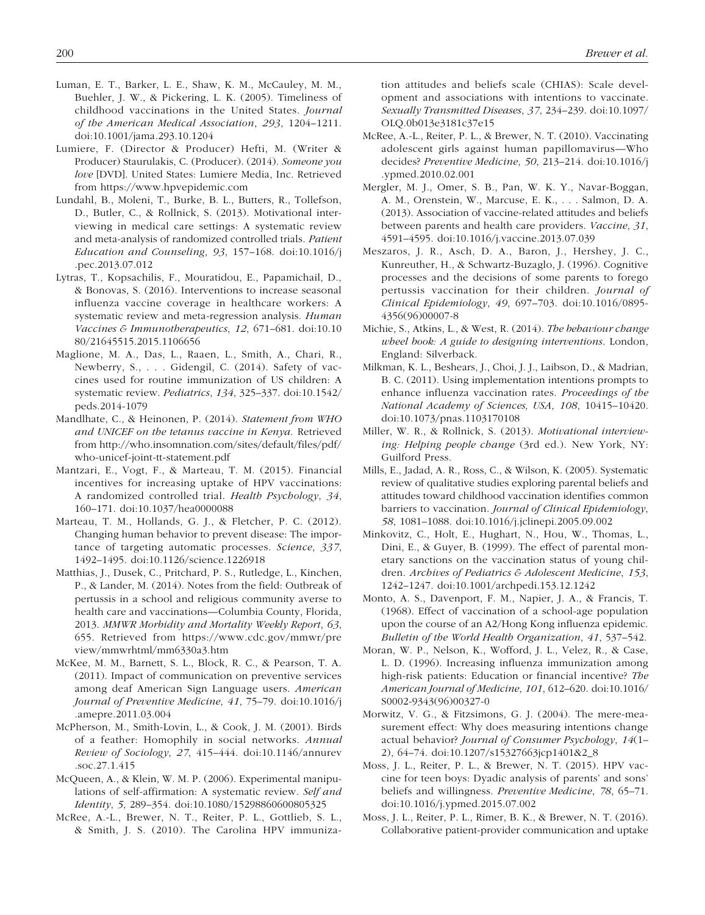- Luman, E. T., Barker, L. E., Shaw, K. M., McCauley, M. M., Buehler, J. W., & Pickering, L. K. (2005). Timeliness of childhood vaccinations in the United States. *Journal of the American Medical Association*, *293*, 1204–1211. doi:10.1001/jama.293.10.1204
- Lumiere, F. (Director & Producer) Hefti, M. (Writer & Producer) Staurulakis, C. (Producer). (2014). *Someone you love* [DVD]. United States: Lumiere Media, Inc. Retrieved from <https://www.hpvepidemic.com>
- Lundahl, B., Moleni, T., Burke, B. L., Butters, R., Tollefson, D., Butler, C., & Rollnick, S. (2013). Motivational interviewing in medical care settings: A systematic review and meta-analysis of randomized controlled trials. *Patient Education and Counseling*, *93*, 157–168. doi:10.1016/j .pec.2013.07.012
- Lytras, T., Kopsachilis, F., Mouratidou, E., Papamichail, D., & Bonovas, S. (2016). Interventions to increase seasonal influenza vaccine coverage in healthcare workers: A systematic review and meta-regression analysis. *Human Vaccines & Immunotherapeutics*, *12*, 671–681. doi:10.10 80/21645515.2015.1106656
- Maglione, M. A., Das, L., Raaen, L., Smith, A., Chari, R., Newberry, S., . . . Gidengil, C. (2014). Safety of vaccines used for routine immunization of US children: A systematic review. *Pediatrics*, *134*, 325–337. doi:10.1542/ peds.2014-1079
- Mandlhate, C., & Heinonen, P. (2014). *Statement from WHO and UNICEF on the tetanus vaccine in Kenya*. Retrieved from [http://who.insomnation.com/sites/default/files/pdf/](http://who.insomnation.com/sites/default/files/pdf/who-unicef-joint-tt-statement.pdf) [who-unicef-joint-tt-statement.pdf](http://who.insomnation.com/sites/default/files/pdf/who-unicef-joint-tt-statement.pdf)
- Mantzari, E., Vogt, F., & Marteau, T. M. (2015). Financial incentives for increasing uptake of HPV vaccinations: A randomized controlled trial. *Health Psychology*, *34*, 160–171. doi:10.1037/hea0000088
- Marteau, T. M., Hollands, G. J., & Fletcher, P. C. (2012). Changing human behavior to prevent disease: The importance of targeting automatic processes. *Science*, *337*, 1492–1495. doi:10.1126/science.1226918
- Matthias, J., Dusek, C., Pritchard, P. S., Rutledge, L., Kinchen, P., & Lander, M. (2014). Notes from the field: Outbreak of pertussis in a school and religious community averse to health care and vaccinations—Columbia County, Florida, 2013. *MMWR Morbidity and Mortality Weekly Report*, *63*, 655. Retrieved from [https://www.cdc.gov/mmwr/pre](https://www.cdc.gov/mmwr/preview/mmwrhtml/mm6330a3.htm) [view/mmwrhtml/mm6330a3.htm](https://www.cdc.gov/mmwr/preview/mmwrhtml/mm6330a3.htm)
- McKee, M. M., Barnett, S. L., Block, R. C., & Pearson, T. A. (2011). Impact of communication on preventive services among deaf American Sign Language users. *American Journal of Preventive Medicine*, *41*, 75–79. doi:10.1016/j .amepre.2011.03.004
- McPherson, M., Smith-Lovin, L., & Cook, J. M. (2001). Birds of a feather: Homophily in social networks. *Annual Review of Sociology*, *27*, 415–444. doi:10.1146/annurev .soc.27.1.415
- McQueen, A., & Klein, W. M. P. (2006). Experimental manipulations of self-affirmation: A systematic review. *Self and Identity*, *5*, 289–354. doi:10.1080/15298860600805325
- McRee, A.-L., Brewer, N. T., Reiter, P. L., Gottlieb, S. L., & Smith, J. S. (2010). The Carolina HPV immuniza-

tion attitudes and beliefs scale (CHIAS): Scale development and associations with intentions to vaccinate. *Sexually Transmitted Diseases*, *37*, 234–239. doi:10.1097/ OLQ.0b013e3181c37e15

- McRee, A.-L., Reiter, P. L., & Brewer, N. T. (2010). Vaccinating adolescent girls against human papillomavirus—Who decides? *Preventive Medicine*, *50*, 213–214. doi:10.1016/j .ypmed.2010.02.001
- Mergler, M. J., Omer, S. B., Pan, W. K. Y., Navar-Boggan, A. M., Orenstein, W., Marcuse, E. K., . . . Salmon, D. A. (2013). Association of vaccine-related attitudes and beliefs between parents and health care providers. *Vaccine*, *31*, 4591–4595. doi:10.1016/j.vaccine.2013.07.039
- Meszaros, J. R., Asch, D. A., Baron, J., Hershey, J. C., Kunreuther, H., & Schwartz-Buzaglo, J. (1996). Cognitive processes and the decisions of some parents to forego pertussis vaccination for their children. *Journal of Clinical Epidemiology*, *49*, 697–703. doi:10.1016/0895- 4356(96)00007-8
- Michie, S., Atkins, L., & West, R. (2014). *The behaviour change wheel book: A guide to designing interventions*. London, England: Silverback.
- Milkman, K. L., Beshears, J., Choi, J. J., Laibson, D., & Madrian, B. C. (2011). Using implementation intentions prompts to enhance influenza vaccination rates. *Proceedings of the National Academy of Sciences, USA*, *108*, 10415–10420. doi:10.1073/pnas.1103170108
- Miller, W. R., & Rollnick, S. (2013). *Motivational interviewing: Helping people change* (3rd ed.). New York, NY: Guilford Press.
- Mills, E., Jadad, A. R., Ross, C., & Wilson, K. (2005). Systematic review of qualitative studies exploring parental beliefs and attitudes toward childhood vaccination identifies common barriers to vaccination. *Journal of Clinical Epidemiology*, *58*, 1081–1088. doi:10.1016/j.jclinepi.2005.09.002
- Minkovitz, C., Holt, E., Hughart, N., Hou, W., Thomas, L., Dini, E., & Guyer, B. (1999). The effect of parental monetary sanctions on the vaccination status of young children. *Archives of Pediatrics & Adolescent Medicine*, *153*, 1242–1247. doi:10.1001/archpedi.153.12.1242
- Monto, A. S., Davenport, F. M., Napier, J. A., & Francis, T. (1968). Effect of vaccination of a school-age population upon the course of an A2/Hong Kong influenza epidemic. *Bulletin of the World Health Organization*, *41*, 537–542.
- Moran, W. P., Nelson, K., Wofford, J. L., Velez, R., & Case, L. D. (1996). Increasing influenza immunization among high-risk patients: Education or financial incentive? *The American Journal of Medicine*, *101*, 612–620. doi:10.1016/ S0002-9343(96)00327-0
- Morwitz, V. G., & Fitzsimons, G. J. (2004). The mere-measurement effect: Why does measuring intentions change actual behavior? *Journal of Consumer Psychology*, *14*(1– 2), 64–74. doi:10.1207/s15327663jcp1401&2\_8
- Moss, J. L., Reiter, P. L., & Brewer, N. T. (2015). HPV vaccine for teen boys: Dyadic analysis of parents' and sons' beliefs and willingness. *Preventive Medicine*, *78*, 65–71. doi:10.1016/j.ypmed.2015.07.002
- Moss, J. L., Reiter, P. L., Rimer, B. K., & Brewer, N. T. (2016). Collaborative patient-provider communication and uptake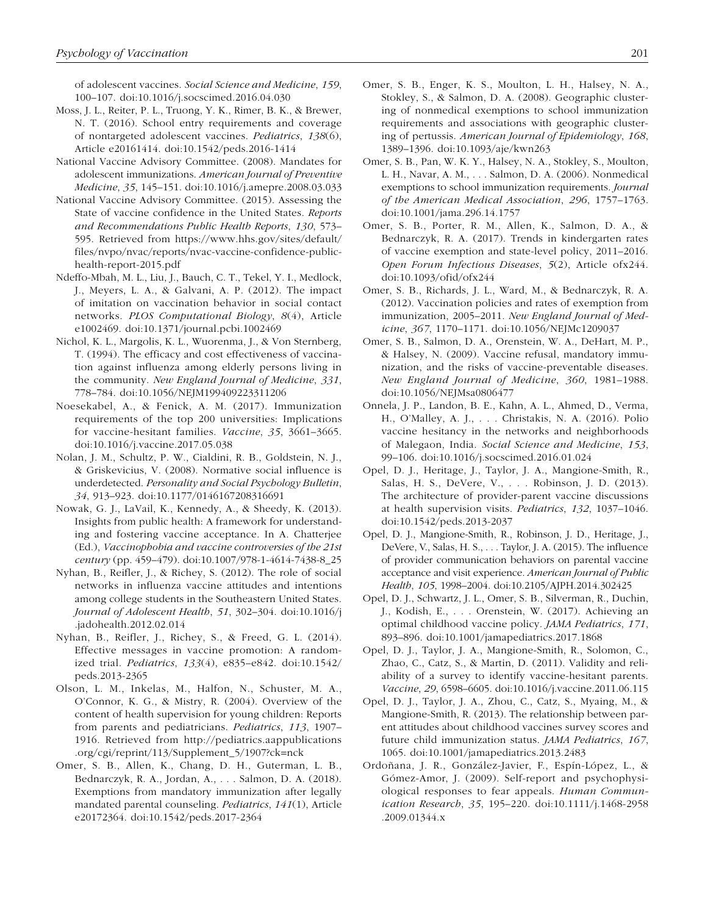of adolescent vaccines. *Social Science and Medicine*, *159*, 100–107. doi:10.1016/j.socscimed.2016.04.030

- Moss, J. L., Reiter, P. L., Truong, Y. K., Rimer, B. K., & Brewer, N. T. (2016). School entry requirements and coverage of nontargeted adolescent vaccines. *Pediatrics*, *138*(6), Article e20161414. doi:10.1542/peds.2016-1414
- National Vaccine Advisory Committee. (2008). Mandates for adolescent immunizations. *American Journal of Preventive Medicine*, *35*, 145–151. doi:10.1016/j.amepre.2008.03.033
- National Vaccine Advisory Committee. (2015). Assessing the State of vaccine confidence in the United States. *Reports and Recommendations Public Health Reports*, *130*, 573– 595. Retrieved from [https://www.hhs.gov/sites/default/](https://www.hhs.gov/sites/default/files/nvpo/nvac/reports/nvac-vaccine-confidence-public-health-report-2015.pdf) [files/nvpo/nvac/reports/nvac-vaccine-confidence-public](https://www.hhs.gov/sites/default/files/nvpo/nvac/reports/nvac-vaccine-confidence-public-health-report-2015.pdf)[health-report-2015.pdf](https://www.hhs.gov/sites/default/files/nvpo/nvac/reports/nvac-vaccine-confidence-public-health-report-2015.pdf)
- Ndeffo-Mbah, M. L., Liu, J., Bauch, C. T., Tekel, Y. I., Medlock, J., Meyers, L. A., & Galvani, A. P. (2012). The impact of imitation on vaccination behavior in social contact networks. *PLOS Computational Biology*, *8*(4), Article e1002469. doi:10.1371/journal.pcbi.1002469
- Nichol, K. L., Margolis, K. L., Wuorenma, J., & Von Sternberg, T. (1994). The efficacy and cost effectiveness of vaccination against influenza among elderly persons living in the community. *New England Journal of Medicine*, *331*, 778–784. doi:10.1056/NEJM199409223311206
- Noesekabel, A., & Fenick, A. M. (2017). Immunization requirements of the top 200 universities: Implications for vaccine-hesitant families. *Vaccine*, *35*, 3661–3665. doi:10.1016/j.vaccine.2017.05.038
- Nolan, J. M., Schultz, P. W., Cialdini, R. B., Goldstein, N. J., & Griskevicius, V. (2008). Normative social influence is underdetected. *Personality and Social Psychology Bulletin*, *34*, 913–923. doi:10.1177/0146167208316691
- Nowak, G. J., LaVail, K., Kennedy, A., & Sheedy, K. (2013). Insights from public health: A framework for understanding and fostering vaccine acceptance. In A. Chatterjee (Ed.), *Vaccinophobia and vaccine controversies of the 21st century* (pp. 459–479). doi:10.1007/978-1-4614-7438-8\_25
- Nyhan, B., Reifler, J., & Richey, S. (2012). The role of social networks in influenza vaccine attitudes and intentions among college students in the Southeastern United States. *Journal of Adolescent Health*, *51*, 302–304. doi:10.1016/j .jadohealth.2012.02.014
- Nyhan, B., Reifler, J., Richey, S., & Freed, G. L. (2014). Effective messages in vaccine promotion: A randomized trial. *Pediatrics*, *133*(4), e835–e842. doi:10.1542/ peds.2013-2365
- Olson, L. M., Inkelas, M., Halfon, N., Schuster, M. A., O'Connor, K. G., & Mistry, R. (2004). Overview of the content of health supervision for young children: Reports from parents and pediatricians. *Pediatrics*, *113*, 1907– 1916. Retrieved from [http://pediatrics.aappublications](http://pediatrics.aappublications.org/cgi/reprint/113/Supplement_5/1907?ck=nck) [.org/cgi/reprint/113/Supplement\\_5/1907?ck=nck](http://pediatrics.aappublications.org/cgi/reprint/113/Supplement_5/1907?ck=nck)
- Omer, S. B., Allen, K., Chang, D. H., Guterman, L. B., Bednarczyk, R. A., Jordan, A., . . . Salmon, D. A. (2018). Exemptions from mandatory immunization after legally mandated parental counseling. *Pediatrics*, *141*(1), Article e20172364. doi:10.1542/peds.2017-2364
- Omer, S. B., Enger, K. S., Moulton, L. H., Halsey, N. A., Stokley, S., & Salmon, D. A. (2008). Geographic clustering of nonmedical exemptions to school immunization requirements and associations with geographic clustering of pertussis. *American Journal of Epidemiology*, *168*, 1389–1396. doi:10.1093/aje/kwn263
- Omer, S. B., Pan, W. K. Y., Halsey, N. A., Stokley, S., Moulton, L. H., Navar, A. M., . . . Salmon, D. A. (2006). Nonmedical exemptions to school immunization requirements. *Journal of the American Medical Association*, *296*, 1757–1763. doi:10.1001/jama.296.14.1757
- Omer, S. B., Porter, R. M., Allen, K., Salmon, D. A., & Bednarczyk, R. A. (2017). Trends in kindergarten rates of vaccine exemption and state-level policy, 2011–2016. *Open Forum Infectious Diseases*, *5*(2), Article ofx244. doi:10.1093/ofid/ofx244
- Omer, S. B., Richards, J. L., Ward, M., & Bednarczyk, R. A. (2012). Vaccination policies and rates of exemption from immunization, 2005–2011. *New England Journal of Medicine*, *367*, 1170–1171. doi:10.1056/NEJMc1209037
- Omer, S. B., Salmon, D. A., Orenstein, W. A., DeHart, M. P., & Halsey, N. (2009). Vaccine refusal, mandatory immunization, and the risks of vaccine-preventable diseases. *New England Journal of Medicine*, *360*, 1981–1988. doi:10.1056/NEJMsa0806477
- Onnela, J. P., Landon, B. E., Kahn, A. L., Ahmed, D., Verma, H., O'Malley, A. J., . . . Christakis, N. A. (2016). Polio vaccine hesitancy in the networks and neighborhoods of Malegaon, India. *Social Science and Medicine*, *153*, 99–106. doi:10.1016/j.socscimed.2016.01.024
- Opel, D. J., Heritage, J., Taylor, J. A., Mangione-Smith, R., Salas, H. S., DeVere, V., . . . Robinson, J. D. (2013). The architecture of provider-parent vaccine discussions at health supervision visits. *Pediatrics*, *132*, 1037–1046. doi:10.1542/peds.2013-2037
- Opel, D. J., Mangione-Smith, R., Robinson, J. D., Heritage, J., DeVere, V., Salas, H. S., . . . Taylor, J. A. (2015). The influence of provider communication behaviors on parental vaccine acceptance and visit experience. *American Journal of Public Health*, *105*, 1998–2004. doi:10.2105/AJPH.2014.302425
- Opel, D. J., Schwartz, J. L., Omer, S. B., Silverman, R., Duchin, J., Kodish, E., . . . Orenstein, W. (2017). Achieving an optimal childhood vaccine policy. *JAMA Pediatrics*, *171*, 893–896. doi:10.1001/jamapediatrics.2017.1868
- Opel, D. J., Taylor, J. A., Mangione-Smith, R., Solomon, C., Zhao, C., Catz, S., & Martin, D. (2011). Validity and reliability of a survey to identify vaccine-hesitant parents. *Vaccine*, *29*, 6598–6605. doi:10.1016/j.vaccine.2011.06.115
- Opel, D. J., Taylor, J. A., Zhou, C., Catz, S., Myaing, M., & Mangione-Smith, R. (2013). The relationship between parent attitudes about childhood vaccines survey scores and future child immunization status. *JAMA Pediatrics*, *167*, 1065. doi:10.1001/jamapediatrics.2013.2483
- Ordoñana, J. R., González-Javier, F., Espín-López, L., & Gómez-Amor, J. (2009). Self-report and psychophysiological responses to fear appeals. *Human Communication Research*, *35*, 195–220. doi:10.1111/j.1468-2958 .2009.01344.x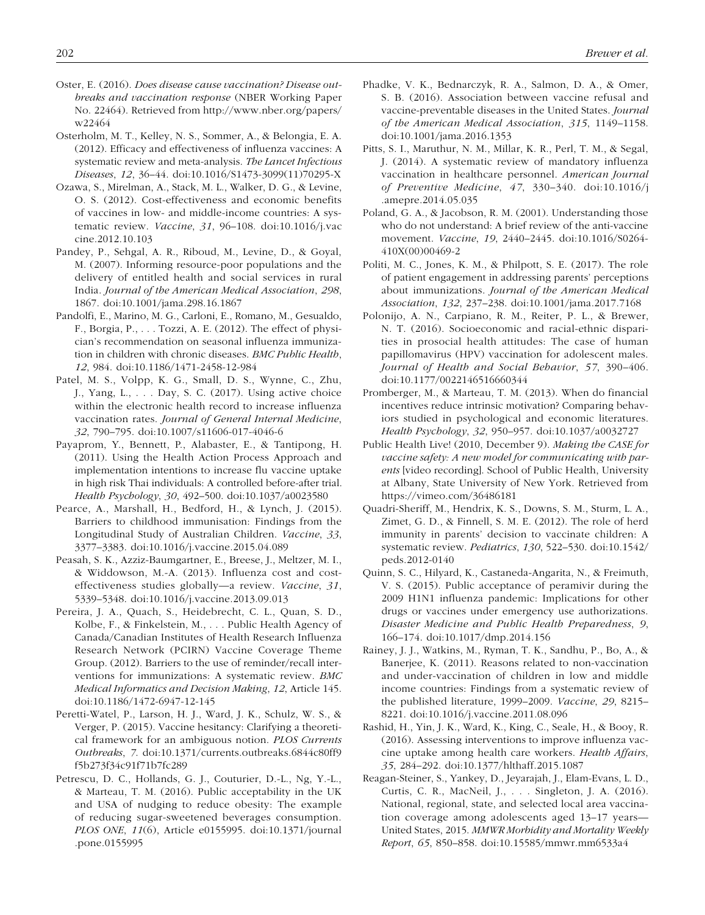- Oster, E. (2016). *Does disease cause vaccination? Disease outbreaks and vaccination response* (NBER Working Paper No. 22464). Retrieved from [http://www.nber.org/papers/](http://www.nber.org/papers/w22464) [w22464](http://www.nber.org/papers/w22464)
- Osterholm, M. T., Kelley, N. S., Sommer, A., & Belongia, E. A. (2012). Efficacy and effectiveness of influenza vaccines: A systematic review and meta-analysis. *The Lancet Infectious Diseases*, *12*, 36–44. doi:10.1016/S1473-3099(11)70295-X
- Ozawa, S., Mirelman, A., Stack, M. L., Walker, D. G., & Levine, O. S. (2012). Cost-effectiveness and economic benefits of vaccines in low- and middle-income countries: A systematic review. *Vaccine*, *31*, 96–108. doi:10.1016/j.vac cine.2012.10.103
- Pandey, P., Sehgal, A. R., Riboud, M., Levine, D., & Goyal, M. (2007). Informing resource-poor populations and the delivery of entitled health and social services in rural India. *Journal of the American Medical Association*, *298*, 1867. doi:10.1001/jama.298.16.1867
- Pandolfi, E., Marino, M. G., Carloni, E., Romano, M., Gesualdo, F., Borgia, P., . . . Tozzi, A. E. (2012). The effect of physician's recommendation on seasonal influenza immunization in children with chronic diseases. *BMC Public Health*, *12*, 984. doi:10.1186/1471-2458-12-984
- Patel, M. S., Volpp, K. G., Small, D. S., Wynne, C., Zhu, J., Yang, L., . . . Day, S. C. (2017). Using active choice within the electronic health record to increase influenza vaccination rates. *Journal of General Internal Medicine*, *32*, 790–795. doi:10.1007/s11606-017-4046-6
- Payaprom, Y., Bennett, P., Alabaster, E., & Tantipong, H. (2011). Using the Health Action Process Approach and implementation intentions to increase flu vaccine uptake in high risk Thai individuals: A controlled before-after trial. *Health Psychology*, *30*, 492–500. doi:10.1037/a0023580
- Pearce, A., Marshall, H., Bedford, H., & Lynch, J. (2015). Barriers to childhood immunisation: Findings from the Longitudinal Study of Australian Children. *Vaccine*, *33*, 3377–3383. doi:10.1016/j.vaccine.2015.04.089
- Peasah, S. K., Azziz-Baumgartner, E., Breese, J., Meltzer, M. I., & Widdowson, M.-A. (2013). Influenza cost and costeffectiveness studies globally—a review. *Vaccine*, *31*, 5339–5348. doi:10.1016/j.vaccine.2013.09.013
- Pereira, J. A., Quach, S., Heidebrecht, C. L., Quan, S. D., Kolbe, F., & Finkelstein, M., . . . Public Health Agency of Canada/Canadian Institutes of Health Research Influenza Research Network (PCIRN) Vaccine Coverage Theme Group. (2012). Barriers to the use of reminder/recall interventions for immunizations: A systematic review. *BMC Medical Informatics and Decision Making*, *12*, Article 145. doi:10.1186/1472-6947-12-145
- Peretti-Watel, P., Larson, H. J., Ward, J. K., Schulz, W. S., & Verger, P. (2015). Vaccine hesitancy: Clarifying a theoretical framework for an ambiguous notion. *PLOS Currents Outbreaks*, *7*. doi:10.1371/currents.outbreaks.6844c80ff9 f5b273f34c91f71b7fc289
- Petrescu, D. C., Hollands, G. J., Couturier, D.-L., Ng, Y.-L., & Marteau, T. M. (2016). Public acceptability in the UK and USA of nudging to reduce obesity: The example of reducing sugar-sweetened beverages consumption. *PLOS ONE*, *11*(6), Article e0155995. doi:10.1371/journal .pone.0155995
- Phadke, V. K., Bednarczyk, R. A., Salmon, D. A., & Omer, S. B. (2016). Association between vaccine refusal and vaccine-preventable diseases in the United States. *Journal of the American Medical Association*, *315*, 1149–1158. doi:10.1001/jama.2016.1353
- Pitts, S. I., Maruthur, N. M., Millar, K. R., Perl, T. M., & Segal, J. (2014). A systematic review of mandatory influenza vaccination in healthcare personnel. *American Journal of Preventive Medicine*, *47*, 330–340. doi:10.1016/j .amepre.2014.05.035
- Poland, G. A., & Jacobson, R. M. (2001). Understanding those who do not understand: A brief review of the anti-vaccine movement. *Vaccine*, *19*, 2440–2445. doi:10.1016/S0264- 410X(00)00469-2
- Politi, M. C., Jones, K. M., & Philpott, S. E. (2017). The role of patient engagement in addressing parents' perceptions about immunizations. *Journal of the American Medical Association*, *132*, 237–238. doi:10.1001/jama.2017.7168
- Polonijo, A. N., Carpiano, R. M., Reiter, P. L., & Brewer, N. T. (2016). Socioeconomic and racial-ethnic disparities in prosocial health attitudes: The case of human papillomavirus (HPV) vaccination for adolescent males. *Journal of Health and Social Behavior*, *57*, 390–406. doi:10.1177/0022146516660344
- Promberger, M., & Marteau, T. M. (2013). When do financial incentives reduce intrinsic motivation? Comparing behaviors studied in psychological and economic literatures. *Health Psychology*, *32*, 950–957. doi:10.1037/a0032727
- Public Health Live! (2010, December 9). *Making the CASE for vaccine safety: A new model for communicating with parents* [video recording]. School of Public Health, University at Albany, State University of New York. Retrieved from <https://vimeo.com/36486181>
- Quadri-Sheriff, M., Hendrix, K. S., Downs, S. M., Sturm, L. A., Zimet, G. D., & Finnell, S. M. E. (2012). The role of herd immunity in parents' decision to vaccinate children: A systematic review. *Pediatrics*, *130*, 522–530. doi:10.1542/ peds.2012-0140
- Quinn, S. C., Hilyard, K., Castaneda-Angarita, N., & Freimuth, V. S. (2015). Public acceptance of peramivir during the 2009 H1N1 influenza pandemic: Implications for other drugs or vaccines under emergency use authorizations. *Disaster Medicine and Public Health Preparedness*, *9*, 166–174. doi:10.1017/dmp.2014.156
- Rainey, J. J., Watkins, M., Ryman, T. K., Sandhu, P., Bo, A., & Banerjee, K. (2011). Reasons related to non-vaccination and under-vaccination of children in low and middle income countries: Findings from a systematic review of the published literature, 1999–2009. *Vaccine*, *29*, 8215– 8221. doi:10.1016/j.vaccine.2011.08.096
- Rashid, H., Yin, J. K., Ward, K., King, C., Seale, H., & Booy, R. (2016). Assessing interventions to improve influenza vaccine uptake among health care workers. *Health Affairs*, *35*, 284–292. doi:10.1377/hlthaff.2015.1087
- Reagan-Steiner, S., Yankey, D., Jeyarajah, J., Elam-Evans, L. D., Curtis, C. R., MacNeil, J., . . . Singleton, J. A. (2016). National, regional, state, and selected local area vaccination coverage among adolescents aged 13–17 years— United States, 2015. *MMWR Morbidity and Mortality Weekly Report*, *65*, 850–858. doi:10.15585/mmwr.mm6533a4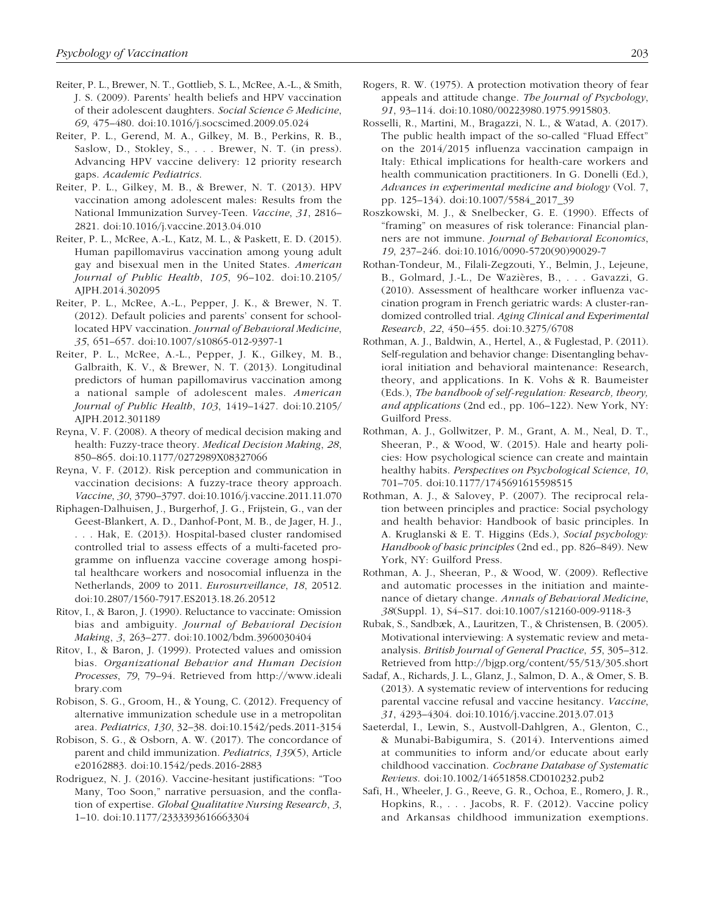- Reiter, P. L., Brewer, N. T., Gottlieb, S. L., McRee, A.-L., & Smith, J. S. (2009). Parents' health beliefs and HPV vaccination of their adolescent daughters. *Social Science & Medicine*, *69*, 475–480. doi:10.1016/j.socscimed.2009.05.024
- Reiter, P. L., Gerend, M. A., Gilkey, M. B., Perkins, R. B., Saslow, D., Stokley, S., . . . Brewer, N. T. (in press). Advancing HPV vaccine delivery: 12 priority research gaps. *Academic Pediatrics*.
- Reiter, P. L., Gilkey, M. B., & Brewer, N. T. (2013). HPV vaccination among adolescent males: Results from the National Immunization Survey-Teen. *Vaccine*, *31*, 2816– 2821. doi:10.1016/j.vaccine.2013.04.010
- Reiter, P. L., McRee, A.-L., Katz, M. L., & Paskett, E. D. (2015). Human papillomavirus vaccination among young adult gay and bisexual men in the United States. *American Journal of Public Health*, *105*, 96–102. doi:10.2105/ AJPH.2014.302095
- Reiter, P. L., McRee, A.-L., Pepper, J. K., & Brewer, N. T. (2012). Default policies and parents' consent for schoollocated HPV vaccination. *Journal of Behavioral Medicine*, *35*, 651–657. doi:10.1007/s10865-012-9397-1
- Reiter, P. L., McRee, A.-L., Pepper, J. K., Gilkey, M. B., Galbraith, K. V., & Brewer, N. T. (2013). Longitudinal predictors of human papillomavirus vaccination among a national sample of adolescent males. *American Journal of Public Health*, *103*, 1419–1427. doi:10.2105/ AJPH.2012.301189
- Reyna, V. F. (2008). A theory of medical decision making and health: Fuzzy-trace theory. *Medical Decision Making*, *28*, 850–865. doi:10.1177/0272989X08327066
- Reyna, V. F. (2012). Risk perception and communication in vaccination decisions: A fuzzy-trace theory approach. *Vaccine*, *30*, 3790–3797. doi:10.1016/j.vaccine.2011.11.070
- Riphagen-Dalhuisen, J., Burgerhof, J. G., Frijstein, G., van der Geest-Blankert, A. D., Danhof-Pont, M. B., de Jager, H. J., . . . Hak, E. (2013). Hospital-based cluster randomised controlled trial to assess effects of a multi-faceted programme on influenza vaccine coverage among hospital healthcare workers and nosocomial influenza in the Netherlands, 2009 to 2011. *Eurosurveillance*, *18*, 20512. doi:10.2807/1560-7917.ES2013.18.26.20512
- Ritov, I., & Baron, J. (1990). Reluctance to vaccinate: Omission bias and ambiguity. *Journal of Behavioral Decision Making*, *3*, 263–277. doi:10.1002/bdm.3960030404
- Ritov, I., & Baron, J. (1999). Protected values and omission bias. *Organizational Behavior and Human Decision Processes*, *79*, 79–94. Retrieved from [http://www.ideali](http://www.idealibrary.com) [brary.com](http://www.idealibrary.com)
- Robison, S. G., Groom, H., & Young, C. (2012). Frequency of alternative immunization schedule use in a metropolitan area. *Pediatrics*, *130*, 32–38. doi:10.1542/peds.2011-3154
- Robison, S. G., & Osborn, A. W. (2017). The concordance of parent and child immunization. *Pediatrics*, *139*(5), Article e20162883. doi:10.1542/peds.2016-2883
- Rodriguez, N. J. (2016). Vaccine-hesitant justifications: "Too Many, Too Soon," narrative persuasion, and the conflation of expertise. *Global Qualitative Nursing Research*, *3*, 1–10. doi:10.1177/2333393616663304
- Rogers, R. W. (1975). A protection motivation theory of fear appeals and attitude change. *The Journal of Psychology*, *91*, 93–114. doi:10.1080/00223980.1975.9915803.
- Rosselli, R., Martini, M., Bragazzi, N. L., & Watad, A. (2017). The public health impact of the so-called "Fluad Effect" on the 2014/2015 influenza vaccination campaign in Italy: Ethical implications for health-care workers and health communication practitioners. In G. Donelli (Ed.), *Advances in experimental medicine and biology* (Vol. 7, pp. 125–134). doi:10.1007/5584\_2017\_39
- Roszkowski, M. J., & Snelbecker, G. E. (1990). Effects of "framing" on measures of risk tolerance: Financial planners are not immune. *Journal of Behavioral Economics*, *19*, 237–246. doi:10.1016/0090-5720(90)90029-7
- Rothan-Tondeur, M., Filali-Zegzouti, Y., Belmin, J., Lejeune, B., Golmard, J.-L., De Wazières, B., . . . Gavazzi, G. (2010). Assessment of healthcare worker influenza vaccination program in French geriatric wards: A cluster-randomized controlled trial. *Aging Clinical and Experimental Research*, *22*, 450–455. doi:10.3275/6708
- Rothman, A. J., Baldwin, A., Hertel, A., & Fuglestad, P. (2011). Self-regulation and behavior change: Disentangling behavioral initiation and behavioral maintenance: Research, theory, and applications. In K. Vohs & R. Baumeister (Eds.), *The handbook of self-regulation: Research, theory, and applications* (2nd ed., pp. 106–122). New York, NY: Guilford Press.
- Rothman, A. J., Gollwitzer, P. M., Grant, A. M., Neal, D. T., Sheeran, P., & Wood, W. (2015). Hale and hearty policies: How psychological science can create and maintain healthy habits. *Perspectives on Psychological Science*, *10*, 701–705. doi:10.1177/1745691615598515
- Rothman, A. J., & Salovey, P. (2007). The reciprocal relation between principles and practice: Social psychology and health behavior: Handbook of basic principles. In A. Kruglanski & E. T. Higgins (Eds.), *Social psychology: Handbook of basic principles* (2nd ed., pp. 826–849). New York, NY: Guilford Press.
- Rothman, A. J., Sheeran, P., & Wood, W. (2009). Reflective and automatic processes in the initiation and maintenance of dietary change. *Annals of Behavioral Medicine*, *38*(Suppl. 1), S4–S17. doi:10.1007/s12160-009-9118-3
- Rubak, S., Sandbæk, A., Lauritzen, T., & Christensen, B. (2005). Motivational interviewing: A systematic review and metaanalysis. *British Journal of General Practice*, *55*, 305–312. Retrieved from<http://bjgp.org/content/55/513/305.short>
- Sadaf, A., Richards, J. L., Glanz, J., Salmon, D. A., & Omer, S. B. (2013). A systematic review of interventions for reducing parental vaccine refusal and vaccine hesitancy. *Vaccine*, *31*, 4293–4304. doi:10.1016/j.vaccine.2013.07.013
- Saeterdal, I., Lewin, S., Austvoll-Dahlgren, A., Glenton, C., & Munabi-Babigumira, S. (2014). Interventions aimed at communities to inform and/or educate about early childhood vaccination. *Cochrane Database of Systematic Reviews*. doi:10.1002/14651858.CD010232.pub2
- Safi, H., Wheeler, J. G., Reeve, G. R., Ochoa, E., Romero, J. R., Hopkins, R., . . . Jacobs, R. F. (2012). Vaccine policy and Arkansas childhood immunization exemptions.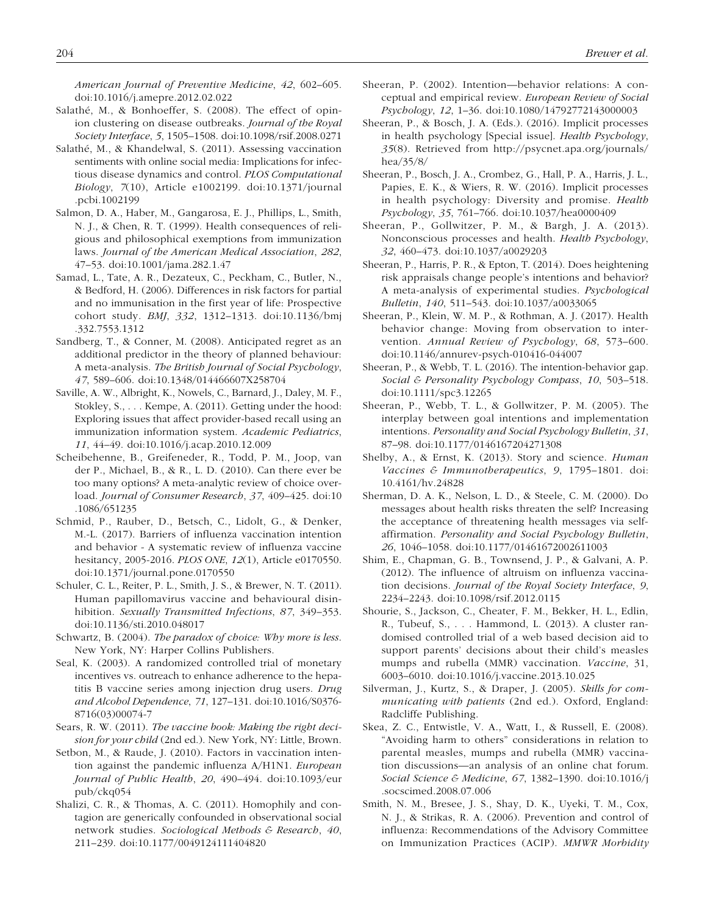*American Journal of Preventive Medicine*, *42*, 602–605. doi:10.1016/j.amepre.2012.02.022

- Salathé, M., & Bonhoeffer, S. (2008). The effect of opinion clustering on disease outbreaks. *Journal of the Royal Society Interface*, *5*, 1505–1508. doi:10.1098/rsif.2008.0271
- Salathé, M., & Khandelwal, S. (2011). Assessing vaccination sentiments with online social media: Implications for infectious disease dynamics and control. *PLOS Computational Biology*, *7*(10), Article e1002199. doi:10.1371/journal .pcbi.1002199
- Salmon, D. A., Haber, M., Gangarosa, E. J., Phillips, L., Smith, N. J., & Chen, R. T. (1999). Health consequences of religious and philosophical exemptions from immunization laws. *Journal of the American Medical Association*, *282*, 47–53. doi:10.1001/jama.282.1.47
- Samad, L., Tate, A. R., Dezateux, C., Peckham, C., Butler, N., & Bedford, H. (2006). Differences in risk factors for partial and no immunisation in the first year of life: Prospective cohort study. *BMJ*, *332*, 1312–1313. doi:10.1136/bmj .332.7553.1312
- Sandberg, T., & Conner, M. (2008). Anticipated regret as an additional predictor in the theory of planned behaviour: A meta-analysis. *The British Journal of Social Psychology*, *47*, 589–606. doi:10.1348/014466607X258704
- Saville, A. W., Albright, K., Nowels, C., Barnard, J., Daley, M. F., Stokley, S., . . . Kempe, A. (2011). Getting under the hood: Exploring issues that affect provider-based recall using an immunization information system. *Academic Pediatrics*, *11*, 44–49. doi:10.1016/j.acap.2010.12.009
- Scheibehenne, B., Greifeneder, R., Todd, P. M., Joop, van der P., Michael, B., & R., L. D. (2010). Can there ever be too many options? A meta-analytic review of choice overload. *Journal of Consumer Research*, *37*, 409–425. doi:10 .1086/651235
- Schmid, P., Rauber, D., Betsch, C., Lidolt, G., & Denker, M.-L. (2017). Barriers of influenza vaccination intention and behavior - A systematic review of influenza vaccine hesitancy, 2005-2016. *PLOS ONE*, *12*(1), Article e0170550. doi:10.1371/journal.pone.0170550
- Schuler, C. L., Reiter, P. L., Smith, J. S., & Brewer, N. T. (2011). Human papillomavirus vaccine and behavioural disinhibition. *Sexually Transmitted Infections*, *87*, 349–353. doi:10.1136/sti.2010.048017
- Schwartz, B. (2004). *The paradox of choice: Why more is less*. New York, NY: Harper Collins Publishers.
- Seal, K. (2003). A randomized controlled trial of monetary incentives vs. outreach to enhance adherence to the hepatitis B vaccine series among injection drug users. *Drug and Alcohol Dependence*, *71*, 127–131. doi:10.1016/S0376- 8716(03)00074-7
- Sears, R. W. (2011). *The vaccine book: Making the right decision for your child* (2nd ed.). New York, NY: Little, Brown.
- Setbon, M., & Raude, J. (2010). Factors in vaccination intention against the pandemic influenza A/H1N1. *European Journal of Public Health*, *20*, 490–494. doi:10.1093/eur pub/ckq054
- Shalizi, C. R., & Thomas, A. C. (2011). Homophily and contagion are generically confounded in observational social network studies. *Sociological Methods & Research*, *40*, 211–239. doi:10.1177/0049124111404820
- Sheeran, P. (2002). Intention—behavior relations: A conceptual and empirical review. *European Review of Social Psychology*, *12*, 1–36. doi:10.1080/14792772143000003
- Sheeran, P., & Bosch, J. A. (Eds.). (2016). Implicit processes in health psychology [Special issue]. *Health Psychology*, *35*(8). Retrieved from [http://psycnet.apa.org/journals/](http://psycnet.apa.org/journals/hea/35/8/) [hea/35/8/](http://psycnet.apa.org/journals/hea/35/8/)
- Sheeran, P., Bosch, J. A., Crombez, G., Hall, P. A., Harris, J. L., Papies, E. K., & Wiers, R. W. (2016). Implicit processes in health psychology: Diversity and promise. *Health Psychology*, *35*, 761–766. doi:10.1037/hea0000409
- Sheeran, P., Gollwitzer, P. M., & Bargh, J. A. (2013). Nonconscious processes and health. *Health Psychology*, *32*, 460–473. doi:10.1037/a0029203
- Sheeran, P., Harris, P. R., & Epton, T. (2014). Does heightening risk appraisals change people's intentions and behavior? A meta-analysis of experimental studies. *Psychological Bulletin*, *140*, 511–543. doi:10.1037/a0033065
- Sheeran, P., Klein, W. M. P., & Rothman, A. J. (2017). Health behavior change: Moving from observation to intervention. *Annual Review of Psychology*, *68*, 573–600. doi:10.1146/annurev-psych-010416-044007
- Sheeran, P., & Webb, T. L. (2016). The intention-behavior gap. *Social & Personality Psychology Compass*, *10*, 503–518. doi:10.1111/spc3.12265
- Sheeran, P., Webb, T. L., & Gollwitzer, P. M. (2005). The interplay between goal intentions and implementation intentions. *Personality and Social Psychology Bulletin*, *31*, 87–98. doi:10.1177/0146167204271308
- Shelby, A., & Ernst, K. (2013). Story and science. *Human Vaccines & Immunotherapeutics*, *9*, 1795–1801. doi: 10.4161/hv.24828
- Sherman, D. A. K., Nelson, L. D., & Steele, C. M. (2000). Do messages about health risks threaten the self? Increasing the acceptance of threatening health messages via selfaffirmation. *Personality and Social Psychology Bulletin*, *26*, 1046–1058. doi:10.1177/01461672002611003
- Shim, E., Chapman, G. B., Townsend, J. P., & Galvani, A. P. (2012). The influence of altruism on influenza vaccination decisions. *Journal of the Royal Society Interface*, *9*, 2234–2243. doi:10.1098/rsif.2012.0115
- Shourie, S., Jackson, C., Cheater, F. M., Bekker, H. L., Edlin, R., Tubeuf, S., . . . Hammond, L. (2013). A cluster randomised controlled trial of a web based decision aid to support parents' decisions about their child's measles mumps and rubella (MMR) vaccination. *Vaccine*, 31, 6003–6010. doi:10.1016/j.vaccine.2013.10.025
- Silverman, J., Kurtz, S., & Draper, J. (2005). *Skills for communicating with patients* (2nd ed.). Oxford, England: Radcliffe Publishing.
- Skea, Z. C., Entwistle, V. A., Watt, I., & Russell, E. (2008). "Avoiding harm to others" considerations in relation to parental measles, mumps and rubella (MMR) vaccination discussions—an analysis of an online chat forum. *Social Science & Medicine*, *67*, 1382–1390. doi:10.1016/j .socscimed.2008.07.006
- Smith, N. M., Bresee, J. S., Shay, D. K., Uyeki, T. M., Cox, N. J., & Strikas, R. A. (2006). Prevention and control of influenza: Recommendations of the Advisory Committee on Immunization Practices (ACIP). *MMWR Morbidity*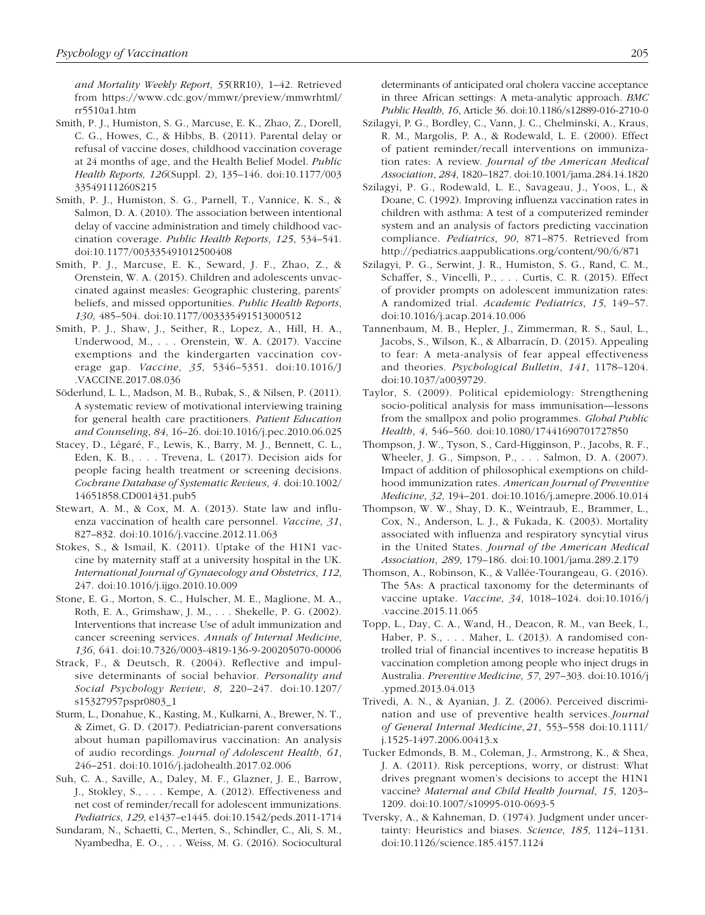*and Mortality Weekly Report*, *55*(RR10), 1–42. Retrieved from [https://www.cdc.gov/mmwr/preview/mmwrhtml/](https://www.cdc.gov/mmwr/preview/mmwrhtml/rr5510a1.htm) [rr5510a1.htm](https://www.cdc.gov/mmwr/preview/mmwrhtml/rr5510a1.htm)

- Smith, P. J., Humiston, S. G., Marcuse, E. K., Zhao, Z., Dorell, C. G., Howes, C., & Hibbs, B. (2011). Parental delay or refusal of vaccine doses, childhood vaccination coverage at 24 months of age, and the Health Belief Model. *Public Health Reports, 126*(Suppl. 2), 135–146. doi:10.1177/003 33549111260S215
- Smith, P. J., Humiston, S. G., Parnell, T., Vannice, K. S., & Salmon, D. A. (2010). The association between intentional delay of vaccine administration and timely childhood vaccination coverage. *Public Health Reports*, *125*, 534–541. doi:10.1177/003335491012500408
- Smith, P. J., Marcuse, E. K., Seward, J. F., Zhao, Z., & Orenstein, W. A. (2015). Children and adolescents unvaccinated against measles: Geographic clustering, parents' beliefs, and missed opportunities. *Public Health Reports*, *130*, 485–504. doi:10.1177/003335491513000512
- Smith, P. J., Shaw, J., Seither, R., Lopez, A., Hill, H. A., Underwood, M., . . . Orenstein, W. A. (2017). Vaccine exemptions and the kindergarten vaccination coverage gap. *Vaccine*, *35*, 5346–5351. doi:10.1016/J .VACCINE.2017.08.036
- Söderlund, L. L., Madson, M. B., Rubak, S., & Nilsen, P. (2011). A systematic review of motivational interviewing training for general health care practitioners. *Patient Education and Counseling*, *84*, 16–26. doi:10.1016/j.pec.2010.06.025
- Stacey, D., Légaré, F., Lewis, K., Barry, M. J., Bennett, C. L., Eden, K. B., . . . Trevena, L. (2017). Decision aids for people facing health treatment or screening decisions. *Cochrane Database of Systematic Reviews*, *4*. doi:10.1002/ 14651858.CD001431.pub5
- Stewart, A. M., & Cox, M. A. (2013). State law and influenza vaccination of health care personnel. *Vaccine*, *31*, 827–832. doi:10.1016/j.vaccine.2012.11.063
- Stokes, S., & Ismail, K. (2011). Uptake of the H1N1 vaccine by maternity staff at a university hospital in the UK. *International Journal of Gynaecology and Obstetrics*, *112*, 247. doi:10.1016/j.ijgo.2010.10.009
- Stone, E. G., Morton, S. C., Hulscher, M. E., Maglione, M. A., Roth, E. A., Grimshaw, J. M., . . . Shekelle, P. G. (2002). Interventions that increase Use of adult immunization and cancer screening services. *Annals of Internal Medicine*, *136*, 641. doi:10.7326/0003-4819-136-9-200205070-00006
- Strack, F., & Deutsch, R. (2004). Reflective and impulsive determinants of social behavior. *Personality and Social Psychology Review*, *8*, 220–247. doi:10.1207/ s15327957pspr0803\_1
- Sturm, L., Donahue, K., Kasting, M., Kulkarni, A., Brewer, N. T., & Zimet, G. D. (2017). Pediatrician-parent conversations about human papillomavirus vaccination: An analysis of audio recordings. *Journal of Adolescent Health*, *61*, 246–251. doi:10.1016/j.jadohealth.2017.02.006
- Suh, C. A., Saville, A., Daley, M. F., Glazner, J. E., Barrow, J., Stokley, S., . . . Kempe, A. (2012). Effectiveness and net cost of reminder/recall for adolescent immunizations. *Pediatrics*, *129*, e1437–e1445. doi:10.1542/peds.2011-1714
- Sundaram, N., Schaetti, C., Merten, S., Schindler, C., Ali, S. M., Nyambedha, E. O., . . . Weiss, M. G. (2016). Sociocultural

determinants of anticipated oral cholera vaccine acceptance in three African settings: A meta-analytic approach. *BMC Public Health, 16*, Article 36. doi:10.1186/s12889-016-2710-0

- Szilagyi, P. G., Bordley, C., Vann, J. C., Chelminski, A., Kraus, R. M., Margolis, P. A., & Rodewald, L. E. (2000). Effect of patient reminder/recall interventions on immunization rates: A review. *Journal of the American Medical Association*, *284*, 1820–1827. doi:10.1001/jama.284.14.1820
- Szilagyi, P. G., Rodewald, L. E., Savageau, J., Yoos, L., & Doane, C. (1992). Improving influenza vaccination rates in children with asthma: A test of a computerized reminder system and an analysis of factors predicting vaccination compliance. *Pediatrics*, *90*, 871–875. Retrieved from <http://pediatrics.aappublications.org/content/90/6/871>
- Szilagyi, P. G., Serwint, J. R., Humiston, S. G., Rand, C. M., Schaffer, S., Vincelli, P., . . . Curtis, C. R. (2015). Effect of provider prompts on adolescent immunization rates: A randomized trial. *Academic Pediatrics*, *15*, 149–57. doi:10.1016/j.acap.2014.10.006
- Tannenbaum, M. B., Hepler, J., Zimmerman, R. S., Saul, L., Jacobs, S., Wilson, K., & Albarracín, D. (2015). Appealing to fear: A meta-analysis of fear appeal effectiveness and theories. *Psychological Bulletin*, *141*, 1178–1204. doi:10.1037/a0039729.
- Taylor, S. (2009). Political epidemiology: Strengthening socio-political analysis for mass immunisation—lessons from the smallpox and polio programmes. *Global Public Health*, *4*, 546–560. doi:10.1080/17441690701727850
- Thompson, J. W., Tyson, S., Card-Higginson, P., Jacobs, R. F., Wheeler, J. G., Simpson, P., . . . Salmon, D. A. (2007). Impact of addition of philosophical exemptions on childhood immunization rates. *American Journal of Preventive Medicine*, *32*, 194–201. doi:10.1016/j.amepre.2006.10.014
- Thompson, W. W., Shay, D. K., Weintraub, E., Brammer, L., Cox, N., Anderson, L. J., & Fukada, K. (2003). Mortality associated with influenza and respiratory syncytial virus in the United States. *Journal of the American Medical Association*, *289*, 179–186. doi:10.1001/jama.289.2.179
- Thomson, A., Robinson, K., & Vallée-Tourangeau, G. (2016). The 5As: A practical taxonomy for the determinants of vaccine uptake. *Vaccine*, *34*, 1018–1024. doi:10.1016/j .vaccine.2015.11.065
- Topp, L., Day, C. A., Wand, H., Deacon, R. M., van Beek, I., Haber, P. S., . . . Maher, L. (2013). A randomised controlled trial of financial incentives to increase hepatitis B vaccination completion among people who inject drugs in Australia. *Preventive Medicine*, *57*, 297–303. doi:10.1016/j .ypmed.2013.04.013
- Trivedi, A. N., & Ayanian, J. Z. (2006). Perceived discrimination and use of preventive health services. *Journal of General Internal Medicine*, *21*, 553–558 doi:10.1111/ j.1525-1497.2006.00413.x
- Tucker Edmonds, B. M., Coleman, J., Armstrong, K., & Shea, J. A. (2011). Risk perceptions, worry, or distrust: What drives pregnant women's decisions to accept the H1N1 vaccine? *Maternal and Child Health Journal*, *15*, 1203– 1209. doi:10.1007/s10995-010-0693-5
- Tversky, A., & Kahneman, D. (1974). Judgment under uncertainty: Heuristics and biases. *Science*, *185*, 1124–1131. doi:10.1126/science.185.4157.1124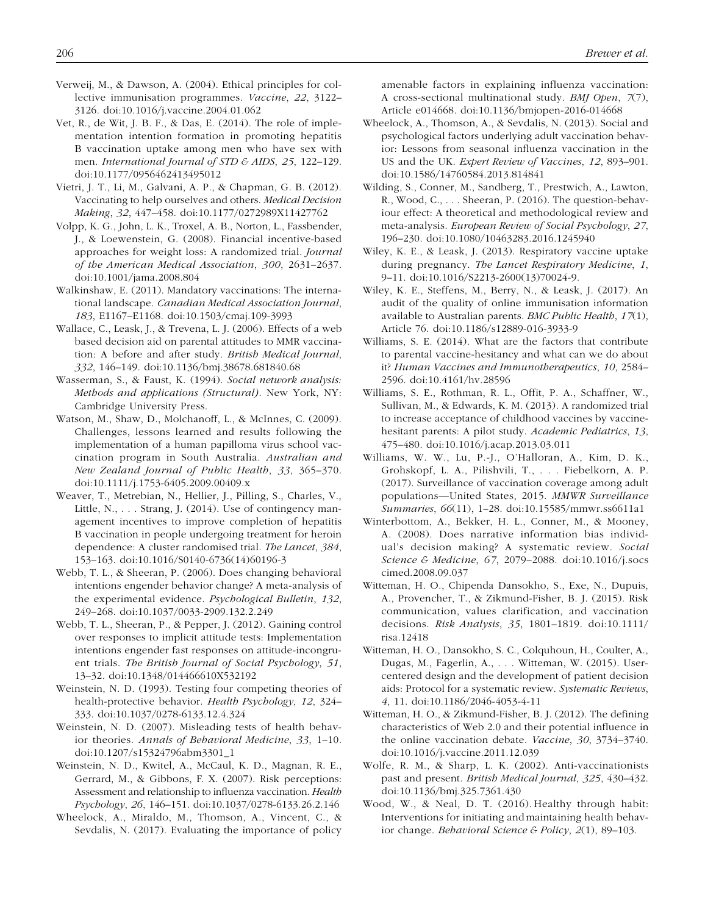- Verweij, M., & Dawson, A. (2004). Ethical principles for collective immunisation programmes. *Vaccine*, *22*, 3122– 3126. doi:10.1016/j.vaccine.2004.01.062
- Vet, R., de Wit, J. B. F., & Das, E. (2014). The role of implementation intention formation in promoting hepatitis B vaccination uptake among men who have sex with men. *International Journal of STD & AIDS*, *25*, 122–129. doi:10.1177/0956462413495012
- Vietri, J. T., Li, M., Galvani, A. P., & Chapman, G. B. (2012). Vaccinating to help ourselves and others. *Medical Decision Making*, *32*, 447–458. doi:10.1177/0272989X11427762
- Volpp, K. G., John, L. K., Troxel, A. B., Norton, L., Fassbender, J., & Loewenstein, G. (2008). Financial incentive-based approaches for weight loss: A randomized trial. *Journal of the American Medical Association*, *300*, 2631–2637. doi:10.1001/jama.2008.804
- Walkinshaw, E. (2011). Mandatory vaccinations: The international landscape. *Canadian Medical Association Journal*, *183*, E1167–E1168. doi:10.1503/cmaj.109-3993
- Wallace, C., Leask, J., & Trevena, L. J. (2006). Effects of a web based decision aid on parental attitudes to MMR vaccination: A before and after study. *British Medical Journal*, *332*, 146–149. doi:10.1136/bmj.38678.681840.68
- Wasserman, S., & Faust, K. (1994). *Social network analysis: Methods and applications (Structural)*. New York, NY: Cambridge University Press.
- Watson, M., Shaw, D., Molchanoff, L., & McInnes, C. (2009). Challenges, lessons learned and results following the implementation of a human papilloma virus school vaccination program in South Australia. *Australian and New Zealand Journal of Public Health*, *33*, 365–370. doi:10.1111/j.1753-6405.2009.00409.x
- Weaver, T., Metrebian, N., Hellier, J., Pilling, S., Charles, V., Little, N., . . . Strang, J. (2014). Use of contingency management incentives to improve completion of hepatitis B vaccination in people undergoing treatment for heroin dependence: A cluster randomised trial. *The Lancet*, *384*, 153–163. doi:10.1016/S0140-6736(14)60196-3
- Webb, T. L., & Sheeran, P. (2006). Does changing behavioral intentions engender behavior change? A meta-analysis of the experimental evidence. *Psychological Bulletin*, *132*, 249–268. doi:10.1037/0033-2909.132.2.249
- Webb, T. L., Sheeran, P., & Pepper, J. (2012). Gaining control over responses to implicit attitude tests: Implementation intentions engender fast responses on attitude-incongruent trials. *The British Journal of Social Psychology*, *51*, 13–32. doi:10.1348/014466610X532192
- Weinstein, N. D. (1993). Testing four competing theories of health-protective behavior. *Health Psychology*, *12*, 324– 333. doi:10.1037/0278-6133.12.4.324
- Weinstein, N. D. (2007). Misleading tests of health behavior theories. *Annals of Behavioral Medicine*, *33*, 1–10. doi:10.1207/s15324796abm3301\_1
- Weinstein, N. D., Kwitel, A., McCaul, K. D., Magnan, R. E., Gerrard, M., & Gibbons, F. X. (2007). Risk perceptions: Assessment and relationship to influenza vaccination. *Health Psychology*, *26*, 146–151. doi:10.1037/0278-6133.26.2.146
- Wheelock, A., Miraldo, M., Thomson, A., Vincent, C., & Sevdalis, N. (2017). Evaluating the importance of policy

amenable factors in explaining influenza vaccination: A cross-sectional multinational study. *BMJ Open*, *7*(7), Article e014668. doi:10.1136/bmjopen-2016-014668

- Wheelock, A., Thomson, A., & Sevdalis, N. (2013). Social and psychological factors underlying adult vaccination behavior: Lessons from seasonal influenza vaccination in the US and the UK. *Expert Review of Vaccines*, *12*, 893–901. doi:10.1586/14760584.2013.814841
- Wilding, S., Conner, M., Sandberg, T., Prestwich, A., Lawton, R., Wood, C., . . . Sheeran, P. (2016). The question-behaviour effect: A theoretical and methodological review and meta-analysis. *European Review of Social Psychology*, *27*, 196–230. doi:10.1080/10463283.2016.1245940
- Wiley, K. E., & Leask, J. (2013). Respiratory vaccine uptake during pregnancy. *The Lancet Respiratory Medicine*, *1*, 9–11. doi:10.1016/S2213-2600(13)70024-9.
- Wiley, K. E., Steffens, M., Berry, N., & Leask, J. (2017). An audit of the quality of online immunisation information available to Australian parents. *BMC Public Health*, *17*(1), Article 76. doi:10.1186/s12889-016-3933-9
- Williams, S. E. (2014). What are the factors that contribute to parental vaccine-hesitancy and what can we do about it? *Human Vaccines and Immunotherapeutics*, *10*, 2584– 2596. doi:10.4161/hv.28596
- Williams, S. E., Rothman, R. L., Offit, P. A., Schaffner, W., Sullivan, M., & Edwards, K. M. (2013). A randomized trial to increase acceptance of childhood vaccines by vaccinehesitant parents: A pilot study. *Academic Pediatrics*, *13*, 475–480. doi:10.1016/j.acap.2013.03.011
- Williams, W. W., Lu, P.-J., O'Halloran, A., Kim, D. K., Grohskopf, L. A., Pilishvili, T., . . . Fiebelkorn, A. P. (2017). Surveillance of vaccination coverage among adult populations—United States, 2015. *MMWR Surveillance Summaries*, *66*(11), 1–28. doi:10.15585/mmwr.ss6611a1
- Winterbottom, A., Bekker, H. L., Conner, M., & Mooney, A. (2008). Does narrative information bias individual's decision making? A systematic review. *Social Science & Medicine*, *67*, 2079–2088. doi:10.1016/j.socs cimed.2008.09.037
- Witteman, H. O., Chipenda Dansokho, S., Exe, N., Dupuis, A., Provencher, T., & Zikmund-Fisher, B. J. (2015). Risk communication, values clarification, and vaccination decisions. *Risk Analysis*, *35*, 1801–1819. doi:10.1111/ risa.12418
- Witteman, H. O., Dansokho, S. C., Colquhoun, H., Coulter, A., Dugas, M., Fagerlin, A., . . . Witteman, W. (2015). Usercentered design and the development of patient decision aids: Protocol for a systematic review. *Systematic Reviews*, *4*, 11. doi:10.1186/2046-4053-4-11
- Witteman, H. O., & Zikmund-Fisher, B. J. (2012). The defining characteristics of Web 2.0 and their potential influence in the online vaccination debate. *Vaccine*, *30*, 3734–3740. doi:10.1016/j.vaccine.2011.12.039
- Wolfe, R. M., & Sharp, L. K. (2002). Anti-vaccinationists past and present. *British Medical Journal*, *325*, 430–432. doi:10.1136/bmj.325.7361.430
- Wood, W., & Neal, D. T. (2016). Healthy through habit: Interventions for initiating and maintaining health behavior change. *Behavioral Science & Policy*, *2*(1), 89–103.